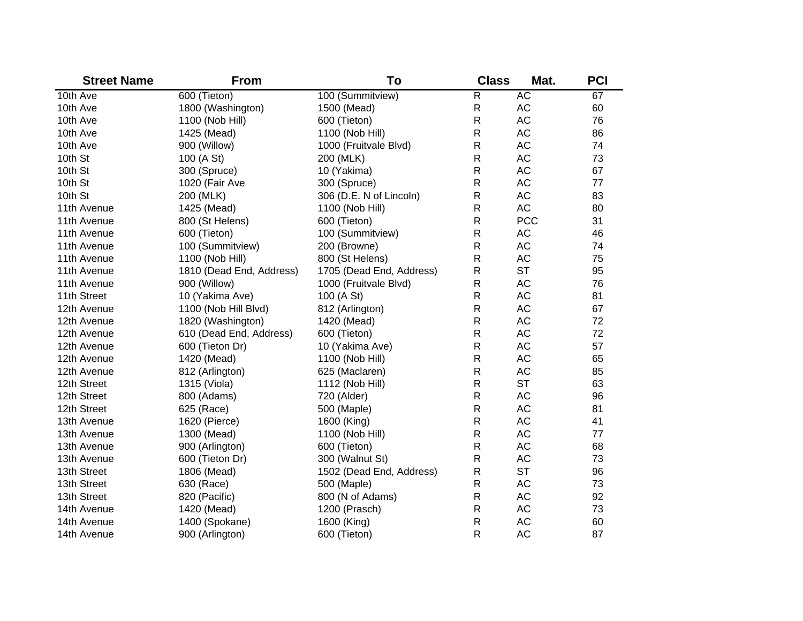| <b>Street Name</b> | <b>From</b>              | To                       | <b>Class</b>   | Mat.       | <b>PCI</b> |
|--------------------|--------------------------|--------------------------|----------------|------------|------------|
| 10th Ave           | 600 (Tieton)             | 100 (Summitview)         | $\overline{R}$ | <b>AC</b>  | 67         |
| 10th Ave           | 1800 (Washington)        | 1500 (Mead)              | R              | <b>AC</b>  | 60         |
| 10th Ave           | 1100 (Nob Hill)          | 600 (Tieton)             | R              | <b>AC</b>  | 76         |
| 10th Ave           | 1425 (Mead)              | 1100 (Nob Hill)          | R              | <b>AC</b>  | 86         |
| 10th Ave           | 900 (Willow)             | 1000 (Fruitvale Blvd)    | R              | <b>AC</b>  | 74         |
| 10th St            | 100 (A St)               | 200 (MLK)                | R              | <b>AC</b>  | 73         |
| 10th St            | 300 (Spruce)             | 10 (Yakima)              | R              | <b>AC</b>  | 67         |
| 10th St            | 1020 (Fair Ave           | 300 (Spruce)             | R              | <b>AC</b>  | 77         |
| 10th St            | 200 (MLK)                | 306 (D.E. N of Lincoln)  | ${\sf R}$      | <b>AC</b>  | 83         |
| 11th Avenue        | 1425 (Mead)              | 1100 (Nob Hill)          | R              | <b>AC</b>  | 80         |
| 11th Avenue        | 800 (St Helens)          | 600 (Tieton)             | $\mathsf R$    | <b>PCC</b> | 31         |
| 11th Avenue        | 600 (Tieton)             | 100 (Summitview)         | R              | AC         | 46         |
| 11th Avenue        | 100 (Summitview)         | 200 (Browne)             | R              | <b>AC</b>  | 74         |
| 11th Avenue        | 1100 (Nob Hill)          | 800 (St Helens)          | R              | <b>AC</b>  | 75         |
| 11th Avenue        | 1810 (Dead End, Address) | 1705 (Dead End, Address) | R              | <b>ST</b>  | 95         |
| 11th Avenue        | 900 (Willow)             | 1000 (Fruitvale Blvd)    | $\mathsf{R}$   | <b>AC</b>  | 76         |
| 11th Street        | 10 (Yakima Ave)          | 100 (A St)               | R              | <b>AC</b>  | 81         |
| 12th Avenue        | 1100 (Nob Hill Blvd)     | 812 (Arlington)          | $\mathsf R$    | <b>AC</b>  | 67         |
| 12th Avenue        | 1820 (Washington)        | 1420 (Mead)              | ${\sf R}$      | <b>AC</b>  | 72         |
| 12th Avenue        | 610 (Dead End, Address)  | 600 (Tieton)             | ${\sf R}$      | <b>AC</b>  | 72         |
| 12th Avenue        | 600 (Tieton Dr)          | 10 (Yakima Ave)          | ${\sf R}$      | <b>AC</b>  | 57         |
| 12th Avenue        | 1420 (Mead)              | 1100 (Nob Hill)          | ${\sf R}$      | <b>AC</b>  | 65         |
| 12th Avenue        | 812 (Arlington)          | 625 (Maclaren)           | ${\sf R}$      | AC         | 85         |
| 12th Street        | 1315 (Viola)             | 1112 (Nob Hill)          | $\mathsf{R}$   | <b>ST</b>  | 63         |
| 12th Street        | 800 (Adams)              | 720 (Alder)              | $\mathsf{R}$   | <b>AC</b>  | 96         |
| 12th Street        | 625 (Race)               | 500 (Maple)              | $\mathsf{R}$   | <b>AC</b>  | 81         |
| 13th Avenue        | 1620 (Pierce)            | 1600 (King)              | $\mathsf{R}$   | <b>AC</b>  | 41         |
| 13th Avenue        | 1300 (Mead)              | 1100 (Nob Hill)          | ${\sf R}$      | <b>AC</b>  | 77         |
| 13th Avenue        | 900 (Arlington)          | 600 (Tieton)             | ${\sf R}$      | <b>AC</b>  | 68         |
| 13th Avenue        | 600 (Tieton Dr)          | 300 (Walnut St)          | R              | AC         | 73         |
| 13th Street        | 1806 (Mead)              | 1502 (Dead End, Address) | ${\sf R}$      | <b>ST</b>  | 96         |
| 13th Street        | 630 (Race)               | 500 (Maple)              | $\mathsf{R}$   | <b>AC</b>  | 73         |
| 13th Street        | 820 (Pacific)            | 800 (N of Adams)         | $\mathsf{R}$   | AC         | 92         |
| 14th Avenue        | 1420 (Mead)              | 1200 (Prasch)            | $\mathsf{R}$   | AC         | 73         |
| 14th Avenue        | 1400 (Spokane)           | 1600 (King)              | R              | <b>AC</b>  | 60         |
| 14th Avenue        | 900 (Arlington)          | 600 (Tieton)             | R              | <b>AC</b>  | 87         |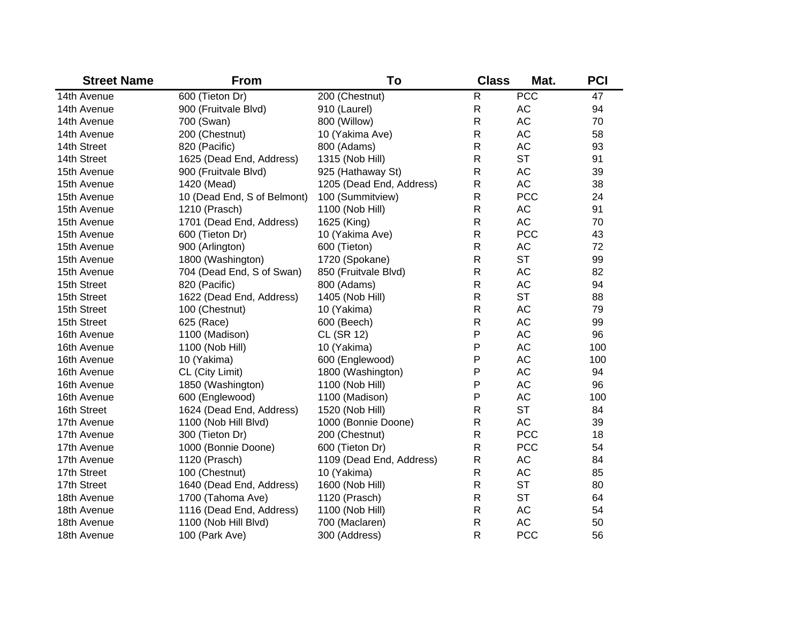| <b>Street Name</b> | <b>From</b>                 | To                       | <b>Class</b> | Mat.       | <b>PCI</b> |
|--------------------|-----------------------------|--------------------------|--------------|------------|------------|
| 14th Avenue        | 600 (Tieton Dr)             | 200 (Chestnut)           | R            | PCC        | 47         |
| 14th Avenue        | 900 (Fruitvale Blvd)        | 910 (Laurel)             | ${\sf R}$    | AC         | 94         |
| 14th Avenue        | 700 (Swan)                  | 800 (Willow)             | $\mathsf{R}$ | AC         | 70         |
| 14th Avenue        | 200 (Chestnut)              | 10 (Yakima Ave)          | $\mathsf{R}$ | <b>AC</b>  | 58         |
| 14th Street        | 820 (Pacific)               | 800 (Adams)              | $\mathsf{R}$ | AC         | 93         |
| 14th Street        | 1625 (Dead End, Address)    | 1315 (Nob Hill)          | $\mathsf{R}$ | <b>ST</b>  | 91         |
| 15th Avenue        | 900 (Fruitvale Blvd)        | 925 (Hathaway St)        | $\mathsf R$  | AC         | 39         |
| 15th Avenue        | 1420 (Mead)                 | 1205 (Dead End, Address) | $\mathsf{R}$ | AC         | 38         |
| 15th Avenue        | 10 (Dead End, S of Belmont) | 100 (Summitview)         | $\mathsf{R}$ | <b>PCC</b> | 24         |
| 15th Avenue        | 1210 (Prasch)               | 1100 (Nob Hill)          | $\mathsf R$  | AC         | 91         |
| 15th Avenue        | 1701 (Dead End, Address)    | 1625 (King)              | $\mathsf R$  | <b>AC</b>  | 70         |
| 15th Avenue        | 600 (Tieton Dr)             | 10 (Yakima Ave)          | $\mathsf R$  | <b>PCC</b> | 43         |
| 15th Avenue        | 900 (Arlington)             | 600 (Tieton)             | $\mathsf R$  | AC         | 72         |
| 15th Avenue        | 1800 (Washington)           | 1720 (Spokane)           | $\mathsf{R}$ | <b>ST</b>  | 99         |
| 15th Avenue        | 704 (Dead End, S of Swan)   | 850 (Fruitvale Blvd)     | $\mathsf R$  | AC         | 82         |
| 15th Street        | 820 (Pacific)               | 800 (Adams)              | $\mathsf R$  | AC         | 94         |
| 15th Street        | 1622 (Dead End, Address)    | 1405 (Nob Hill)          | $\mathsf{R}$ | <b>ST</b>  | 88         |
| 15th Street        | 100 (Chestnut)              | 10 (Yakima)              | $\mathsf{R}$ | AC         | 79         |
| 15th Street        | 625 (Race)                  | 600 (Beech)              | $\mathsf R$  | AC         | 99         |
| 16th Avenue        | 1100 (Madison)              | CL (SR 12)               | P            | AC         | 96         |
| 16th Avenue        | 1100 (Nob Hill)             | 10 (Yakima)              | P            | AC         | 100        |
| 16th Avenue        | 10 (Yakima)                 | 600 (Englewood)          | P            | AC         | 100        |
| 16th Avenue        | CL (City Limit)             | 1800 (Washington)        | P            | AC         | 94         |
| 16th Avenue        | 1850 (Washington)           | 1100 (Nob Hill)          | P            | AC         | 96         |
| 16th Avenue        | 600 (Englewood)             | 1100 (Madison)           | P            | AC         | 100        |
| 16th Street        | 1624 (Dead End, Address)    | 1520 (Nob Hill)          | $\mathsf R$  | <b>ST</b>  | 84         |
| 17th Avenue        | 1100 (Nob Hill Blvd)        | 1000 (Bonnie Doone)      | $\mathsf R$  | <b>AC</b>  | 39         |
| 17th Avenue        | 300 (Tieton Dr)             | 200 (Chestnut)           | $\mathsf{R}$ | <b>PCC</b> | 18         |
| 17th Avenue        | 1000 (Bonnie Doone)         | 600 (Tieton Dr)          | $\mathsf R$  | <b>PCC</b> | 54         |
| 17th Avenue        | 1120 (Prasch)               | 1109 (Dead End, Address) | $\mathsf R$  | AC         | 84         |
| 17th Street        | 100 (Chestnut)              | 10 (Yakima)              | $\mathsf{R}$ | AC         | 85         |
| 17th Street        | 1640 (Dead End, Address)    | 1600 (Nob Hill)          | $\mathsf R$  | <b>ST</b>  | 80         |
| 18th Avenue        | 1700 (Tahoma Ave)           | 1120 (Prasch)            | ${\sf R}$    | <b>ST</b>  | 64         |
| 18th Avenue        | 1116 (Dead End, Address)    | 1100 (Nob Hill)          | R            | AC         | 54         |
| 18th Avenue        | 1100 (Nob Hill Blvd)        | 700 (Maclaren)           | $\mathsf{R}$ | <b>AC</b>  | 50         |
| 18th Avenue        | 100 (Park Ave)              | 300 (Address)            | $\mathsf{R}$ | <b>PCC</b> | 56         |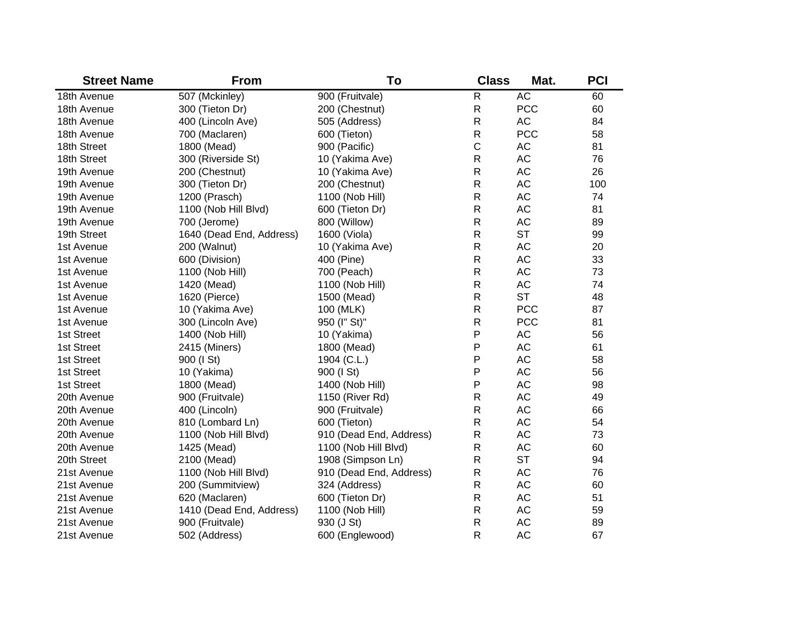| <b>Street Name</b> | <b>From</b>              | To                      | <b>Class</b> | Mat.       | <b>PCI</b> |
|--------------------|--------------------------|-------------------------|--------------|------------|------------|
| 18th Avenue        | 507 (Mckinley)           | 900 (Fruitvale)         | $\mathsf{R}$ | AC         | 60         |
| 18th Avenue        | 300 (Tieton Dr)          | 200 (Chestnut)          | $\mathsf{R}$ | <b>PCC</b> | 60         |
| 18th Avenue        | 400 (Lincoln Ave)        | 505 (Address)           | $\mathsf{R}$ | <b>AC</b>  | 84         |
| 18th Avenue        | 700 (Maclaren)           | 600 (Tieton)            | $\mathsf{R}$ | <b>PCC</b> | 58         |
| 18th Street        | 1800 (Mead)              | 900 (Pacific)           | $\mathsf C$  | AC         | 81         |
| 18th Street        | 300 (Riverside St)       | 10 (Yakima Ave)         | $\mathsf{R}$ | AC         | 76         |
| 19th Avenue        | 200 (Chestnut)           | 10 (Yakima Ave)         | $\mathsf{R}$ | AC         | 26         |
| 19th Avenue        | 300 (Tieton Dr)          | 200 (Chestnut)          | $\mathsf{R}$ | AC         | 100        |
| 19th Avenue        | 1200 (Prasch)            | 1100 (Nob Hill)         | $\mathsf{R}$ | AC         | 74         |
| 19th Avenue        | 1100 (Nob Hill Blvd)     | 600 (Tieton Dr)         | $\mathsf{R}$ | AC         | 81         |
| 19th Avenue        | 700 (Jerome)             | 800 (Willow)            | $\mathsf{R}$ | AC         | 89         |
| 19th Street        | 1640 (Dead End, Address) | 1600 (Viola)            | $\mathsf{R}$ | <b>ST</b>  | 99         |
| 1st Avenue         | 200 (Walnut)             | 10 (Yakima Ave)         | $\mathsf{R}$ | AC         | 20         |
| 1st Avenue         | 600 (Division)           | 400 (Pine)              | $\mathsf{R}$ | AC         | 33         |
| 1st Avenue         | 1100 (Nob Hill)          | 700 (Peach)             | $\mathsf{R}$ | AC         | 73         |
| 1st Avenue         | 1420 (Mead)              | 1100 (Nob Hill)         | $\mathsf{R}$ | AC         | 74         |
| 1st Avenue         | 1620 (Pierce)            | 1500 (Mead)             | $\mathsf{R}$ | <b>ST</b>  | 48         |
| 1st Avenue         | 10 (Yakima Ave)          | 100 (MLK)               | $\mathsf{R}$ | <b>PCC</b> | 87         |
| 1st Avenue         | 300 (Lincoln Ave)        | 950 (I" St)"            | $\mathsf{R}$ | <b>PCC</b> | 81         |
| 1st Street         | 1400 (Nob Hill)          | 10 (Yakima)             | P            | AC         | 56         |
| 1st Street         | 2415 (Miners)            | 1800 (Mead)             | P            | AC         | 61         |
| 1st Street         | 900 (I St)               | 1904 (C.L.)             | P            | AC         | 58         |
| 1st Street         | 10 (Yakima)              | 900 (I St)              | P            | <b>AC</b>  | 56         |
| 1st Street         | 1800 (Mead)              | 1400 (Nob Hill)         | P            | <b>AC</b>  | 98         |
| 20th Avenue        | 900 (Fruitvale)          | 1150 (River Rd)         | $\mathsf{R}$ | <b>AC</b>  | 49         |
| 20th Avenue        | 400 (Lincoln)            | 900 (Fruitvale)         | $\mathsf{R}$ | <b>AC</b>  | 66         |
| 20th Avenue        | 810 (Lombard Ln)         | 600 (Tieton)            | $\mathsf{R}$ | <b>AC</b>  | 54         |
| 20th Avenue        | 1100 (Nob Hill Blvd)     | 910 (Dead End, Address) | $\mathsf{R}$ | <b>AC</b>  | 73         |
| 20th Avenue        | 1425 (Mead)              | 1100 (Nob Hill Blvd)    | $\mathsf{R}$ | <b>AC</b>  | 60         |
| 20th Street        | 2100 (Mead)              | 1908 (Simpson Ln)       | $\mathsf{R}$ | <b>ST</b>  | 94         |
| 21st Avenue        | 1100 (Nob Hill Blvd)     | 910 (Dead End, Address) | $\mathsf{R}$ | <b>AC</b>  | 76         |
| 21st Avenue        | 200 (Summitview)         | 324 (Address)           | $\mathsf{R}$ | <b>AC</b>  | 60         |
| 21st Avenue        | 620 (Maclaren)           | 600 (Tieton Dr)         | $\mathsf{R}$ | <b>AC</b>  | 51         |
| 21st Avenue        | 1410 (Dead End, Address) | 1100 (Nob Hill)         | $\mathsf{R}$ | <b>AC</b>  | 59         |
| 21st Avenue        | 900 (Fruitvale)          | 930 (J St)              | $\mathsf{R}$ | <b>AC</b>  | 89         |
| 21st Avenue        | 502 (Address)            | 600 (Englewood)         | $\mathsf{R}$ | <b>AC</b>  | 67         |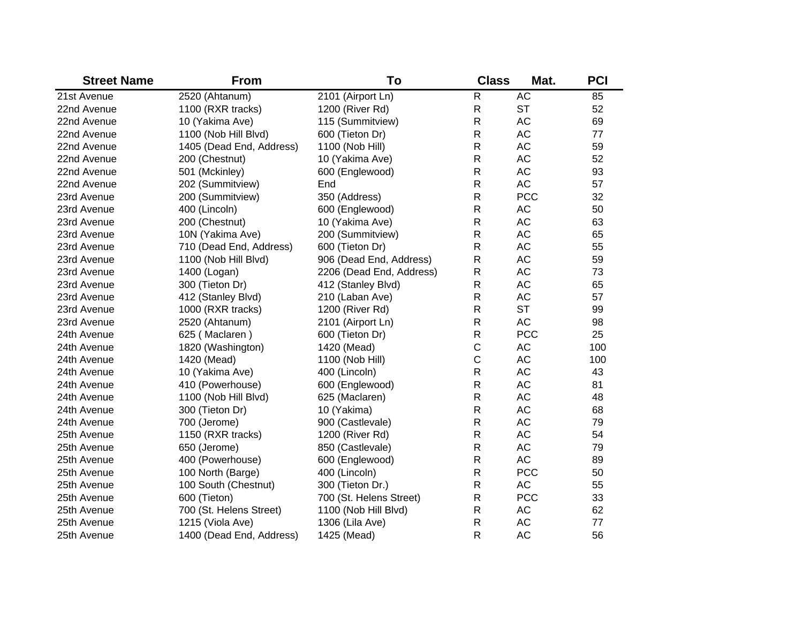| <b>Street Name</b> | <b>From</b>              | To                       | <b>Class</b> | Mat.       | <b>PCI</b> |
|--------------------|--------------------------|--------------------------|--------------|------------|------------|
| 21st Avenue        | 2520 (Ahtanum)           | 2101 (Airport Ln)        | R            | <b>AC</b>  | 85         |
| 22nd Avenue        | 1100 (RXR tracks)        | 1200 (River Rd)          | R            | <b>ST</b>  | 52         |
| 22nd Avenue        | 10 (Yakima Ave)          | 115 (Summitview)         | R            | AC         | 69         |
| 22nd Avenue        | 1100 (Nob Hill Blvd)     | 600 (Tieton Dr)          | $\mathsf{R}$ | AC         | 77         |
| 22nd Avenue        | 1405 (Dead End, Address) | 1100 (Nob Hill)          | R            | AC         | 59         |
| 22nd Avenue        | 200 (Chestnut)           | 10 (Yakima Ave)          | R            | AC         | 52         |
| 22nd Avenue        | 501 (Mckinley)           | 600 (Englewood)          | R            | AC         | 93         |
| 22nd Avenue        | 202 (Summitview)         | End                      | R            | AC         | 57         |
| 23rd Avenue        | 200 (Summitview)         | 350 (Address)            | R            | <b>PCC</b> | 32         |
| 23rd Avenue        | 400 (Lincoln)            | 600 (Englewood)          | R            | AC         | 50         |
| 23rd Avenue        | 200 (Chestnut)           | 10 (Yakima Ave)          | R            | AC         | 63         |
| 23rd Avenue        | 10N (Yakima Ave)         | 200 (Summitview)         | R            | AC         | 65         |
| 23rd Avenue        | 710 (Dead End, Address)  | 600 (Tieton Dr)          | R            | AC         | 55         |
| 23rd Avenue        | 1100 (Nob Hill Blvd)     | 906 (Dead End, Address)  | R            | AC         | 59         |
| 23rd Avenue        | 1400 (Logan)             | 2206 (Dead End, Address) | R            | AC         | 73         |
| 23rd Avenue        | 300 (Tieton Dr)          | 412 (Stanley Blvd)       | ${\sf R}$    | AC         | 65         |
| 23rd Avenue        | 412 (Stanley Blvd)       | 210 (Laban Ave)          | R            | AC         | 57         |
| 23rd Avenue        | 1000 (RXR tracks)        | 1200 (River Rd)          | R            | <b>ST</b>  | 99         |
| 23rd Avenue        | 2520 (Ahtanum)           | 2101 (Airport Ln)        | R            | <b>AC</b>  | 98         |
| 24th Avenue        | 625 (Maclaren)           | 600 (Tieton Dr)          | R            | <b>PCC</b> | 25         |
| 24th Avenue        | 1820 (Washington)        | 1420 (Mead)              | $\mathsf C$  | AC         | 100        |
| 24th Avenue        | 1420 (Mead)              | 1100 (Nob Hill)          | $\mathsf C$  | AC         | 100        |
| 24th Avenue        | 10 (Yakima Ave)          | 400 (Lincoln)            | R            | AC         | 43         |
| 24th Avenue        | 410 (Powerhouse)         | 600 (Englewood)          | R            | AC         | 81         |
| 24th Avenue        | 1100 (Nob Hill Blvd)     | 625 (Maclaren)           | R            | AC         | 48         |
| 24th Avenue        | 300 (Tieton Dr)          | 10 (Yakima)              | R            | AC         | 68         |
| 24th Avenue        | 700 (Jerome)             | 900 (Castlevale)         | $\mathsf{R}$ | AC         | 79         |
| 25th Avenue        | 1150 (RXR tracks)        | 1200 (River Rd)          | $\mathsf{R}$ | AC         | 54         |
| 25th Avenue        | 650 (Jerome)             | 850 (Castlevale)         | $\mathsf{R}$ | AC         | 79         |
| 25th Avenue        | 400 (Powerhouse)         | 600 (Englewood)          | $\mathsf{R}$ | <b>AC</b>  | 89         |
| 25th Avenue        | 100 North (Barge)        | 400 (Lincoln)            | $\mathsf{R}$ | <b>PCC</b> | 50         |
| 25th Avenue        | 100 South (Chestnut)     | 300 (Tieton Dr.)         | $\mathsf{R}$ | AC         | 55         |
| 25th Avenue        | 600 (Tieton)             | 700 (St. Helens Street)  | ${\sf R}$    | <b>PCC</b> | 33         |
| 25th Avenue        | 700 (St. Helens Street)  | 1100 (Nob Hill Blvd)     | $\mathsf R$  | AC         | 62         |
| 25th Avenue        | 1215 (Viola Ave)         | 1306 (Lila Ave)          | R            | <b>AC</b>  | 77         |
| 25th Avenue        | 1400 (Dead End, Address) | 1425 (Mead)              | R            | <b>AC</b>  | 56         |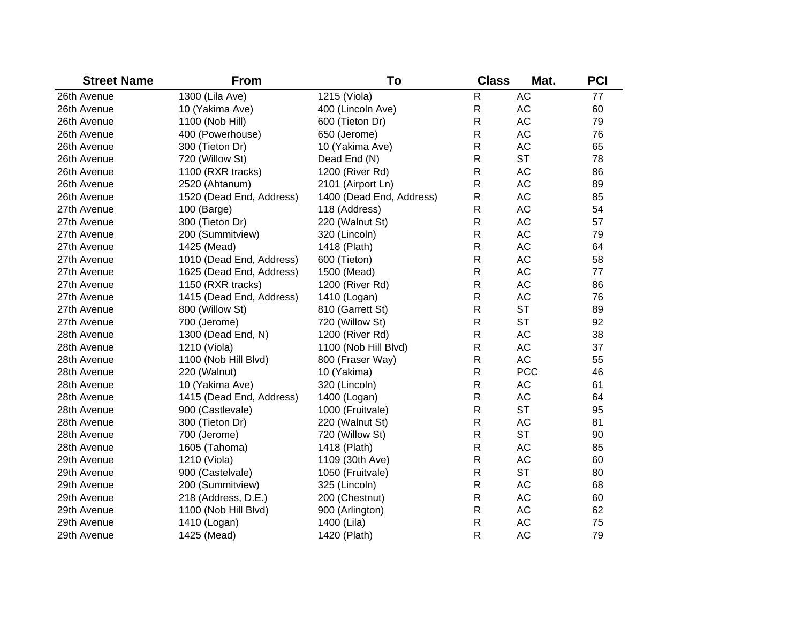| <b>Street Name</b> | <b>From</b>              | To                       | <b>Class</b> | Mat.       | <b>PCI</b> |
|--------------------|--------------------------|--------------------------|--------------|------------|------------|
| 26th Avenue        | 1300 (Lila Ave)          | 1215 (Viola)             | $\mathsf{R}$ | <b>AC</b>  | 77         |
| 26th Avenue        | 10 (Yakima Ave)          | 400 (Lincoln Ave)        | R            | <b>AC</b>  | 60         |
| 26th Avenue        | 1100 (Nob Hill)          | 600 (Tieton Dr)          | R            | <b>AC</b>  | 79         |
| 26th Avenue        | 400 (Powerhouse)         | 650 (Jerome)             | R            | <b>AC</b>  | 76         |
| 26th Avenue        | 300 (Tieton Dr)          | 10 (Yakima Ave)          | R            | <b>AC</b>  | 65         |
| 26th Avenue        | 720 (Willow St)          | Dead End (N)             | R            | <b>ST</b>  | 78         |
| 26th Avenue        | 1100 (RXR tracks)        | 1200 (River Rd)          | R            | <b>AC</b>  | 86         |
| 26th Avenue        | 2520 (Ahtanum)           | 2101 (Airport Ln)        | R            | <b>AC</b>  | 89         |
| 26th Avenue        | 1520 (Dead End, Address) | 1400 (Dead End, Address) | R            | <b>AC</b>  | 85         |
| 27th Avenue        | 100 (Barge)              | 118 (Address)            | R            | <b>AC</b>  | 54         |
| 27th Avenue        | 300 (Tieton Dr)          | 220 (Walnut St)          | R            | <b>AC</b>  | 57         |
| 27th Avenue        | 200 (Summitview)         | 320 (Lincoln)            | R            | <b>AC</b>  | 79         |
| 27th Avenue        | 1425 (Mead)              | 1418 (Plath)             | R            | <b>AC</b>  | 64         |
| 27th Avenue        | 1010 (Dead End, Address) | 600 (Tieton)             | R            | <b>AC</b>  | 58         |
| 27th Avenue        | 1625 (Dead End, Address) | 1500 (Mead)              | R            | <b>AC</b>  | 77         |
| 27th Avenue        | 1150 (RXR tracks)        | 1200 (River Rd)          | $\mathsf R$  | <b>AC</b>  | 86         |
| 27th Avenue        | 1415 (Dead End, Address) | 1410 (Logan)             | R            | <b>AC</b>  | 76         |
| 27th Avenue        | 800 (Willow St)          | 810 (Garrett St)         | R            | <b>ST</b>  | 89         |
| 27th Avenue        | 700 (Jerome)             | 720 (Willow St)          | R            | <b>ST</b>  | 92         |
| 28th Avenue        | 1300 (Dead End, N)       | 1200 (River Rd)          | R            | <b>AC</b>  | 38         |
| 28th Avenue        | 1210 (Viola)             | 1100 (Nob Hill Blvd)     | R            | <b>AC</b>  | 37         |
| 28th Avenue        | 1100 (Nob Hill Blvd)     | 800 (Fraser Way)         | $\mathsf R$  | <b>AC</b>  | 55         |
| 28th Avenue        | 220 (Walnut)             | 10 (Yakima)              | R            | <b>PCC</b> | 46         |
| 28th Avenue        | 10 (Yakima Ave)          | 320 (Lincoln)            | R            | AC         | 61         |
| 28th Avenue        | 1415 (Dead End, Address) | 1400 (Logan)             | $\mathsf R$  | <b>AC</b>  | 64         |
| 28th Avenue        | 900 (Castlevale)         | 1000 (Fruitvale)         | R            | <b>ST</b>  | 95         |
| 28th Avenue        | 300 (Tieton Dr)          | 220 (Walnut St)          | $\mathsf R$  | <b>AC</b>  | 81         |
| 28th Avenue        | 700 (Jerome)             | 720 (Willow St)          | R            | <b>ST</b>  | 90         |
| 28th Avenue        | 1605 (Tahoma)            | 1418 (Plath)             | $\mathsf R$  | <b>AC</b>  | 85         |
| 29th Avenue        | 1210 (Viola)             | 1109 (30th Ave)          | $\mathsf R$  | <b>AC</b>  | 60         |
| 29th Avenue        | 900 (Castelvale)         | 1050 (Fruitvale)         | R            | <b>ST</b>  | 80         |
| 29th Avenue        | 200 (Summitview)         | 325 (Lincoln)            | $\mathsf R$  | <b>AC</b>  | 68         |
| 29th Avenue        | 218 (Address, D.E.)      | 200 (Chestnut)           | R            | <b>AC</b>  | 60         |
| 29th Avenue        | 1100 (Nob Hill Blvd)     | 900 (Arlington)          | R            | <b>AC</b>  | 62         |
| 29th Avenue        | 1410 (Logan)             | 1400 (Lila)              | R            | AC         | 75         |
| 29th Avenue        | 1425 (Mead)              | 1420 (Plath)             | $\mathsf{R}$ | <b>AC</b>  | 79         |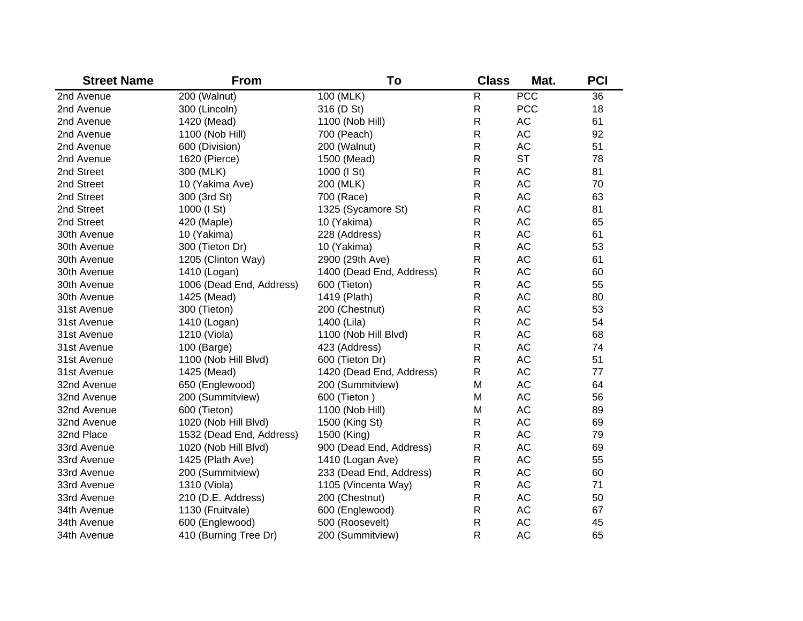| <b>Street Name</b> | <b>From</b>              | To                       | <b>Class</b> | Mat.       | <b>PCI</b> |
|--------------------|--------------------------|--------------------------|--------------|------------|------------|
| 2nd Avenue         | 200 (Walnut)             | 100 (MLK)                | $\mathsf{R}$ | <b>PCC</b> | 36         |
| 2nd Avenue         | 300 (Lincoln)            | 316 (D St)               | $\mathsf{R}$ | <b>PCC</b> | 18         |
| 2nd Avenue         | 1420 (Mead)              | 1100 (Nob Hill)          | R            | <b>AC</b>  | 61         |
| 2nd Avenue         | 1100 (Nob Hill)          | 700 (Peach)              | R            | <b>AC</b>  | 92         |
| 2nd Avenue         | 600 (Division)           | 200 (Walnut)             | $\mathsf{R}$ | <b>AC</b>  | 51         |
| 2nd Avenue         | 1620 (Pierce)            | 1500 (Mead)              | $\mathsf{R}$ | <b>ST</b>  | 78         |
| 2nd Street         | 300 (MLK)                | 1000 (I St)              | R            | <b>AC</b>  | 81         |
| 2nd Street         | 10 (Yakima Ave)          | 200 (MLK)                | $\mathsf{R}$ | <b>AC</b>  | 70         |
| 2nd Street         | 300 (3rd St)             | 700 (Race)               | R            | <b>AC</b>  | 63         |
| 2nd Street         | 1000 (I St)              | 1325 (Sycamore St)       | R            | <b>AC</b>  | 81         |
| 2nd Street         | 420 (Maple)              | 10 (Yakima)              | R            | <b>AC</b>  | 65         |
| 30th Avenue        | 10 (Yakima)              | 228 (Address)            | R            | <b>AC</b>  | 61         |
| 30th Avenue        | 300 (Tieton Dr)          | 10 (Yakima)              | R            | <b>AC</b>  | 53         |
| 30th Avenue        | 1205 (Clinton Way)       | 2900 (29th Ave)          | R            | <b>AC</b>  | 61         |
| 30th Avenue        | 1410 (Logan)             | 1400 (Dead End, Address) | R            | <b>AC</b>  | 60         |
| 30th Avenue        | 1006 (Dead End, Address) | 600 (Tieton)             | R            | <b>AC</b>  | 55         |
| 30th Avenue        | 1425 (Mead)              | 1419 (Plath)             | R            | <b>AC</b>  | 80         |
| 31st Avenue        | 300 (Tieton)             | 200 (Chestnut)           | R            | <b>AC</b>  | 53         |
| 31st Avenue        | 1410 (Logan)             | 1400 (Lila)              | R            | AC         | 54         |
| 31st Avenue        | 1210 (Viola)             | 1100 (Nob Hill Blvd)     | R            | AC         | 68         |
| 31st Avenue        | 100 (Barge)              | 423 (Address)            | R            | AC         | 74         |
| 31st Avenue        | 1100 (Nob Hill Blvd)     | 600 (Tieton Dr)          | R            | AC         | 51         |
| 31st Avenue        | 1425 (Mead)              | 1420 (Dead End, Address) | R            | <b>AC</b>  | 77         |
| 32nd Avenue        | 650 (Englewood)          | 200 (Summitview)         | M            | <b>AC</b>  | 64         |
| 32nd Avenue        | 200 (Summitview)         | 600 (Tieton)             | M            | <b>AC</b>  | 56         |
| 32nd Avenue        | 600 (Tieton)             | 1100 (Nob Hill)          | M            | <b>AC</b>  | 89         |
| 32nd Avenue        | 1020 (Nob Hill Blvd)     | 1500 (King St)           | R            | <b>AC</b>  | 69         |
| 32nd Place         | 1532 (Dead End, Address) | 1500 (King)              | R            | <b>AC</b>  | 79         |
| 33rd Avenue        | 1020 (Nob Hill Blvd)     | 900 (Dead End, Address)  | R            | <b>AC</b>  | 69         |
| 33rd Avenue        | 1425 (Plath Ave)         | 1410 (Logan Ave)         | R            | <b>AC</b>  | 55         |
| 33rd Avenue        | 200 (Summitview)         | 233 (Dead End, Address)  | R            | <b>AC</b>  | 60         |
| 33rd Avenue        | 1310 (Viola)             | 1105 (Vincenta Way)      | R            | <b>AC</b>  | 71         |
| 33rd Avenue        | 210 (D.E. Address)       | 200 (Chestnut)           | R            | <b>AC</b>  | 50         |
| 34th Avenue        | 1130 (Fruitvale)         | 600 (Englewood)          | R            | <b>AC</b>  | 67         |
| 34th Avenue        | 600 (Englewood)          | 500 (Roosevelt)          | R            | <b>AC</b>  | 45         |
| 34th Avenue        | 410 (Burning Tree Dr)    | 200 (Summitview)         | $\mathsf{R}$ | <b>AC</b>  | 65         |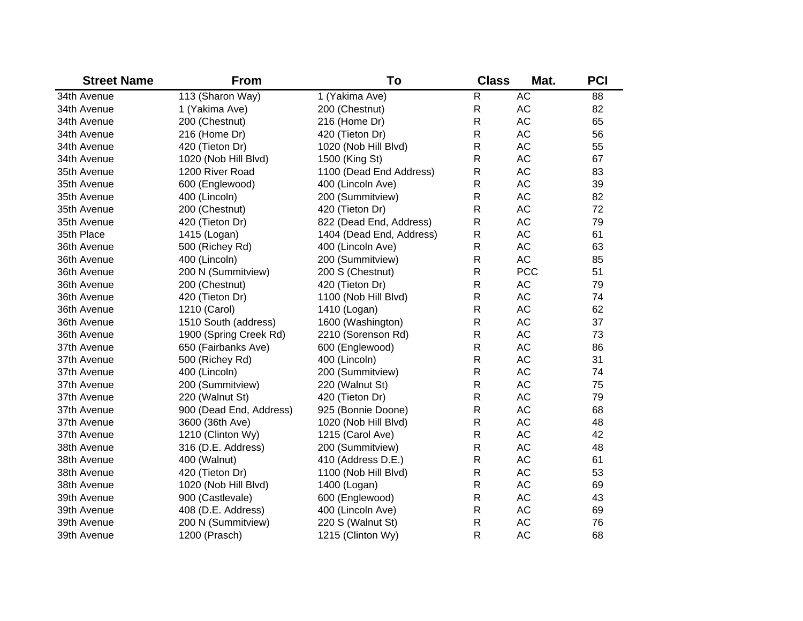| <b>Street Name</b> | <b>From</b>             | To                       | <b>Class</b> | Mat.       | <b>PCI</b> |
|--------------------|-------------------------|--------------------------|--------------|------------|------------|
| 34th Avenue        | 113 (Sharon Way)        | 1 (Yakima Ave)           | $\mathsf{R}$ | <b>AC</b>  | 88         |
| 34th Avenue        | 1 (Yakima Ave)          | 200 (Chestnut)           | R            | AC         | 82         |
| 34th Avenue        | 200 (Chestnut)          | 216 (Home Dr)            | R            | <b>AC</b>  | 65         |
| 34th Avenue        | 216 (Home Dr)           | 420 (Tieton Dr)          | R            | <b>AC</b>  | 56         |
| 34th Avenue        | 420 (Tieton Dr)         | 1020 (Nob Hill Blvd)     | R            | <b>AC</b>  | 55         |
| 34th Avenue        | 1020 (Nob Hill Blvd)    | 1500 (King St)           | R            | <b>AC</b>  | 67         |
| 35th Avenue        | 1200 River Road         | 1100 (Dead End Address)  | R            | <b>AC</b>  | 83         |
| 35th Avenue        | 600 (Englewood)         | 400 (Lincoln Ave)        | R            | <b>AC</b>  | 39         |
| 35th Avenue        | 400 (Lincoln)           | 200 (Summitview)         | R            | <b>AC</b>  | 82         |
| 35th Avenue        | 200 (Chestnut)          | 420 (Tieton Dr)          | R            | <b>AC</b>  | 72         |
| 35th Avenue        | 420 (Tieton Dr)         | 822 (Dead End, Address)  | R            | <b>AC</b>  | 79         |
| 35th Place         | 1415 (Logan)            | 1404 (Dead End, Address) | R            | <b>AC</b>  | 61         |
| 36th Avenue        | 500 (Richey Rd)         | 400 (Lincoln Ave)        | $\mathsf{R}$ | <b>AC</b>  | 63         |
| 36th Avenue        | 400 (Lincoln)           | 200 (Summitview)         | $\mathsf{R}$ | <b>AC</b>  | 85         |
| 36th Avenue        | 200 N (Summitview)      | 200 S (Chestnut)         | R            | <b>PCC</b> | 51         |
| 36th Avenue        | 200 (Chestnut)          | 420 (Tieton Dr)          | $\mathsf{R}$ | AC         | 79         |
| 36th Avenue        | 420 (Tieton Dr)         | 1100 (Nob Hill Blvd)     | R            | <b>AC</b>  | 74         |
| 36th Avenue        | 1210 (Carol)            | 1410 (Logan)             | R            | <b>AC</b>  | 62         |
| 36th Avenue        | 1510 South (address)    | 1600 (Washington)        | R            | <b>AC</b>  | 37         |
| 36th Avenue        | 1900 (Spring Creek Rd)  | 2210 (Sorenson Rd)       | R            | <b>AC</b>  | 73         |
| 37th Avenue        | 650 (Fairbanks Ave)     | 600 (Englewood)          | R            | <b>AC</b>  | 86         |
| 37th Avenue        | 500 (Richey Rd)         | 400 (Lincoln)            | R            | <b>AC</b>  | 31         |
| 37th Avenue        | 400 (Lincoln)           | 200 (Summitview)         | R            | <b>AC</b>  | 74         |
| 37th Avenue        | 200 (Summitview)        | 220 (Walnut St)          | R            | <b>AC</b>  | 75         |
| 37th Avenue        | 220 (Walnut St)         | 420 (Tieton Dr)          | R            | <b>AC</b>  | 79         |
| 37th Avenue        | 900 (Dead End, Address) | 925 (Bonnie Doone)       | R            | <b>AC</b>  | 68         |
| 37th Avenue        | 3600 (36th Ave)         | 1020 (Nob Hill Blvd)     | R            | <b>AC</b>  | 48         |
| 37th Avenue        | 1210 (Clinton Wy)       | 1215 (Carol Ave)         | R            | <b>AC</b>  | 42         |
| 38th Avenue        | 316 (D.E. Address)      | 200 (Summitview)         | $\mathsf{R}$ | <b>AC</b>  | 48         |
| 38th Avenue        | 400 (Walnut)            | 410 (Address D.E.)       | $\mathsf{R}$ | <b>AC</b>  | 61         |
| 38th Avenue        | 420 (Tieton Dr)         | 1100 (Nob Hill Blvd)     | $\mathsf R$  | AC         | 53         |
| 38th Avenue        | 1020 (Nob Hill Blvd)    | 1400 (Logan)             | $\mathsf R$  | AC         | 69         |
| 39th Avenue        | 900 (Castlevale)        | 600 (Englewood)          | $\mathsf R$  | AC         | 43         |
| 39th Avenue        | 408 (D.E. Address)      | 400 (Lincoln Ave)        | ${\sf R}$    | AC         | 69         |
| 39th Avenue        | 200 N (Summitview)      | 220 S (Walnut St)        | R            | <b>AC</b>  | 76         |
| 39th Avenue        | 1200 (Prasch)           | 1215 (Clinton Wy)        | R            | <b>AC</b>  | 68         |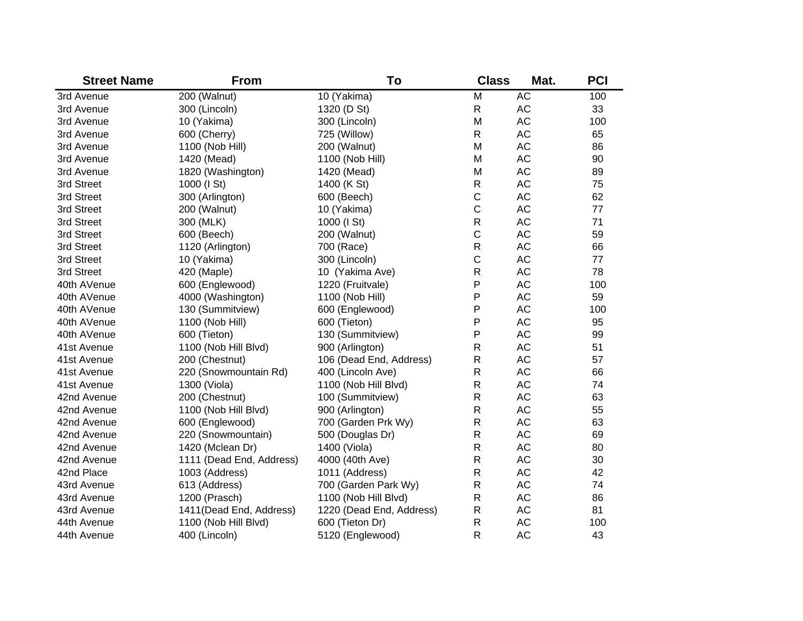| <b>Street Name</b> | <b>From</b>              | To                       | <b>Class</b> | Mat.      | <b>PCI</b> |
|--------------------|--------------------------|--------------------------|--------------|-----------|------------|
| 3rd Avenue         | 200 (Walnut)             | 10 (Yakima)              | M            | <b>AC</b> | 100        |
| 3rd Avenue         | 300 (Lincoln)            | 1320 (D St)              | R            | AC        | 33         |
| 3rd Avenue         | 10 (Yakima)              | 300 (Lincoln)            | M            | AC        | 100        |
| 3rd Avenue         | 600 (Cherry)             | 725 (Willow)             | $\mathsf{R}$ | AC        | 65         |
| 3rd Avenue         | 1100 (Nob Hill)          | 200 (Walnut)             | M            | AC        | 86         |
| 3rd Avenue         | 1420 (Mead)              | 1100 (Nob Hill)          | M            | AC        | 90         |
| 3rd Avenue         | 1820 (Washington)        | 1420 (Mead)              | M            | AC        | 89         |
| 3rd Street         | 1000 (I St)              | 1400 (K St)              | $\mathsf{R}$ | AC        | 75         |
| 3rd Street         | 300 (Arlington)          | 600 (Beech)              | $\mathsf C$  | AC        | 62         |
| 3rd Street         | 200 (Walnut)             | 10 (Yakima)              | $\mathsf C$  | AC        | 77         |
| 3rd Street         | 300 (MLK)                | 1000 (I St)              | $\mathsf{R}$ | AC        | 71         |
| 3rd Street         | 600 (Beech)              | 200 (Walnut)             | C            | AC        | 59         |
| 3rd Street         | 1120 (Arlington)         | 700 (Race)               | $\mathsf{R}$ | AC        | 66         |
| 3rd Street         | 10 (Yakima)              | 300 (Lincoln)            | C            | AC        | 77         |
| 3rd Street         | 420 (Maple)              | 10 (Yakima Ave)          | $\mathsf R$  | AC        | 78         |
| 40th AVenue        | 600 (Englewood)          | 1220 (Fruitvale)         | Ρ            | AC        | 100        |
| 40th AVenue        | 4000 (Washington)        | 1100 (Nob Hill)          | P            | AC        | 59         |
| 40th AVenue        | 130 (Summitview)         | 600 (Englewood)          | P            | AC        | 100        |
| 40th AVenue        | 1100 (Nob Hill)          | 600 (Tieton)             | P            | AC        | 95         |
| 40th AVenue        | 600 (Tieton)             | 130 (Summitview)         | P            | AC        | 99         |
| 41st Avenue        | 1100 (Nob Hill Blvd)     | 900 (Arlington)          | R            | AC        | 51         |
| 41st Avenue        | 200 (Chestnut)           | 106 (Dead End, Address)  | R            | AC        | 57         |
| 41st Avenue        | 220 (Snowmountain Rd)    | 400 (Lincoln Ave)        | R            | AC        | 66         |
| 41st Avenue        | 1300 (Viola)             | 1100 (Nob Hill Blvd)     | R            | AC        | 74         |
| 42nd Avenue        | 200 (Chestnut)           | 100 (Summitview)         | R            | AC        | 63         |
| 42nd Avenue        | 1100 (Nob Hill Blvd)     | 900 (Arlington)          | R            | AC        | 55         |
| 42nd Avenue        | 600 (Englewood)          | 700 (Garden Prk Wy)      | R            | AC        | 63         |
| 42nd Avenue        | 220 (Snowmountain)       | 500 (Douglas Dr)         | R            | AC        | 69         |
| 42nd Avenue        | 1420 (Mclean Dr)         | 1400 (Viola)             | R            | AC        | 80         |
| 42nd Avenue        | 1111 (Dead End, Address) | 4000 (40th Ave)          | $\mathsf{R}$ | AC        | 30         |
| 42nd Place         | 1003 (Address)           | 1011 (Address)           | ${\sf R}$    | AC        | 42         |
| 43rd Avenue        | 613 (Address)            | 700 (Garden Park Wy)     | ${\sf R}$    | AC        | 74         |
| 43rd Avenue        | 1200 (Prasch)            | 1100 (Nob Hill Blvd)     | ${\sf R}$    | AC        | 86         |
| 43rd Avenue        | 1411(Dead End, Address)  | 1220 (Dead End, Address) | ${\sf R}$    | AC        | 81         |
| 44th Avenue        | 1100 (Nob Hill Blvd)     | 600 (Tieton Dr)          | $\mathsf R$  | <b>AC</b> | 100        |
| 44th Avenue        | 400 (Lincoln)            | 5120 (Englewood)         | R            | <b>AC</b> | 43         |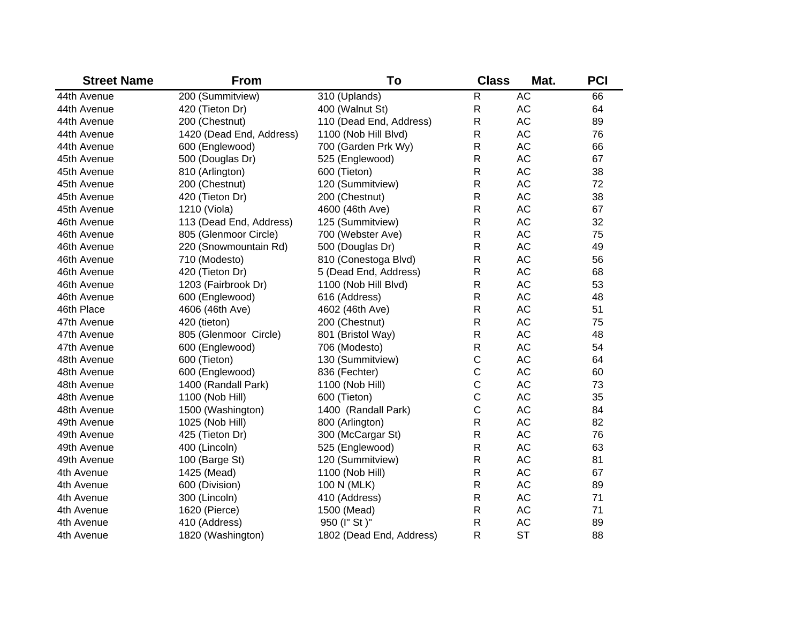| <b>Street Name</b> | <b>From</b>              | To                       | <b>Class</b> | Mat.      | <b>PCI</b> |
|--------------------|--------------------------|--------------------------|--------------|-----------|------------|
| 44th Avenue        | 200 (Summitview)         | 310 (Uplands)            | $\mathsf R$  | <b>AC</b> | 66         |
| 44th Avenue        | 420 (Tieton Dr)          | 400 (Walnut St)          | R            | AC        | 64         |
| 44th Avenue        | 200 (Chestnut)           | 110 (Dead End, Address)  | R            | AC        | 89         |
| 44th Avenue        | 1420 (Dead End, Address) | 1100 (Nob Hill Blvd)     | R            | <b>AC</b> | 76         |
| 44th Avenue        | 600 (Englewood)          | 700 (Garden Prk Wy)      | R            | <b>AC</b> | 66         |
| 45th Avenue        | 500 (Douglas Dr)         | 525 (Englewood)          | R            | <b>AC</b> | 67         |
| 45th Avenue        | 810 (Arlington)          | 600 (Tieton)             | R            | <b>AC</b> | 38         |
| 45th Avenue        | 200 (Chestnut)           | 120 (Summitview)         | R            | <b>AC</b> | 72         |
| 45th Avenue        | 420 (Tieton Dr)          | 200 (Chestnut)           | R            | <b>AC</b> | 38         |
| 45th Avenue        | 1210 (Viola)             | 4600 (46th Ave)          | R            | <b>AC</b> | 67         |
| 46th Avenue        | 113 (Dead End, Address)  | 125 (Summitview)         | R            | <b>AC</b> | 32         |
| 46th Avenue        | 805 (Glenmoor Circle)    | 700 (Webster Ave)        | R            | <b>AC</b> | 75         |
| 46th Avenue        | 220 (Snowmountain Rd)    | 500 (Douglas Dr)         | $\mathsf R$  | <b>AC</b> | 49         |
| 46th Avenue        | 710 (Modesto)            | 810 (Conestoga Blvd)     | $\mathsf R$  | <b>AC</b> | 56         |
| 46th Avenue        | 420 (Tieton Dr)          | 5 (Dead End, Address)    | R            | AC        | 68         |
| 46th Avenue        | 1203 (Fairbrook Dr)      | 1100 (Nob Hill Blvd)     | $\mathsf R$  | <b>AC</b> | 53         |
| 46th Avenue        | 600 (Englewood)          | 616 (Address)            | R            | AC        | 48         |
| 46th Place         | 4606 (46th Ave)          | 4602 (46th Ave)          | $\mathsf R$  | AC        | 51         |
| 47th Avenue        | 420 (tieton)             | 200 (Chestnut)           | R            | <b>AC</b> | 75         |
| 47th Avenue        | 805 (Glenmoor Circle)    | 801 (Bristol Way)        | R            | <b>AC</b> | 48         |
| 47th Avenue        | 600 (Englewood)          | 706 (Modesto)            | $\mathsf{R}$ | <b>AC</b> | 54         |
| 48th Avenue        | 600 (Tieton)             | 130 (Summitview)         | $\mathsf C$  | <b>AC</b> | 64         |
| 48th Avenue        | 600 (Englewood)          | 836 (Fechter)            | $\mathsf C$  | <b>AC</b> | 60         |
| 48th Avenue        | 1400 (Randall Park)      | 1100 (Nob Hill)          | $\mathsf C$  | <b>AC</b> | 73         |
| 48th Avenue        | 1100 (Nob Hill)          | 600 (Tieton)             | $\mathsf C$  | <b>AC</b> | 35         |
| 48th Avenue        | 1500 (Washington)        | 1400 (Randall Park)      | $\mathsf C$  | <b>AC</b> | 84         |
| 49th Avenue        | 1025 (Nob Hill)          | 800 (Arlington)          | ${\sf R}$    | <b>AC</b> | 82         |
| 49th Avenue        | 425 (Tieton Dr)          | 300 (McCargar St)        | R            | <b>AC</b> | 76         |
| 49th Avenue        | 400 (Lincoln)            | 525 (Englewood)          | $\mathsf R$  | <b>AC</b> | 63         |
| 49th Avenue        | 100 (Barge St)           | 120 (Summitview)         | $\mathsf R$  | <b>AC</b> | 81         |
| 4th Avenue         | 1425 (Mead)              | 1100 (Nob Hill)          | $\mathsf R$  | AC        | 67         |
| 4th Avenue         | 600 (Division)           | 100 N (MLK)              | $\mathsf R$  | AC        | 89         |
| 4th Avenue         | 300 (Lincoln)            | 410 (Address)            | $\mathsf R$  | AC        | 71         |
| 4th Avenue         | 1620 (Pierce)            | 1500 (Mead)              | $\mathsf R$  | AC        | 71         |
| 4th Avenue         | 410 (Address)            | 950 (I" St)"             | R            | <b>AC</b> | 89         |
| 4th Avenue         | 1820 (Washington)        | 1802 (Dead End, Address) | R            | <b>ST</b> | 88         |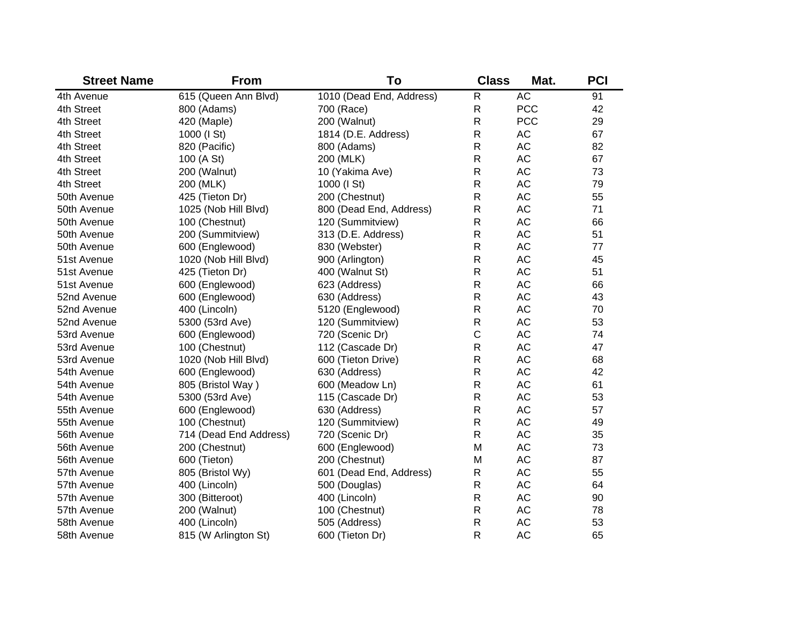| <b>Street Name</b> | <b>From</b>            | To                       | <b>Class</b> | Mat.       | <b>PCI</b> |
|--------------------|------------------------|--------------------------|--------------|------------|------------|
| 4th Avenue         | 615 (Queen Ann Blvd)   | 1010 (Dead End, Address) | $\mathsf R$  | <b>AC</b>  | 91         |
| 4th Street         | 800 (Adams)            | 700 (Race)               | $\mathsf{R}$ | <b>PCC</b> | 42         |
| 4th Street         | 420 (Maple)            | 200 (Walnut)             | R            | <b>PCC</b> | 29         |
| 4th Street         | 1000 (I St)            | 1814 (D.E. Address)      | R            | <b>AC</b>  | 67         |
| 4th Street         | 820 (Pacific)          | 800 (Adams)              | R            | <b>AC</b>  | 82         |
| 4th Street         | 100 (A St)             | 200 (MLK)                | R            | <b>AC</b>  | 67         |
| 4th Street         | 200 (Walnut)           | 10 (Yakima Ave)          | R            | <b>AC</b>  | 73         |
| 4th Street         | 200 (MLK)              | 1000 (I St)              | R            | <b>AC</b>  | 79         |
| 50th Avenue        | 425 (Tieton Dr)        | 200 (Chestnut)           | R            | <b>AC</b>  | 55         |
| 50th Avenue        | 1025 (Nob Hill Blvd)   | 800 (Dead End, Address)  | $\mathsf R$  | <b>AC</b>  | 71         |
| 50th Avenue        | 100 (Chestnut)         | 120 (Summitview)         | $\mathsf{R}$ | <b>AC</b>  | 66         |
| 50th Avenue        | 200 (Summitview)       | 313 (D.E. Address)       | R            | <b>AC</b>  | 51         |
| 50th Avenue        | 600 (Englewood)        | 830 (Webster)            | R            | <b>AC</b>  | 77         |
| 51st Avenue        | 1020 (Nob Hill Blvd)   | 900 (Arlington)          | R            | <b>AC</b>  | 45         |
| 51st Avenue        | 425 (Tieton Dr)        | 400 (Walnut St)          | R            | <b>AC</b>  | 51         |
| 51st Avenue        | 600 (Englewood)        | 623 (Address)            | $\mathsf R$  | <b>AC</b>  | 66         |
| 52nd Avenue        | 600 (Englewood)        | 630 (Address)            | R            | <b>AC</b>  | 43         |
| 52nd Avenue        | 400 (Lincoln)          | 5120 (Englewood)         | R            | <b>AC</b>  | 70         |
| 52nd Avenue        | 5300 (53rd Ave)        | 120 (Summitview)         | R            | <b>AC</b>  | 53         |
| 53rd Avenue        | 600 (Englewood)        | 720 (Scenic Dr)          | $\mathsf C$  | <b>AC</b>  | 74         |
| 53rd Avenue        | 100 (Chestnut)         | 112 (Cascade Dr)         | R            | <b>AC</b>  | 47         |
| 53rd Avenue        | 1020 (Nob Hill Blvd)   | 600 (Tieton Drive)       | R            | <b>AC</b>  | 68         |
| 54th Avenue        | 600 (Englewood)        | 630 (Address)            | R            | <b>AC</b>  | 42         |
| 54th Avenue        | 805 (Bristol Way)      | 600 (Meadow Ln)          | R            | <b>AC</b>  | 61         |
| 54th Avenue        | 5300 (53rd Ave)        | 115 (Cascade Dr)         | R            | <b>AC</b>  | 53         |
| 55th Avenue        | 600 (Englewood)        | 630 (Address)            | R            | <b>AC</b>  | 57         |
| 55th Avenue        | 100 (Chestnut)         | 120 (Summitview)         | $\mathsf R$  | <b>AC</b>  | 49         |
| 56th Avenue        | 714 (Dead End Address) | 720 (Scenic Dr)          | R            | <b>AC</b>  | 35         |
| 56th Avenue        | 200 (Chestnut)         | 600 (Englewood)          | M            | <b>AC</b>  | 73         |
| 56th Avenue        | 600 (Tieton)           | 200 (Chestnut)           | M            | <b>AC</b>  | 87         |
| 57th Avenue        | 805 (Bristol Wy)       | 601 (Dead End, Address)  | R            | <b>AC</b>  | 55         |
| 57th Avenue        | 400 (Lincoln)          | 500 (Douglas)            | $\mathsf R$  | <b>AC</b>  | 64         |
| 57th Avenue        | 300 (Bitteroot)        | 400 (Lincoln)            | $\mathsf R$  | AC         | 90         |
| 57th Avenue        | 200 (Walnut)           | 100 (Chestnut)           | ${\sf R}$    | AC         | 78         |
| 58th Avenue        | 400 (Lincoln)          | 505 (Address)            | R            | <b>AC</b>  | 53         |
| 58th Avenue        | 815 (W Arlington St)   | 600 (Tieton Dr)          | $\mathsf{R}$ | <b>AC</b>  | 65         |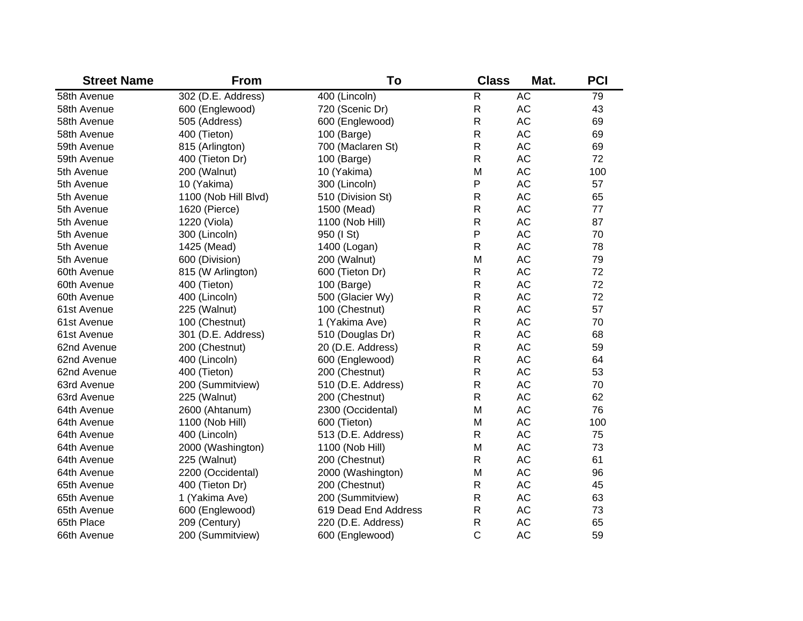| <b>Street Name</b> | <b>From</b>          | To                   | <b>Class</b> | Mat.      | <b>PCI</b> |
|--------------------|----------------------|----------------------|--------------|-----------|------------|
| 58th Avenue        | 302 (D.E. Address)   | 400 (Lincoln)        | $\mathsf R$  | AC        | 79         |
| 58th Avenue        | 600 (Englewood)      | 720 (Scenic Dr)      | ${\sf R}$    | AC        | 43         |
| 58th Avenue        | 505 (Address)        | 600 (Englewood)      | $\mathsf{R}$ | <b>AC</b> | 69         |
| 58th Avenue        | 400 (Tieton)         | 100 (Barge)          | $\mathsf{R}$ | <b>AC</b> | 69         |
| 59th Avenue        | 815 (Arlington)      | 700 (Maclaren St)    | $\mathsf{R}$ | <b>AC</b> | 69         |
| 59th Avenue        | 400 (Tieton Dr)      | 100 (Barge)          | $\mathsf{R}$ | <b>AC</b> | 72         |
| 5th Avenue         | 200 (Walnut)         | 10 (Yakima)          | M            | AC        | 100        |
| 5th Avenue         | 10 (Yakima)          | 300 (Lincoln)        | P            | <b>AC</b> | 57         |
| 5th Avenue         | 1100 (Nob Hill Blvd) | 510 (Division St)    | $\mathsf R$  | <b>AC</b> | 65         |
| 5th Avenue         | 1620 (Pierce)        | 1500 (Mead)          | ${\sf R}$    | AC        | 77         |
| 5th Avenue         | 1220 (Viola)         | 1100 (Nob Hill)      | $\mathsf R$  | AC        | 87         |
| 5th Avenue         | 300 (Lincoln)        | 950 (I St)           | P            | <b>AC</b> | 70         |
| 5th Avenue         | 1425 (Mead)          | 1400 (Logan)         | $\mathsf R$  | AC        | 78         |
| 5th Avenue         | 600 (Division)       | 200 (Walnut)         | M            | AC        | 79         |
| 60th Avenue        | 815 (W Arlington)    | 600 (Tieton Dr)      | R            | AC        | 72         |
| 60th Avenue        | 400 (Tieton)         | 100 (Barge)          | $\mathsf{R}$ | AC        | 72         |
| 60th Avenue        | 400 (Lincoln)        | 500 (Glacier Wy)     | $\mathsf{R}$ | AC        | 72         |
| 61st Avenue        | 225 (Walnut)         | 100 (Chestnut)       | $\mathsf R$  | AC        | 57         |
| 61st Avenue        | 100 (Chestnut)       | 1 (Yakima Ave)       | $\mathsf R$  | AC        | 70         |
| 61st Avenue        | 301 (D.E. Address)   | 510 (Douglas Dr)     | $\mathsf R$  | AC        | 68         |
| 62nd Avenue        | 200 (Chestnut)       | 20 (D.E. Address)    | $\mathsf R$  | AC        | 59         |
| 62nd Avenue        | 400 (Lincoln)        | 600 (Englewood)      | $\mathsf R$  | AC        | 64         |
| 62nd Avenue        | 400 (Tieton)         | 200 (Chestnut)       | $\mathsf{R}$ | AC        | 53         |
| 63rd Avenue        | 200 (Summitview)     | 510 (D.E. Address)   | $\mathsf{R}$ | AC        | 70         |
| 63rd Avenue        | 225 (Walnut)         | 200 (Chestnut)       | $\mathsf{R}$ | AC        | 62         |
| 64th Avenue        | 2600 (Ahtanum)       | 2300 (Occidental)    | M            | AC        | 76         |
| 64th Avenue        | 1100 (Nob Hill)      | 600 (Tieton)         | M            | AC        | 100        |
| 64th Avenue        | 400 (Lincoln)        | 513 (D.E. Address)   | $\mathsf{R}$ | AC        | 75         |
| 64th Avenue        | 2000 (Washington)    | 1100 (Nob Hill)      | M            | AC        | 73         |
| 64th Avenue        | 225 (Walnut)         | 200 (Chestnut)       | $\mathsf{R}$ | AC        | 61         |
| 64th Avenue        | 2200 (Occidental)    | 2000 (Washington)    | M            | AC        | 96         |
| 65th Avenue        | 400 (Tieton Dr)      | 200 (Chestnut)       | $\mathsf{R}$ | AC        | 45         |
| 65th Avenue        | 1 (Yakima Ave)       | 200 (Summitview)     | $\mathsf{R}$ | AC        | 63         |
| 65th Avenue        | 600 (Englewood)      | 619 Dead End Address | $\mathsf{R}$ | AC        | 73         |
| 65th Place         | 209 (Century)        | 220 (D.E. Address)   | $\mathsf{R}$ | <b>AC</b> | 65         |
| 66th Avenue        | 200 (Summitview)     | 600 (Englewood)      | C            | <b>AC</b> | 59         |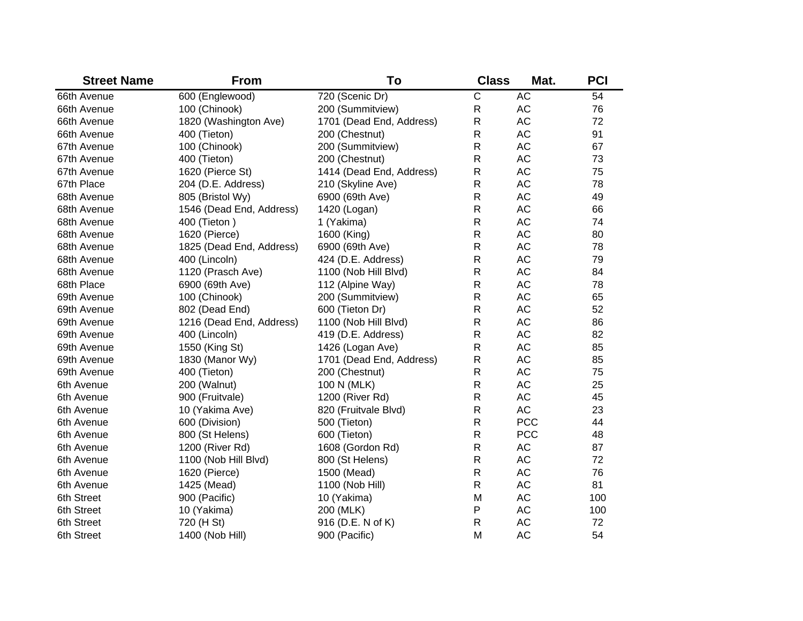| <b>Street Name</b> | <b>From</b>              | To                       | <b>Class</b> | Mat.          | <b>PCI</b> |
|--------------------|--------------------------|--------------------------|--------------|---------------|------------|
| 66th Avenue        | 600 (Englewood)          | 720 (Scenic Dr)          | C            | <b>AC</b>     | 54         |
| 66th Avenue        | 100 (Chinook)            | 200 (Summitview)         | $\mathsf R$  | AC            | 76         |
| 66th Avenue        | 1820 (Washington Ave)    | 1701 (Dead End, Address) | $\mathsf R$  | AC            | 72         |
| 66th Avenue        | 400 (Tieton)             | 200 (Chestnut)           | $\mathsf R$  | AC            | 91         |
| 67th Avenue        | 100 (Chinook)            | 200 (Summitview)         | $\mathsf R$  | AC            | 67         |
| 67th Avenue        | 400 (Tieton)             | 200 (Chestnut)           | $\mathsf R$  | AC            | 73         |
| 67th Avenue        | 1620 (Pierce St)         | 1414 (Dead End, Address) | $\mathsf R$  | <b>AC</b>     | 75         |
| 67th Place         | 204 (D.E. Address)       | 210 (Skyline Ave)        | $\mathsf R$  | <b>AC</b>     | 78         |
| 68th Avenue        | 805 (Bristol Wy)         | 6900 (69th Ave)          | $\mathsf{R}$ | <b>AC</b>     | 49         |
| 68th Avenue        | 1546 (Dead End, Address) | 1420 (Logan)             | $\mathsf{R}$ | <b>AC</b>     | 66         |
| 68th Avenue        | 400 (Tieton)             | 1 (Yakima)               | $\mathsf{R}$ | <b>AC</b>     | 74         |
| 68th Avenue        | 1620 (Pierce)            | 1600 (King)              | $\mathsf{R}$ | <b>AC</b>     | 80         |
| 68th Avenue        | 1825 (Dead End, Address) | 6900 (69th Ave)          | $\mathsf{R}$ | <b>AC</b>     | 78         |
| 68th Avenue        | 400 (Lincoln)            | 424 (D.E. Address)       | $\mathsf{R}$ | <b>AC</b>     | 79         |
| 68th Avenue        | 1120 (Prasch Ave)        | 1100 (Nob Hill Blvd)     | $\mathsf{R}$ | <b>AC</b>     | 84         |
| 68th Place         | 6900 (69th Ave)          | 112 (Alpine Way)         | $\mathsf{R}$ | <b>AC</b>     | 78         |
| 69th Avenue        | 100 (Chinook)            | 200 (Summitview)         | $\mathsf{R}$ | <b>AC</b>     | 65         |
| 69th Avenue        | 802 (Dead End)           | 600 (Tieton Dr)          | $\mathsf{R}$ | <b>AC</b>     | 52         |
| 69th Avenue        | 1216 (Dead End, Address) | 1100 (Nob Hill Blvd)     | R            | AC            | 86         |
| 69th Avenue        | 400 (Lincoln)            | 419 (D.E. Address)       | $\mathsf{R}$ | AC            | 82         |
| 69th Avenue        | 1550 (King St)           | 1426 (Logan Ave)         | R            | AC            | 85         |
| 69th Avenue        | 1830 (Manor Wy)          | 1701 (Dead End, Address) | R            | AC            | 85         |
| 69th Avenue        | 400 (Tieton)             | 200 (Chestnut)           | $\mathsf{R}$ | AC            | 75         |
| 6th Avenue         | 200 (Walnut)             | 100 N (MLK)              | $\mathsf{R}$ | AC            | 25         |
| 6th Avenue         | 900 (Fruitvale)          | 1200 (River Rd)          | R            | AC            | 45         |
| 6th Avenue         | 10 (Yakima Ave)          | 820 (Fruitvale Blvd)     | R            | <b>AC</b>     | 23         |
| 6th Avenue         | 600 (Division)           | 500 (Tieton)             | R            | <b>PCC</b>    | 44         |
| 6th Avenue         | 800 (St Helens)          | 600 (Tieton)             | $\mathsf{R}$ | <b>PCC</b>    | 48         |
| 6th Avenue         | 1200 (River Rd)          | 1608 (Gordon Rd)         | R            | $\mathsf{AC}$ | 87         |
| 6th Avenue         | 1100 (Nob Hill Blvd)     | 800 (St Helens)          | $\mathsf{R}$ | AC            | 72         |
| 6th Avenue         | 1620 (Pierce)            | 1500 (Mead)              | $\mathsf{R}$ | AC            | 76         |
| 6th Avenue         | 1425 (Mead)              | 1100 (Nob Hill)          | $\mathsf{R}$ | AC            | 81         |
| 6th Street         | 900 (Pacific)            | 10 (Yakima)              | M            | AC            | 100        |
| 6th Street         | 10 (Yakima)              | 200 (MLK)                | P            | AC            | 100        |
| 6th Street         | 720 (H St)               | 916 (D.E. N of K)        | $\mathsf{R}$ | AC            | 72         |
| 6th Street         | 1400 (Nob Hill)          | 900 (Pacific)            | M            | <b>AC</b>     | 54         |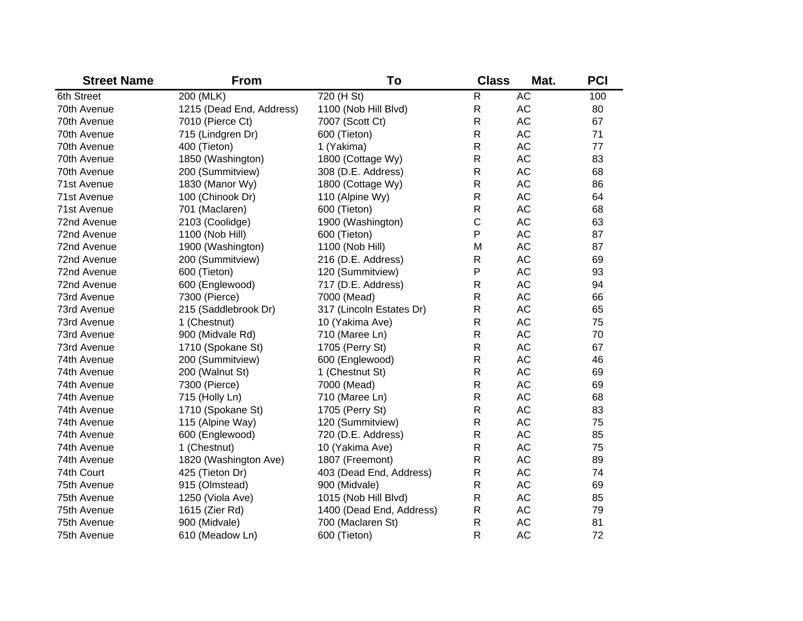| <b>Street Name</b> | <b>From</b>              | To                       | <b>Class</b> | Mat.      | <b>PCI</b> |
|--------------------|--------------------------|--------------------------|--------------|-----------|------------|
| 6th Street         | 200 (MLK)                | 720 (H St)               | $\mathsf{R}$ | <b>AC</b> | 100        |
| 70th Avenue        | 1215 (Dead End, Address) | 1100 (Nob Hill Blvd)     | $\mathsf{R}$ | AC        | 80         |
| 70th Avenue        | 7010 (Pierce Ct)         | 7007 (Scott Ct)          | R            | AC        | 67         |
| 70th Avenue        | 715 (Lindgren Dr)        | 600 (Tieton)             | R            | AC        | 71         |
| 70th Avenue        | 400 (Tieton)             | 1 (Yakima)               | R            | AC        | 77         |
| 70th Avenue        | 1850 (Washington)        | 1800 (Cottage Wy)        | R            | AC        | 83         |
| 70th Avenue        | 200 (Summitview)         | 308 (D.E. Address)       | R            | AC        | 68         |
| 71st Avenue        | 1830 (Manor Wy)          | 1800 (Cottage Wy)        | R            | AC        | 86         |
| 71st Avenue        | 100 (Chinook Dr)         | 110 (Alpine Wy)          | R            | AC        | 64         |
| 71st Avenue        | 701 (Maclaren)           | 600 (Tieton)             | R            | AC        | 68         |
| 72nd Avenue        | 2103 (Coolidge)          | 1900 (Washington)        | $\mathsf C$  | AC        | 63         |
| 72nd Avenue        | 1100 (Nob Hill)          | 600 (Tieton)             | P            | AC        | 87         |
| 72nd Avenue        | 1900 (Washington)        | 1100 (Nob Hill)          | M            | AC        | 87         |
| 72nd Avenue        | 200 (Summitview)         | 216 (D.E. Address)       | R            | AC        | 69         |
| 72nd Avenue        | 600 (Tieton)             | 120 (Summitview)         | P            | AC        | 93         |
| 72nd Avenue        | 600 (Englewood)          | 717 (D.E. Address)       | R            | AC        | 94         |
| 73rd Avenue        | 7300 (Pierce)            | 7000 (Mead)              | R            | AC        | 66         |
| 73rd Avenue        | 215 (Saddlebrook Dr)     | 317 (Lincoln Estates Dr) | R            | AC        | 65         |
| 73rd Avenue        | 1 (Chestnut)             | 10 (Yakima Ave)          | $\mathsf R$  | AC        | 75         |
| 73rd Avenue        | 900 (Midvale Rd)         | 710 (Maree Ln)           | $\mathsf{R}$ | AC        | 70         |
| 73rd Avenue        | 1710 (Spokane St)        | 1705 (Perry St)          | $\mathsf{R}$ | AC        | 67         |
| 74th Avenue        | 200 (Summitview)         | 600 (Englewood)          | $\mathsf{R}$ | AC        | 46         |
| 74th Avenue        | 200 (Walnut St)          | 1 (Chestnut St)          | ${\sf R}$    | AC        | 69         |
| 74th Avenue        | 7300 (Pierce)            | 7000 (Mead)              | $\mathsf{R}$ | AC        | 69         |
| 74th Avenue        | 715 (Holly Ln)           | 710 (Maree Ln)           | $\mathsf{R}$ | AC        | 68         |
| 74th Avenue        | 1710 (Spokane St)        | 1705 (Perry St)          | $\mathsf{R}$ | AC        | 83         |
| 74th Avenue        | 115 (Alpine Way)         | 120 (Summitview)         | R            | <b>AC</b> | 75         |
| 74th Avenue        | 600 (Englewood)          | 720 (D.E. Address)       | $\mathsf R$  | <b>AC</b> | 85         |
| 74th Avenue        | 1 (Chestnut)             | 10 (Yakima Ave)          | $\mathsf R$  | <b>AC</b> | 75         |
| 74th Avenue        | 1820 (Washington Ave)    | 1807 (Freemont)          | $\mathsf R$  | <b>AC</b> | 89         |
| 74th Court         | 425 (Tieton Dr)          | 403 (Dead End, Address)  | R            | <b>AC</b> | 74         |
| 75th Avenue        | 915 (Olmstead)           | 900 (Midvale)            | $\mathsf R$  | <b>AC</b> | 69         |
| 75th Avenue        | 1250 (Viola Ave)         | 1015 (Nob Hill Blvd)     | $\mathsf R$  | <b>AC</b> | 85         |
| 75th Avenue        | 1615 (Zier Rd)           | 1400 (Dead End, Address) | $\mathsf{R}$ | <b>AC</b> | 79         |
| 75th Avenue        | 900 (Midvale)            | 700 (Maclaren St)        | $\mathsf R$  | <b>AC</b> | 81         |
| 75th Avenue        | 610 (Meadow Ln)          | 600 (Tieton)             | R            | <b>AC</b> | 72         |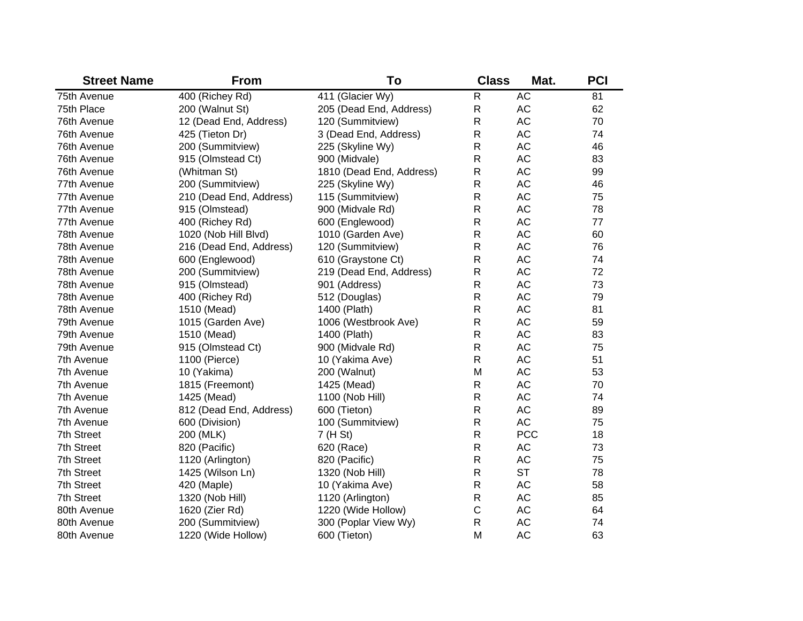| <b>Street Name</b> | <b>From</b>             | To                       | <b>Class</b> | Mat.       | <b>PCI</b> |
|--------------------|-------------------------|--------------------------|--------------|------------|------------|
| 75th Avenue        | 400 (Richey Rd)         | 411 (Glacier Wy)         | $\mathsf{R}$ | <b>AC</b>  | 81         |
| 75th Place         | 200 (Walnut St)         | 205 (Dead End, Address)  | ${\sf R}$    | AC         | 62         |
| 76th Avenue        | 12 (Dead End, Address)  | 120 (Summitview)         | $\mathsf R$  | <b>AC</b>  | 70         |
| 76th Avenue        | 425 (Tieton Dr)         | 3 (Dead End, Address)    | R            | <b>AC</b>  | 74         |
| 76th Avenue        | 200 (Summitview)        | 225 (Skyline Wy)         | $\mathsf R$  | <b>AC</b>  | 46         |
| 76th Avenue        | 915 (Olmstead Ct)       | 900 (Midvale)            | R            | <b>AC</b>  | 83         |
| 76th Avenue        | (Whitman St)            | 1810 (Dead End, Address) | $\mathsf R$  | <b>AC</b>  | 99         |
| 77th Avenue        | 200 (Summitview)        | 225 (Skyline Wy)         | $\mathsf R$  | <b>AC</b>  | 46         |
| 77th Avenue        | 210 (Dead End, Address) | 115 (Summitview)         | $\mathsf{R}$ | <b>AC</b>  | 75         |
| 77th Avenue        | 915 (Olmstead)          | 900 (Midvale Rd)         | $\mathsf R$  | <b>AC</b>  | 78         |
| 77th Avenue        | 400 (Richey Rd)         | 600 (Englewood)          | $\mathsf R$  | <b>AC</b>  | 77         |
| 78th Avenue        | 1020 (Nob Hill Blvd)    | 1010 (Garden Ave)        | $\mathsf R$  | <b>AC</b>  | 60         |
| 78th Avenue        | 216 (Dead End, Address) | 120 (Summitview)         | $\mathsf R$  | <b>AC</b>  | 76         |
| 78th Avenue        | 600 (Englewood)         | 610 (Graystone Ct)       | ${\sf R}$    | <b>AC</b>  | 74         |
| 78th Avenue        | 200 (Summitview)        | 219 (Dead End, Address)  | ${\sf R}$    | <b>AC</b>  | 72         |
| 78th Avenue        | 915 (Olmstead)          | 901 (Address)            | ${\sf R}$    | AC         | 73         |
| 78th Avenue        | 400 (Richey Rd)         | 512 (Douglas)            | $\mathsf R$  | AC         | 79         |
| 78th Avenue        | 1510 (Mead)             | 1400 (Plath)             | ${\sf R}$    | <b>AC</b>  | 81         |
| 79th Avenue        | 1015 (Garden Ave)       | 1006 (Westbrook Ave)     | $\mathsf R$  | <b>AC</b>  | 59         |
| 79th Avenue        | 1510 (Mead)             | 1400 (Plath)             | $\mathsf R$  | <b>AC</b>  | 83         |
| 79th Avenue        | 915 (Olmstead Ct)       | 900 (Midvale Rd)         | $\mathsf{R}$ | <b>AC</b>  | 75         |
| 7th Avenue         | 1100 (Pierce)           | 10 (Yakima Ave)          | $\mathsf R$  | <b>AC</b>  | 51         |
| 7th Avenue         | 10 (Yakima)             | 200 (Walnut)             | M            | <b>AC</b>  | 53         |
| 7th Avenue         | 1815 (Freemont)         | 1425 (Mead)              | $\mathsf{R}$ | <b>AC</b>  | 70         |
| 7th Avenue         | 1425 (Mead)             | 1100 (Nob Hill)          | $\mathsf{R}$ | <b>AC</b>  | 74         |
| 7th Avenue         | 812 (Dead End, Address) | 600 (Tieton)             | $\mathsf{R}$ | <b>AC</b>  | 89         |
| 7th Avenue         | 600 (Division)          | 100 (Summitview)         | ${\sf R}$    | <b>AC</b>  | 75         |
| 7th Street         | 200 (MLK)               | 7 (H St)                 | $\mathsf R$  | <b>PCC</b> | 18         |
| 7th Street         | 820 (Pacific)           | 620 (Race)               | ${\sf R}$    | <b>AC</b>  | 73         |
| 7th Street         | 1120 (Arlington)        | 820 (Pacific)            | $\mathsf{R}$ | <b>AC</b>  | 75         |
| 7th Street         | 1425 (Wilson Ln)        | 1320 (Nob Hill)          | $\mathsf{R}$ | <b>ST</b>  | 78         |
| 7th Street         | 420 (Maple)             | 10 (Yakima Ave)          | $\mathsf{R}$ | AC         | 58         |
| 7th Street         | 1320 (Nob Hill)         | 1120 (Arlington)         | $\mathsf{R}$ | AC         | 85         |
| 80th Avenue        | 1620 (Zier Rd)          | 1220 (Wide Hollow)       | $\mathsf C$  | AC         | 64         |
| 80th Avenue        | 200 (Summitview)        | 300 (Poplar View Wy)     | $\mathsf R$  | <b>AC</b>  | 74         |
| 80th Avenue        | 1220 (Wide Hollow)      | 600 (Tieton)             | M            | <b>AC</b>  | 63         |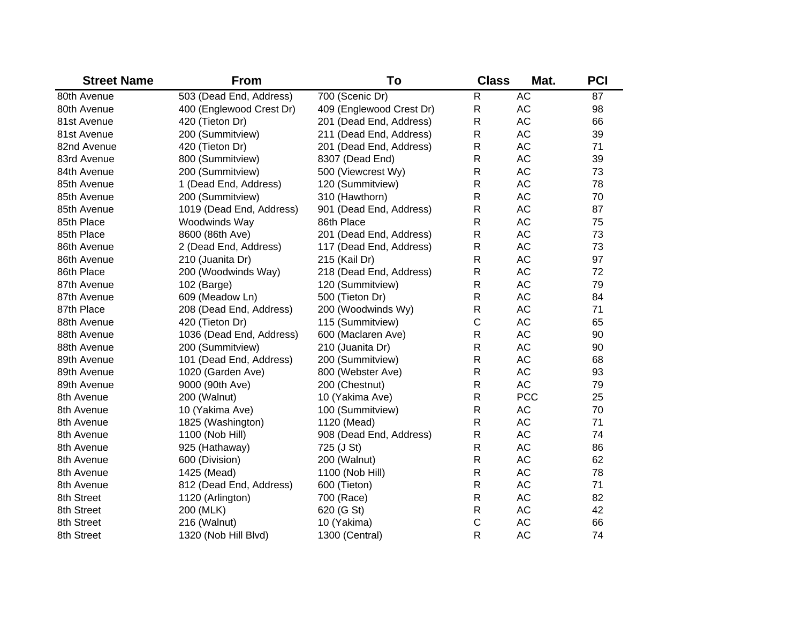| <b>Street Name</b> | <b>From</b>              | To                       | <b>Class</b> | Mat.       | <b>PCI</b> |
|--------------------|--------------------------|--------------------------|--------------|------------|------------|
| 80th Avenue        | 503 (Dead End, Address)  | 700 (Scenic Dr)          | $\mathsf{R}$ | <b>AC</b>  | 87         |
| 80th Avenue        | 400 (Englewood Crest Dr) | 409 (Englewood Crest Dr) | $\mathsf{R}$ | AC         | 98         |
| 81st Avenue        | 420 (Tieton Dr)          | 201 (Dead End, Address)  | R            | <b>AC</b>  | 66         |
| 81st Avenue        | 200 (Summitview)         | 211 (Dead End, Address)  | R            | <b>AC</b>  | 39         |
| 82nd Avenue        | 420 (Tieton Dr)          | 201 (Dead End, Address)  | R            | <b>AC</b>  | 71         |
| 83rd Avenue        | 800 (Summitview)         | 8307 (Dead End)          | R            | <b>AC</b>  | 39         |
| 84th Avenue        | 200 (Summitview)         | 500 (Viewcrest Wy)       | R            | <b>AC</b>  | 73         |
| 85th Avenue        | 1 (Dead End, Address)    | 120 (Summitview)         | R            | <b>AC</b>  | 78         |
| 85th Avenue        | 200 (Summitview)         | 310 (Hawthorn)           | R            | <b>AC</b>  | 70         |
| 85th Avenue        | 1019 (Dead End, Address) | 901 (Dead End, Address)  | R            | <b>AC</b>  | 87         |
| 85th Place         | Woodwinds Way            | 86th Place               | $\mathsf{R}$ | <b>AC</b>  | 75         |
| 85th Place         | 8600 (86th Ave)          | 201 (Dead End, Address)  | R            | <b>AC</b>  | 73         |
| 86th Avenue        | 2 (Dead End, Address)    | 117 (Dead End, Address)  | $\mathsf{R}$ | <b>AC</b>  | 73         |
| 86th Avenue        | 210 (Juanita Dr)         | 215 (Kail Dr)            | $\mathsf{R}$ | <b>AC</b>  | 97         |
| 86th Place         | 200 (Woodwinds Way)      | 218 (Dead End, Address)  | $\mathsf{R}$ | <b>AC</b>  | 72         |
| 87th Avenue        | 102 (Barge)              | 120 (Summitview)         | $\mathsf{R}$ | <b>AC</b>  | 79         |
| 87th Avenue        | 609 (Meadow Ln)          | 500 (Tieton Dr)          | $\mathsf{R}$ | <b>AC</b>  | 84         |
| 87th Place         | 208 (Dead End, Address)  | 200 (Woodwinds Wy)       | R            | <b>AC</b>  | 71         |
| 88th Avenue        | 420 (Tieton Dr)          | 115 (Summitview)         | $\mathsf C$  | <b>AC</b>  | 65         |
| 88th Avenue        | 1036 (Dead End, Address) | 600 (Maclaren Ave)       | R            | <b>AC</b>  | 90         |
| 88th Avenue        | 200 (Summitview)         | 210 (Juanita Dr)         | R            | <b>AC</b>  | 90         |
| 89th Avenue        | 101 (Dead End, Address)  | 200 (Summitview)         | R            | <b>AC</b>  | 68         |
| 89th Avenue        | 1020 (Garden Ave)        | 800 (Webster Ave)        | R            | <b>AC</b>  | 93         |
| 89th Avenue        | 9000 (90th Ave)          | 200 (Chestnut)           | R            | <b>AC</b>  | 79         |
| 8th Avenue         | 200 (Walnut)             | 10 (Yakima Ave)          | R            | <b>PCC</b> | 25         |
| 8th Avenue         | 10 (Yakima Ave)          | 100 (Summitview)         | $\mathsf{R}$ | <b>AC</b>  | 70         |
| 8th Avenue         | 1825 (Washington)        | 1120 (Mead)              | $\mathsf{R}$ | <b>AC</b>  | 71         |
| 8th Avenue         | 1100 (Nob Hill)          | 908 (Dead End, Address)  | R            | <b>AC</b>  | 74         |
| 8th Avenue         | 925 (Hathaway)           | 725 (J St)               | $\mathsf{R}$ | <b>AC</b>  | 86         |
| 8th Avenue         | 600 (Division)           | 200 (Walnut)             | $\mathsf{R}$ | <b>AC</b>  | 62         |
| 8th Avenue         | 1425 (Mead)              | 1100 (Nob Hill)          | $\mathsf{R}$ | AC         | 78         |
| 8th Avenue         | 812 (Dead End, Address)  | 600 (Tieton)             | $\mathsf{R}$ | AC         | 71         |
| 8th Street         | 1120 (Arlington)         | 700 (Race)               | $\mathsf{R}$ | AC         | 82         |
| 8th Street         | 200 (MLK)                | 620 (G St)               | R            | AC         | 42         |
| 8th Street         | 216 (Walnut)             | 10 (Yakima)              | C            | <b>AC</b>  | 66         |
| 8th Street         | 1320 (Nob Hill Blvd)     | 1300 (Central)           | R            | <b>AC</b>  | 74         |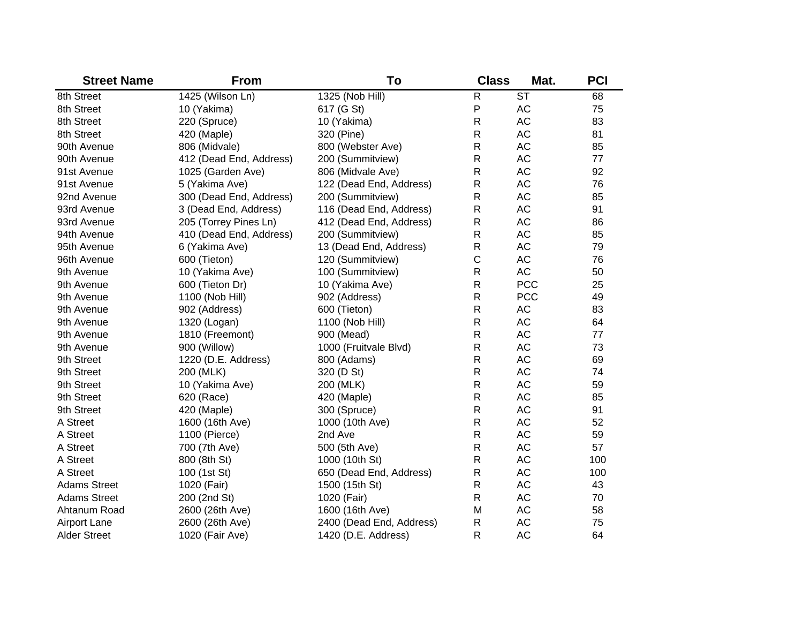| <b>Street Name</b>  | <b>From</b>             | To                       | <b>Class</b> | Mat.                     | <b>PCI</b> |
|---------------------|-------------------------|--------------------------|--------------|--------------------------|------------|
| 8th Street          | 1425 (Wilson Ln)        | 1325 (Nob Hill)          | R            | $\overline{\mathsf{ST}}$ | 68         |
| 8th Street          | 10 (Yakima)             | 617 (G St)               | P            | AC                       | 75         |
| 8th Street          | 220 (Spruce)            | 10 (Yakima)              | R            | AC                       | 83         |
| 8th Street          | 420 (Maple)             | 320 (Pine)               | $\mathsf{R}$ | AC                       | 81         |
| 90th Avenue         | 806 (Midvale)           | 800 (Webster Ave)        | R            | AC                       | 85         |
| 90th Avenue         | 412 (Dead End, Address) | 200 (Summitview)         | R            | AC                       | 77         |
| 91st Avenue         | 1025 (Garden Ave)       | 806 (Midvale Ave)        | R            | AC                       | 92         |
| 91st Avenue         | 5 (Yakima Ave)          | 122 (Dead End, Address)  | R            | AC                       | 76         |
| 92nd Avenue         | 300 (Dead End, Address) | 200 (Summitview)         | $\mathsf{R}$ | AC                       | 85         |
| 93rd Avenue         | 3 (Dead End, Address)   | 116 (Dead End, Address)  | R            | AC                       | 91         |
| 93rd Avenue         | 205 (Torrey Pines Ln)   | 412 (Dead End, Address)  | ${\sf R}$    | AC                       | 86         |
| 94th Avenue         | 410 (Dead End, Address) | 200 (Summitview)         | $\mathsf{R}$ | AC                       | 85         |
| 95th Avenue         | 6 (Yakima Ave)          | 13 (Dead End, Address)   | $\mathsf{R}$ | AC                       | 79         |
| 96th Avenue         | 600 (Tieton)            | 120 (Summitview)         | C            | AC                       | 76         |
| 9th Avenue          | 10 (Yakima Ave)         | 100 (Summitview)         | $\mathsf{R}$ | AC                       | 50         |
| 9th Avenue          | 600 (Tieton Dr)         | 10 (Yakima Ave)          | $\mathsf{R}$ | <b>PCC</b>               | 25         |
| 9th Avenue          | 1100 (Nob Hill)         | 902 (Address)            | $\mathsf{R}$ | <b>PCC</b>               | 49         |
| 9th Avenue          | 902 (Address)           | 600 (Tieton)             | $\mathsf R$  | AC                       | 83         |
| 9th Avenue          | 1320 (Logan)            | 1100 (Nob Hill)          | R            | AC                       | 64         |
| 9th Avenue          | 1810 (Freemont)         | 900 (Mead)               | R            | AC                       | 77         |
| 9th Avenue          | 900 (Willow)            | 1000 (Fruitvale Blvd)    | R            | AC                       | 73         |
| 9th Street          | 1220 (D.E. Address)     | 800 (Adams)              | R            | AC                       | 69         |
| 9th Street          | 200 (MLK)               | 320 (D St)               | R            | AC                       | 74         |
| 9th Street          | 10 (Yakima Ave)         | 200 (MLK)                | R            | AC                       | 59         |
| 9th Street          | 620 (Race)              | 420 (Maple)              | $\mathsf{R}$ | AC                       | 85         |
| 9th Street          | 420 (Maple)             | 300 (Spruce)             | $\mathsf{R}$ | AC                       | 91         |
| A Street            | 1600 (16th Ave)         | 1000 (10th Ave)          | $\mathsf{R}$ | AC                       | 52         |
| A Street            | 1100 (Pierce)           | 2nd Ave                  | R            | AC                       | 59         |
| A Street            | 700 (7th Ave)           | 500 (5th Ave)            | $\mathsf{R}$ | AC                       | 57         |
| A Street            | 800 (8th St)            | 1000 (10th St)           | $\mathsf{R}$ | AC                       | 100        |
| A Street            | 100 (1st St)            | 650 (Dead End, Address)  | ${\sf R}$    | AC                       | 100        |
| <b>Adams Street</b> | 1020 (Fair)             | 1500 (15th St)           | $\mathsf R$  | AC                       | 43         |
| <b>Adams Street</b> | 200 (2nd St)            | 1020 (Fair)              | $\mathsf R$  | AC                       | 70         |
| Ahtanum Road        | 2600 (26th Ave)         | 1600 (16th Ave)          | M            | AC                       | 58         |
| <b>Airport Lane</b> | 2600 (26th Ave)         | 2400 (Dead End, Address) | $\mathsf{R}$ | <b>AC</b>                | 75         |
| <b>Alder Street</b> | 1020 (Fair Ave)         | 1420 (D.E. Address)      | R            | <b>AC</b>                | 64         |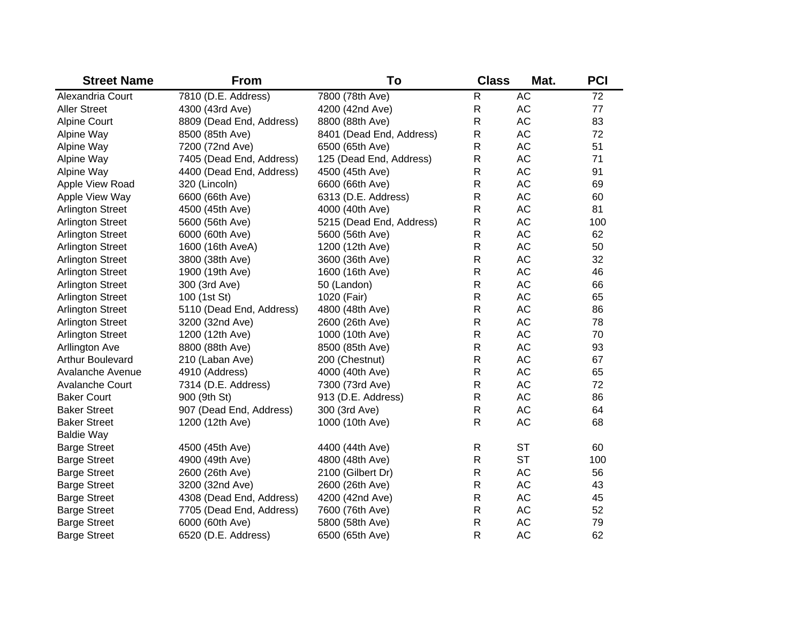| <b>Street Name</b>      | <b>From</b>              | To                       | <b>Class</b> | Mat.      | <b>PCI</b> |
|-------------------------|--------------------------|--------------------------|--------------|-----------|------------|
| Alexandria Court        | 7810 (D.E. Address)      | 7800 (78th Ave)          | $\mathsf{R}$ | AC        | 72         |
| <b>Aller Street</b>     | 4300 (43rd Ave)          | 4200 (42nd Ave)          | $\mathsf{R}$ | AC        | 77         |
| <b>Alpine Court</b>     | 8809 (Dead End, Address) | 8800 (88th Ave)          | $\mathsf{R}$ | AC        | 83         |
| Alpine Way              | 8500 (85th Ave)          | 8401 (Dead End, Address) | $\mathsf{R}$ | AC        | 72         |
| Alpine Way              | 7200 (72nd Ave)          | 6500 (65th Ave)          | $\mathsf{R}$ | AC        | 51         |
| Alpine Way              | 7405 (Dead End, Address) | 125 (Dead End, Address)  | $\mathsf{R}$ | AC        | 71         |
| Alpine Way              | 4400 (Dead End, Address) | 4500 (45th Ave)          | $\mathsf{R}$ | AC        | 91         |
| Apple View Road         | 320 (Lincoln)            | 6600 (66th Ave)          | $\mathsf{R}$ | AC        | 69         |
| Apple View Way          | 6600 (66th Ave)          | 6313 (D.E. Address)      | $\mathsf{R}$ | AC        | 60         |
| <b>Arlington Street</b> | 4500 (45th Ave)          | 4000 (40th Ave)          | $\mathsf{R}$ | AC        | 81         |
| <b>Arlington Street</b> | 5600 (56th Ave)          | 5215 (Dead End, Address) | $\mathsf{R}$ | AC        | 100        |
| <b>Arlington Street</b> | 6000 (60th Ave)          | 5600 (56th Ave)          | $\mathsf{R}$ | AC        | 62         |
| <b>Arlington Street</b> | 1600 (16th AveA)         | 1200 (12th Ave)          | $\mathsf{R}$ | AC        | 50         |
| <b>Arlington Street</b> | 3800 (38th Ave)          | 3600 (36th Ave)          | $\mathsf{R}$ | AC        | 32         |
| <b>Arlington Street</b> | 1900 (19th Ave)          | 1600 (16th Ave)          | $\mathsf{R}$ | AC        | 46         |
| <b>Arlington Street</b> | 300 (3rd Ave)            | 50 (Landon)              | $\mathsf{R}$ | AC        | 66         |
| <b>Arlington Street</b> | 100 (1st St)             | 1020 (Fair)              | $\mathsf{R}$ | AC        | 65         |
| <b>Arlington Street</b> | 5110 (Dead End, Address) | 4800 (48th Ave)          | $\mathsf{R}$ | AC        | 86         |
| <b>Arlington Street</b> | 3200 (32nd Ave)          | 2600 (26th Ave)          | $\mathsf{R}$ | AC        | 78         |
| <b>Arlington Street</b> | 1200 (12th Ave)          | 1000 (10th Ave)          | $\mathsf{R}$ | AC        | 70         |
| <b>Arllington Ave</b>   | 8800 (88th Ave)          | 8500 (85th Ave)          | $\mathsf{R}$ | AC        | 93         |
| <b>Arthur Boulevard</b> | 210 (Laban Ave)          | 200 (Chestnut)           | $\mathsf{R}$ | AC        | 67         |
| <b>Avalanche Avenue</b> | 4910 (Address)           | 4000 (40th Ave)          | $\mathsf{R}$ | AC        | 65         |
| <b>Avalanche Court</b>  | 7314 (D.E. Address)      | 7300 (73rd Ave)          | $\mathsf{R}$ | AC        | 72         |
| <b>Baker Court</b>      | 900 (9th St)             | 913 (D.E. Address)       | $\mathsf{R}$ | AC        | 86         |
| <b>Baker Street</b>     | 907 (Dead End, Address)  | 300 (3rd Ave)            | $\mathsf{R}$ | AC        | 64         |
| <b>Baker Street</b>     | 1200 (12th Ave)          | 1000 (10th Ave)          | $\mathsf{R}$ | AC        | 68         |
| <b>Baldie Way</b>       |                          |                          |              |           |            |
| <b>Barge Street</b>     | 4500 (45th Ave)          | 4400 (44th Ave)          | $\mathsf{R}$ | <b>ST</b> | 60         |
| <b>Barge Street</b>     | 4900 (49th Ave)          | 4800 (48th Ave)          | $\mathsf{R}$ | <b>ST</b> | 100        |
| <b>Barge Street</b>     | 2600 (26th Ave)          | 2100 (Gilbert Dr)        | $\mathsf{R}$ | AC        | 56         |
| <b>Barge Street</b>     | 3200 (32nd Ave)          | 2600 (26th Ave)          | $\mathsf{R}$ | AC        | 43         |
| <b>Barge Street</b>     | 4308 (Dead End, Address) | 4200 (42nd Ave)          | $\mathsf{R}$ | AC        | 45         |
| <b>Barge Street</b>     | 7705 (Dead End, Address) | 7600 (76th Ave)          | $\mathsf{R}$ | AC        | 52         |
| <b>Barge Street</b>     | 6000 (60th Ave)          | 5800 (58th Ave)          | $\mathsf{R}$ | AC        | 79         |
| <b>Barge Street</b>     | 6520 (D.E. Address)      | 6500 (65th Ave)          | $\mathsf{R}$ | <b>AC</b> | 62         |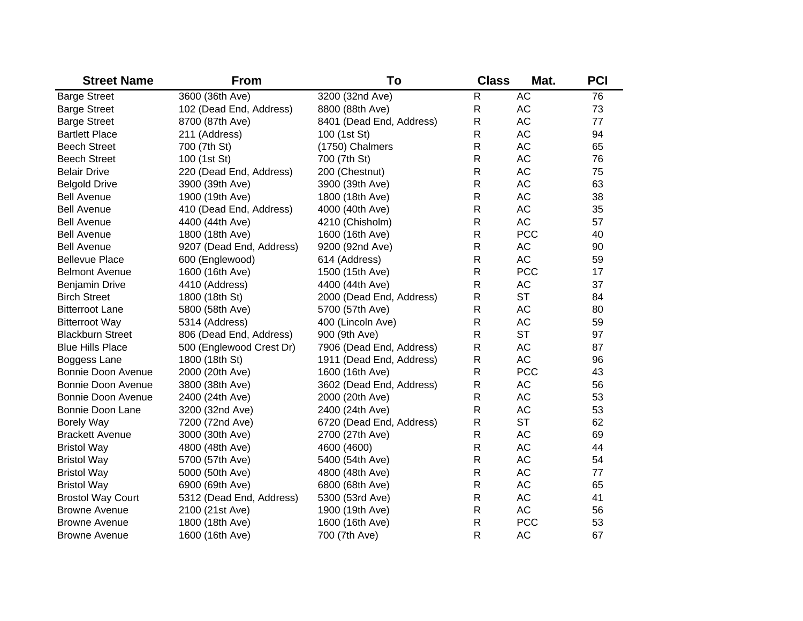| <b>Street Name</b>        | <b>From</b>              | To                       | <b>Class</b> | Mat.       | <b>PCI</b> |
|---------------------------|--------------------------|--------------------------|--------------|------------|------------|
| <b>Barge Street</b>       | 3600 (36th Ave)          | 3200 (32nd Ave)          | $\mathsf{R}$ | <b>AC</b>  | 76         |
| <b>Barge Street</b>       | 102 (Dead End, Address)  | 8800 (88th Ave)          | $\mathsf R$  | <b>AC</b>  | 73         |
| <b>Barge Street</b>       | 8700 (87th Ave)          | 8401 (Dead End, Address) | ${\sf R}$    | <b>AC</b>  | 77         |
| <b>Bartlett Place</b>     | 211 (Address)            | 100 (1st St)             | $\mathsf R$  | <b>AC</b>  | 94         |
| <b>Beech Street</b>       | 700 (7th St)             | (1750) Chalmers          | $\mathsf R$  | <b>AC</b>  | 65         |
| <b>Beech Street</b>       | 100 (1st St)             | 700 (7th St)             | $\mathsf R$  | <b>AC</b>  | 76         |
| <b>Belair Drive</b>       | 220 (Dead End, Address)  | 200 (Chestnut)           | $\mathsf R$  | <b>AC</b>  | 75         |
| <b>Belgold Drive</b>      | 3900 (39th Ave)          | 3900 (39th Ave)          | $\mathsf{R}$ | AC         | 63         |
| <b>Bell Avenue</b>        | 1900 (19th Ave)          | 1800 (18th Ave)          | $\mathsf{R}$ | <b>AC</b>  | 38         |
| <b>Bell Avenue</b>        | 410 (Dead End, Address)  | 4000 (40th Ave)          | $\mathsf R$  | <b>AC</b>  | 35         |
| <b>Bell Avenue</b>        | 4400 (44th Ave)          | 4210 (Chisholm)          | $\mathsf{R}$ | <b>AC</b>  | 57         |
| <b>Bell Avenue</b>        | 1800 (18th Ave)          | 1600 (16th Ave)          | $\mathsf R$  | <b>PCC</b> | 40         |
| <b>Bell Avenue</b>        | 9207 (Dead End, Address) | 9200 (92nd Ave)          | $\mathsf{R}$ | AC         | 90         |
| <b>Bellevue Place</b>     | 600 (Englewood)          | 614 (Address)            | $\mathsf R$  | <b>AC</b>  | 59         |
| <b>Belmont Avenue</b>     | 1600 (16th Ave)          | 1500 (15th Ave)          | $\mathsf R$  | <b>PCC</b> | 17         |
| <b>Benjamin Drive</b>     | 4410 (Address)           | 4400 (44th Ave)          | ${\sf R}$    | <b>AC</b>  | 37         |
| <b>Birch Street</b>       | 1800 (18th St)           | 2000 (Dead End, Address) | R            | <b>ST</b>  | 84         |
| <b>Bitterroot Lane</b>    | 5800 (58th Ave)          | 5700 (57th Ave)          | $\mathsf R$  | <b>AC</b>  | 80         |
| <b>Bitterroot Way</b>     | 5314 (Address)           | 400 (Lincoln Ave)        | R            | AC         | 59         |
| <b>Blackburn Street</b>   | 806 (Dead End, Address)  | 900 (9th Ave)            | $\mathsf R$  | <b>ST</b>  | 97         |
| <b>Blue Hills Place</b>   | 500 (Englewood Crest Dr) | 7906 (Dead End, Address) | R            | <b>AC</b>  | 87         |
| Boggess Lane              | 1800 (18th St)           | 1911 (Dead End, Address) | R            | <b>AC</b>  | 96         |
| <b>Bonnie Doon Avenue</b> | 2000 (20th Ave)          | 1600 (16th Ave)          | $\mathsf R$  | <b>PCC</b> | 43         |
| <b>Bonnie Doon Avenue</b> | 3800 (38th Ave)          | 3602 (Dead End, Address) | R            | AC         | 56         |
| <b>Bonnie Doon Avenue</b> | 2400 (24th Ave)          | 2000 (20th Ave)          | $\mathsf{R}$ | <b>AC</b>  | 53         |
| <b>Bonnie Doon Lane</b>   | 3200 (32nd Ave)          | 2400 (24th Ave)          | R            | <b>AC</b>  | 53         |
| <b>Borely Way</b>         | 7200 (72nd Ave)          | 6720 (Dead End, Address) | R            | <b>ST</b>  | 62         |
| <b>Brackett Avenue</b>    | 3000 (30th Ave)          | 2700 (27th Ave)          | R            | <b>AC</b>  | 69         |
| <b>Bristol Way</b>        | 4800 (48th Ave)          | 4600 (4600)              | R            | <b>AC</b>  | 44         |
| <b>Bristol Way</b>        | 5700 (57th Ave)          | 5400 (54th Ave)          | R            | <b>AC</b>  | 54         |
| <b>Bristol Way</b>        | 5000 (50th Ave)          | 4800 (48th Ave)          | $\mathsf{R}$ | <b>AC</b>  | 77         |
| <b>Bristol Way</b>        | 6900 (69th Ave)          | 6800 (68th Ave)          | $\mathsf R$  | <b>AC</b>  | 65         |
| <b>Brostol Way Court</b>  | 5312 (Dead End, Address) | 5300 (53rd Ave)          | ${\sf R}$    | <b>AC</b>  | 41         |
| <b>Browne Avenue</b>      | 2100 (21st Ave)          | 1900 (19th Ave)          | $\mathsf R$  | <b>AC</b>  | 56         |
| <b>Browne Avenue</b>      | 1800 (18th Ave)          | 1600 (16th Ave)          | ${\sf R}$    | <b>PCC</b> | 53         |
| <b>Browne Avenue</b>      | 1600 (16th Ave)          | 700 (7th Ave)            | $\mathsf{R}$ | <b>AC</b>  | 67         |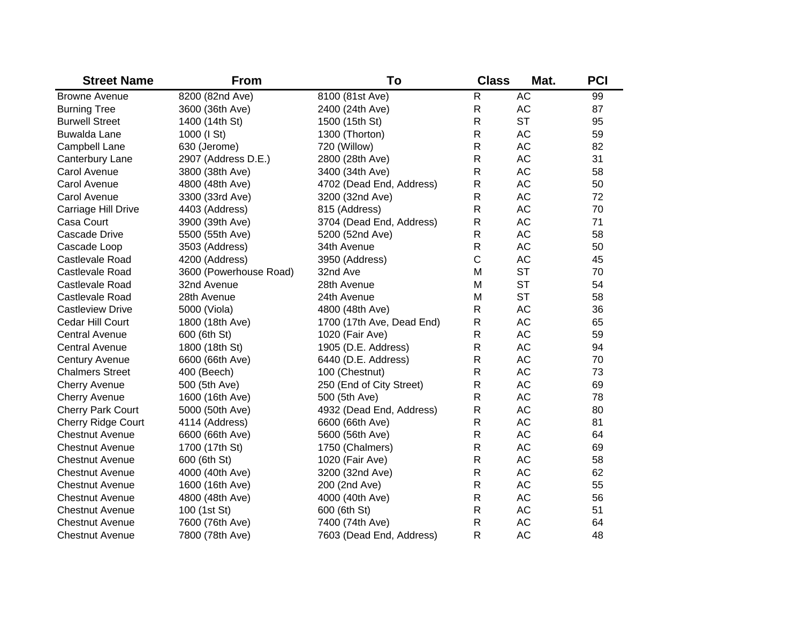| <b>Street Name</b>        | <b>From</b>            | To                        | <b>Class</b> | Mat.      | <b>PCI</b> |
|---------------------------|------------------------|---------------------------|--------------|-----------|------------|
| <b>Browne Avenue</b>      | 8200 (82nd Ave)        | 8100 (81st Ave)           | $\mathsf R$  | <b>AC</b> | 99         |
| <b>Burning Tree</b>       | 3600 (36th Ave)        | 2400 (24th Ave)           | $\mathsf R$  | <b>AC</b> | 87         |
| <b>Burwell Street</b>     | 1400 (14th St)         | 1500 (15th St)            | $\mathsf R$  | <b>ST</b> | 95         |
| <b>Buwalda Lane</b>       | 1000 (I St)            | 1300 (Thorton)            | $\mathsf{R}$ | <b>AC</b> | 59         |
| Campbell Lane             | 630 (Jerome)           | 720 (Willow)              | $\mathsf{R}$ | <b>AC</b> | 82         |
| Canterbury Lane           | 2907 (Address D.E.)    | 2800 (28th Ave)           | $\mathsf{R}$ | <b>AC</b> | 31         |
| Carol Avenue              | 3800 (38th Ave)        | 3400 (34th Ave)           | $\mathsf R$  | <b>AC</b> | 58         |
| Carol Avenue              | 4800 (48th Ave)        | 4702 (Dead End, Address)  | R            | <b>AC</b> | 50         |
| Carol Avenue              | 3300 (33rd Ave)        | 3200 (32nd Ave)           | $\mathsf R$  | <b>AC</b> | 72         |
| Carriage Hill Drive       | 4403 (Address)         | 815 (Address)             | $\mathsf R$  | <b>AC</b> | 70         |
| Casa Court                | 3900 (39th Ave)        | 3704 (Dead End, Address)  | R            | <b>AC</b> | 71         |
| Cascade Drive             | 5500 (55th Ave)        | 5200 (52nd Ave)           | $\mathsf R$  | <b>AC</b> | 58         |
| Cascade Loop              | 3503 (Address)         | 34th Avenue               | $\mathsf{R}$ | <b>AC</b> | 50         |
| Castlevale Road           | 4200 (Address)         | 3950 (Address)            | $\mathsf C$  | <b>AC</b> | 45         |
| Castlevale Road           | 3600 (Powerhouse Road) | 32nd Ave                  | M            | <b>ST</b> | 70         |
| Castlevale Road           | 32nd Avenue            | 28th Avenue               | M            | <b>ST</b> | 54         |
| Castlevale Road           | 28th Avenue            | 24th Avenue               | M            | <b>ST</b> | 58         |
| <b>Castleview Drive</b>   | 5000 (Viola)           | 4800 (48th Ave)           | $\mathsf R$  | <b>AC</b> | 36         |
| Cedar Hill Court          | 1800 (18th Ave)        | 1700 (17th Ave, Dead End) | R            | AC        | 65         |
| <b>Central Avenue</b>     | 600 (6th St)           | 1020 (Fair Ave)           | R            | AC        | 59         |
| <b>Central Avenue</b>     | 1800 (18th St)         | 1905 (D.E. Address)       | R            | AC        | 94         |
| <b>Century Avenue</b>     | 6600 (66th Ave)        | 6440 (D.E. Address)       | R            | AC        | 70         |
| <b>Chalmers Street</b>    | 400 (Beech)            | 100 (Chestnut)            | R            | <b>AC</b> | 73         |
| <b>Cherry Avenue</b>      | 500 (5th Ave)          | 250 (End of City Street)  | R            | <b>AC</b> | 69         |
| <b>Cherry Avenue</b>      | 1600 (16th Ave)        | 500 (5th Ave)             | R            | <b>AC</b> | 78         |
| <b>Cherry Park Court</b>  | 5000 (50th Ave)        | 4932 (Dead End, Address)  | R            | <b>AC</b> | 80         |
| <b>Cherry Ridge Court</b> | 4114 (Address)         | 6600 (66th Ave)           | $\mathsf{R}$ | <b>AC</b> | 81         |
| <b>Chestnut Avenue</b>    | 6600 (66th Ave)        | 5600 (56th Ave)           | R            | <b>AC</b> | 64         |
| <b>Chestnut Avenue</b>    | 1700 (17th St)         | 1750 (Chalmers)           | $\mathsf{R}$ | <b>AC</b> | 69         |
| <b>Chestnut Avenue</b>    | 600 (6th St)           | 1020 (Fair Ave)           | R            | <b>AC</b> | 58         |
| <b>Chestnut Avenue</b>    | 4000 (40th Ave)        | 3200 (32nd Ave)           | $\mathsf{R}$ | <b>AC</b> | 62         |
| <b>Chestnut Avenue</b>    | 1600 (16th Ave)        | 200 (2nd Ave)             | $\mathsf{R}$ | <b>AC</b> | 55         |
| <b>Chestnut Avenue</b>    | 4800 (48th Ave)        | 4000 (40th Ave)           | R            | <b>AC</b> | 56         |
| <b>Chestnut Avenue</b>    | 100 (1st St)           | 600 (6th St)              | $\mathsf{R}$ | <b>AC</b> | 51         |
| <b>Chestnut Avenue</b>    | 7600 (76th Ave)        | 7400 (74th Ave)           | R            | <b>AC</b> | 64         |
| <b>Chestnut Avenue</b>    | 7800 (78th Ave)        | 7603 (Dead End, Address)  | R            | <b>AC</b> | 48         |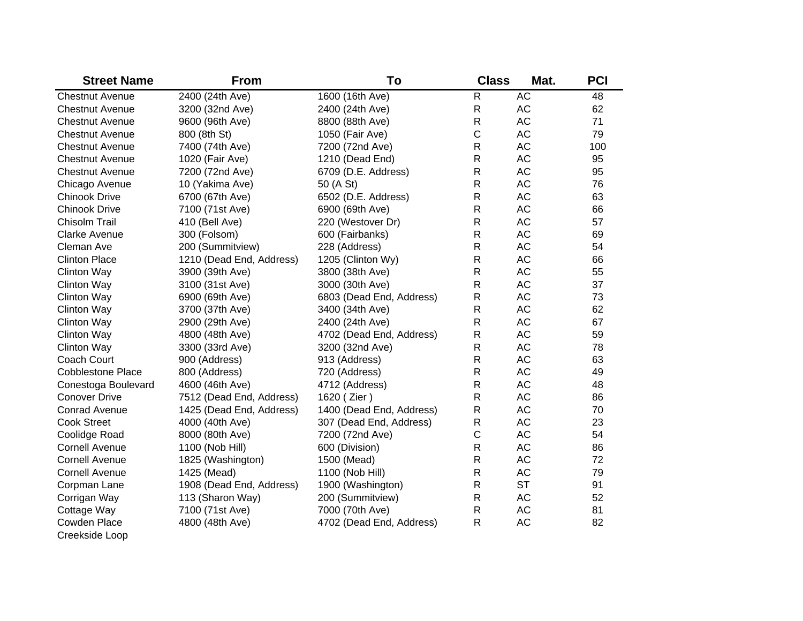| <b>Street Name</b>       | <b>From</b>              | To                       | <b>Class</b> | Mat.      | <b>PCI</b> |
|--------------------------|--------------------------|--------------------------|--------------|-----------|------------|
| <b>Chestnut Avenue</b>   | 2400 (24th Ave)          | 1600 (16th Ave)          | ${\sf R}$    | <b>AC</b> | 48         |
| <b>Chestnut Avenue</b>   | 3200 (32nd Ave)          | 2400 (24th Ave)          | ${\sf R}$    | AC        | 62         |
| <b>Chestnut Avenue</b>   | 9600 (96th Ave)          | 8800 (88th Ave)          | R            | <b>AC</b> | 71         |
| <b>Chestnut Avenue</b>   | 800 (8th St)             | 1050 (Fair Ave)          | C            | <b>AC</b> | 79         |
| <b>Chestnut Avenue</b>   | 7400 (74th Ave)          | 7200 (72nd Ave)          | R            | <b>AC</b> | 100        |
| <b>Chestnut Avenue</b>   | 1020 (Fair Ave)          | 1210 (Dead End)          | R            | AC        | 95         |
| <b>Chestnut Avenue</b>   | 7200 (72nd Ave)          | 6709 (D.E. Address)      | R            | <b>AC</b> | 95         |
| Chicago Avenue           | 10 (Yakima Ave)          | 50 (A St)                | R            | <b>AC</b> | 76         |
| Chinook Drive            | 6700 (67th Ave)          | 6502 (D.E. Address)      | R            | <b>AC</b> | 63         |
| <b>Chinook Drive</b>     | 7100 (71st Ave)          | 6900 (69th Ave)          | R            | AC        | 66         |
| Chisolm Trail            | 410 (Bell Ave)           | 220 (Westover Dr)        | R            | AC        | 57         |
| <b>Clarke Avenue</b>     | 300 (Folsom)             | 600 (Fairbanks)          | R            | AC        | 69         |
| Cleman Ave               | 200 (Summitview)         | 228 (Address)            | R            | AC        | 54         |
| <b>Clinton Place</b>     | 1210 (Dead End, Address) | 1205 (Clinton Wy)        | R            | <b>AC</b> | 66         |
| Clinton Way              | 3900 (39th Ave)          | 3800 (38th Ave)          | R            | <b>AC</b> | 55         |
| <b>Clinton Way</b>       | 3100 (31st Ave)          | 3000 (30th Ave)          | R            | <b>AC</b> | 37         |
| <b>Clinton Way</b>       | 6900 (69th Ave)          | 6803 (Dead End, Address) | R            | <b>AC</b> | 73         |
| <b>Clinton Way</b>       | 3700 (37th Ave)          | 3400 (34th Ave)          | R            | <b>AC</b> | 62         |
| <b>Clinton Way</b>       | 2900 (29th Ave)          | 2400 (24th Ave)          | R            | <b>AC</b> | 67         |
| Clinton Way              | 4800 (48th Ave)          | 4702 (Dead End, Address) | R            | <b>AC</b> | 59         |
| Clinton Way              | 3300 (33rd Ave)          | 3200 (32nd Ave)          | R            | AC        | 78         |
| Coach Court              | 900 (Address)            | 913 (Address)            | R            | AC        | 63         |
| <b>Cobblestone Place</b> | 800 (Address)            | 720 (Address)            | R            | AC        | 49         |
| Conestoga Boulevard      | 4600 (46th Ave)          | 4712 (Address)           | ${\sf R}$    | AC        | 48         |
| <b>Conover Drive</b>     | 7512 (Dead End, Address) | 1620 (Zier)              | R            | <b>AC</b> | 86         |
| <b>Conrad Avenue</b>     | 1425 (Dead End, Address) | 1400 (Dead End, Address) | R            | <b>AC</b> | 70         |
| <b>Cook Street</b>       | 4000 (40th Ave)          | 307 (Dead End, Address)  | ${\sf R}$    | <b>AC</b> | 23         |
| Coolidge Road            | 8000 (80th Ave)          | 7200 (72nd Ave)          | $\mathsf C$  | <b>AC</b> | 54         |
| <b>Cornell Avenue</b>    | 1100 (Nob Hill)          | 600 (Division)           | R            | AC        | 86         |
| <b>Cornell Avenue</b>    | 1825 (Washington)        | 1500 (Mead)              | ${\sf R}$    | AC        | 72         |
| <b>Cornell Avenue</b>    | 1425 (Mead)              | 1100 (Nob Hill)          | ${\sf R}$    | AC        | 79         |
| Corpman Lane             | 1908 (Dead End, Address) | 1900 (Washington)        | ${\sf R}$    | <b>ST</b> | 91         |
| Corrigan Way             | 113 (Sharon Way)         | 200 (Summitview)         | ${\sf R}$    | AC        | 52         |
| Cottage Way              | 7100 (71st Ave)          | 7000 (70th Ave)          | ${\sf R}$    | AC        | 81         |
| Cowden Place             | 4800 (48th Ave)          | 4702 (Dead End, Address) | $\mathsf{R}$ | AC        | 82         |
| Creekside Loop           |                          |                          |              |           |            |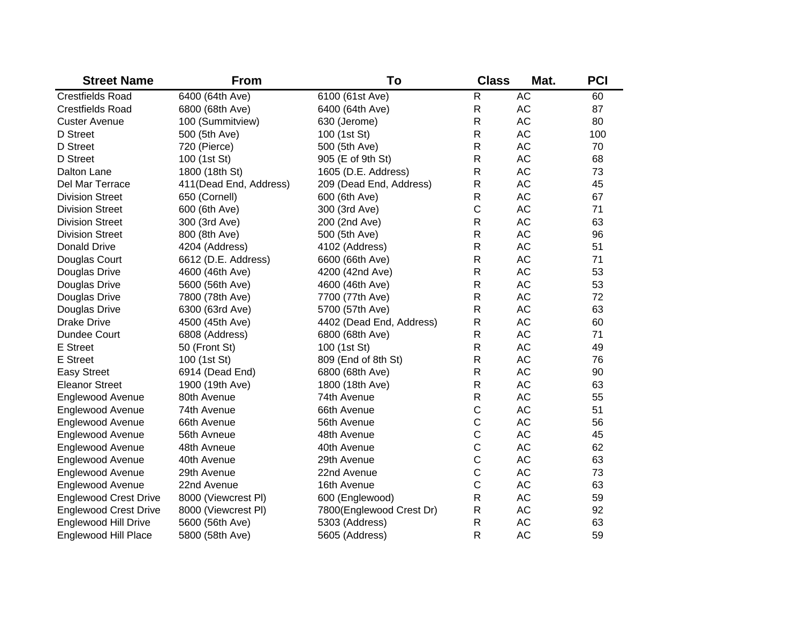| <b>Street Name</b>           | <b>From</b>            | To                       | <b>Class</b> | Mat.      | <b>PCI</b> |
|------------------------------|------------------------|--------------------------|--------------|-----------|------------|
| <b>Crestfields Road</b>      | 6400 (64th Ave)        | 6100 (61st Ave)          | $\mathsf R$  | <b>AC</b> | 60         |
| <b>Crestfields Road</b>      | 6800 (68th Ave)        | 6400 (64th Ave)          | ${\sf R}$    | AC        | 87         |
| <b>Custer Avenue</b>         | 100 (Summitview)       | 630 (Jerome)             | $\mathsf R$  | AC        | 80         |
| D Street                     | 500 (5th Ave)          | 100 (1st St)             | $\mathsf R$  | AC        | 100        |
| D Street                     | 720 (Pierce)           | 500 (5th Ave)            | $\mathsf R$  | <b>AC</b> | 70         |
| D Street                     | 100 (1st St)           | 905 (E of 9th St)        | $\mathsf R$  | AC        | 68         |
| Dalton Lane                  | 1800 (18th St)         | 1605 (D.E. Address)      | $\mathsf R$  | AC        | 73         |
| Del Mar Terrace              | 411(Dead End, Address) | 209 (Dead End, Address)  | $\mathsf R$  | <b>AC</b> | 45         |
| <b>Division Street</b>       | 650 (Cornell)          | 600 (6th Ave)            | $\mathsf R$  | <b>AC</b> | 67         |
| <b>Division Street</b>       | 600 (6th Ave)          | 300 (3rd Ave)            | $\mathsf C$  | <b>AC</b> | 71         |
| <b>Division Street</b>       | 300 (3rd Ave)          | 200 (2nd Ave)            | $\mathsf R$  | <b>AC</b> | 63         |
| <b>Division Street</b>       | 800 (8th Ave)          | 500 (5th Ave)            | $\mathsf R$  | <b>AC</b> | 96         |
| Donald Drive                 | 4204 (Address)         | 4102 (Address)           | $\mathsf R$  | <b>AC</b> | 51         |
| Douglas Court                | 6612 (D.E. Address)    | 6600 (66th Ave)          | $\mathsf R$  | AC        | 71         |
| Douglas Drive                | 4600 (46th Ave)        | 4200 (42nd Ave)          | $\mathsf R$  | <b>AC</b> | 53         |
| Douglas Drive                | 5600 (56th Ave)        | 4600 (46th Ave)          | $\mathsf R$  | <b>AC</b> | 53         |
| Douglas Drive                | 7800 (78th Ave)        | 7700 (77th Ave)          | $\mathsf R$  | <b>AC</b> | 72         |
| Douglas Drive                | 6300 (63rd Ave)        | 5700 (57th Ave)          | $\mathsf R$  | <b>AC</b> | 63         |
| <b>Drake Drive</b>           | 4500 (45th Ave)        | 4402 (Dead End, Address) | $\mathsf R$  | <b>AC</b> | 60         |
| Dundee Court                 | 6808 (Address)         | 6800 (68th Ave)          | $\mathsf R$  | <b>AC</b> | 71         |
| <b>E</b> Street              | 50 (Front St)          | 100 (1st St)             | $\mathsf{R}$ | <b>AC</b> | 49         |
| <b>E</b> Street              | 100 (1st St)           | 809 (End of 8th St)      | $\mathsf R$  | <b>AC</b> | 76         |
| <b>Easy Street</b>           | 6914 (Dead End)        | 6800 (68th Ave)          | $\mathsf{R}$ | <b>AC</b> | 90         |
| <b>Eleanor Street</b>        | 1900 (19th Ave)        | 1800 (18th Ave)          | $\mathsf{R}$ | <b>AC</b> | 63         |
| Englewood Avenue             | 80th Avenue            | 74th Avenue              | $\mathsf{R}$ | <b>AC</b> | 55         |
| <b>Englewood Avenue</b>      | 74th Avenue            | 66th Avenue              | C            | <b>AC</b> | 51         |
| <b>Englewood Avenue</b>      | 66th Avenue            | 56th Avenue              | $\mathsf C$  | <b>AC</b> | 56         |
| <b>Englewood Avenue</b>      | 56th Avneue            | 48th Avenue              | $\mathsf C$  | <b>AC</b> | 45         |
| <b>Englewood Avenue</b>      | 48th Avneue            | 40th Avenue              | $\mathsf C$  | <b>AC</b> | 62         |
| <b>Englewood Avenue</b>      | 40th Avenue            | 29th Avenue              | $\mathsf C$  | AC        | 63         |
| <b>Englewood Avenue</b>      | 29th Avenue            | 22nd Avenue              | $\mathsf C$  | AC        | 73         |
| <b>Englewood Avenue</b>      | 22nd Avenue            | 16th Avenue              | $\mathsf C$  | AC        | 63         |
| <b>Englewood Crest Drive</b> | 8000 (Viewcrest PI)    | 600 (Englewood)          | $\mathsf{R}$ | AC        | 59         |
| <b>Englewood Crest Drive</b> | 8000 (Viewcrest PI)    | 7800(Englewood Crest Dr) | $\mathsf R$  | AC        | 92         |
| <b>Englewood Hill Drive</b>  | 5600 (56th Ave)        | 5303 (Address)           | $\mathsf{R}$ | <b>AC</b> | 63         |
| Englewood Hill Place         | 5800 (58th Ave)        | 5605 (Address)           | $\mathsf{R}$ | <b>AC</b> | 59         |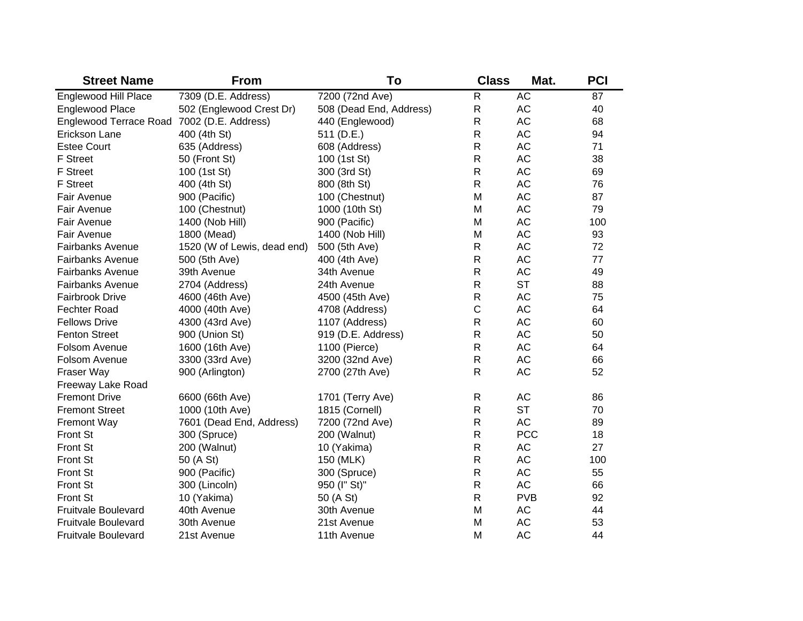| <b>Street Name</b>            | <b>From</b>                 | To                      | <b>Class</b> | Mat.       | <b>PCI</b> |
|-------------------------------|-----------------------------|-------------------------|--------------|------------|------------|
| <b>Englewood Hill Place</b>   | 7309 (D.E. Address)         | 7200 (72nd Ave)         | $\mathsf R$  | <b>AC</b>  | 87         |
| Englewood Place               | 502 (Englewood Crest Dr)    | 508 (Dead End, Address) | ${\sf R}$    | AC         | 40         |
| <b>Englewood Terrace Road</b> | 7002 (D.E. Address)         | 440 (Englewood)         | $\mathsf R$  | AC         | 68         |
| Erickson Lane                 | 400 (4th St)                | 511 (D.E.)              | $\mathsf{R}$ | <b>AC</b>  | 94         |
| <b>Estee Court</b>            | 635 (Address)               | 608 (Address)           | $\mathsf{R}$ | <b>AC</b>  | 71         |
| F Street                      | 50 (Front St)               | 100 (1st St)            | $\mathsf{R}$ | AC         | 38         |
| <b>F</b> Street               | 100 (1st St)                | 300 (3rd St)            | $\mathsf R$  | <b>AC</b>  | 69         |
| <b>F</b> Street               | 400 (4th St)                | 800 (8th St)            | $\mathsf{R}$ | <b>AC</b>  | 76         |
| Fair Avenue                   | 900 (Pacific)               | 100 (Chestnut)          | M            | <b>AC</b>  | 87         |
| Fair Avenue                   | 100 (Chestnut)              | 1000 (10th St)          | M            | <b>AC</b>  | 79         |
| Fair Avenue                   | 1400 (Nob Hill)             | 900 (Pacific)           | M            | <b>AC</b>  | 100        |
| Fair Avenue                   | 1800 (Mead)                 | 1400 (Nob Hill)         | M            | <b>AC</b>  | 93         |
| <b>Fairbanks Avenue</b>       | 1520 (W of Lewis, dead end) | 500 (5th Ave)           | $\mathsf{R}$ | <b>AC</b>  | 72         |
| <b>Fairbanks Avenue</b>       | 500 (5th Ave)               | 400 (4th Ave)           | $\mathsf{R}$ | <b>AC</b>  | 77         |
| <b>Fairbanks Avenue</b>       | 39th Avenue                 | 34th Avenue             | $\mathsf{R}$ | <b>AC</b>  | 49         |
| <b>Fairbanks Avenue</b>       | 2704 (Address)              | 24th Avenue             | $\mathsf{R}$ | <b>ST</b>  | 88         |
| <b>Fairbrook Drive</b>        | 4600 (46th Ave)             | 4500 (45th Ave)         | $\mathsf{R}$ | <b>AC</b>  | 75         |
| <b>Fechter Road</b>           | 4000 (40th Ave)             | 4708 (Address)          | $\mathsf{C}$ | <b>AC</b>  | 64         |
| <b>Fellows Drive</b>          | 4300 (43rd Ave)             | 1107 (Address)          | $\mathsf R$  | <b>AC</b>  | 60         |
| <b>Fenton Street</b>          | 900 (Union St)              | 919 (D.E. Address)      | $\mathsf R$  | <b>AC</b>  | 50         |
| Folsom Avenue                 | 1600 (16th Ave)             | 1100 (Pierce)           | $\mathsf R$  | <b>AC</b>  | 64         |
| Folsom Avenue                 | 3300 (33rd Ave)             | 3200 (32nd Ave)         | $\mathsf R$  | <b>AC</b>  | 66         |
| Fraser Way                    | 900 (Arlington)             | 2700 (27th Ave)         | $\mathsf{R}$ | <b>AC</b>  | 52         |
| Freeway Lake Road             |                             |                         |              |            |            |
| <b>Fremont Drive</b>          | 6600 (66th Ave)             | 1701 (Terry Ave)        | $\mathsf{R}$ | <b>AC</b>  | 86         |
| <b>Fremont Street</b>         | 1000 (10th Ave)             | 1815 (Cornell)          | $\mathsf{R}$ | <b>ST</b>  | 70         |
| <b>Fremont Way</b>            | 7601 (Dead End, Address)    | 7200 (72nd Ave)         | $\mathsf{R}$ | <b>AC</b>  | 89         |
| Front St                      | 300 (Spruce)                | 200 (Walnut)            | $\mathsf R$  | <b>PCC</b> | 18         |
| <b>Front St</b>               | 200 (Walnut)                | 10 (Yakima)             | $\mathsf R$  | AC         | 27         |
| <b>Front St</b>               | 50 (A St)                   | 150 (MLK)               | $\mathsf R$  | <b>AC</b>  | 100        |
| <b>Front St</b>               | 900 (Pacific)               | 300 (Spruce)            | $\mathsf{R}$ | <b>AC</b>  | 55         |
| <b>Front St</b>               | 300 (Lincoln)               | 950 (I" St)"            | $\mathsf{R}$ | <b>AC</b>  | 66         |
| <b>Front St</b>               | 10 (Yakima)                 | 50 (A St)               | $\mathsf{R}$ | <b>PVB</b> | 92         |
| <b>Fruitvale Boulevard</b>    | 40th Avenue                 | 30th Avenue             | M            | AC         | 44         |
| <b>Fruitvale Boulevard</b>    | 30th Avenue                 | 21st Avenue             | M            | AC         | 53         |
| <b>Fruitvale Boulevard</b>    | 21st Avenue                 | 11th Avenue             | M            | <b>AC</b>  | 44         |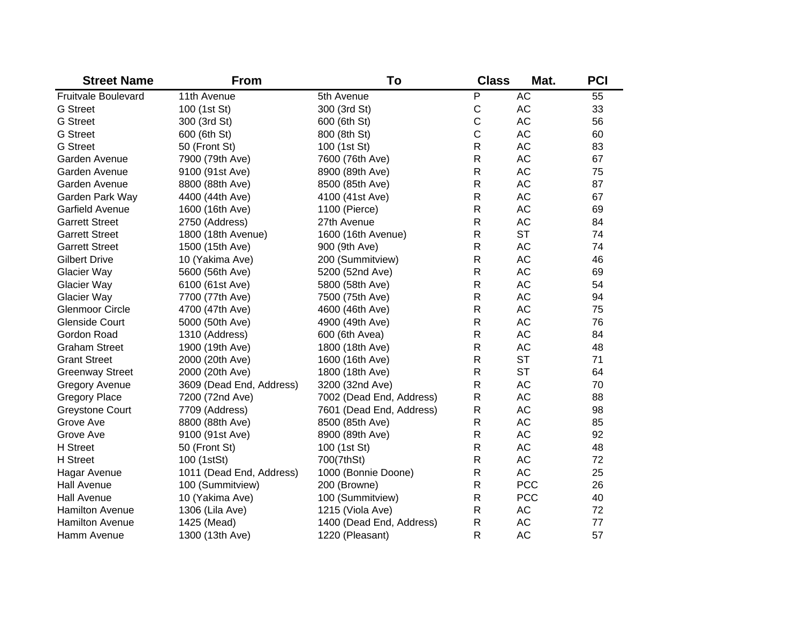| <b>Street Name</b>         | <b>From</b>              | To                       | <b>Class</b> | Mat.       | <b>PCI</b> |
|----------------------------|--------------------------|--------------------------|--------------|------------|------------|
| <b>Fruitvale Boulevard</b> | 11th Avenue              | 5th Avenue               | P            | <b>AC</b>  | 55         |
| <b>G</b> Street            | 100 (1st St)             | 300 (3rd St)             | $\mathsf C$  | AC         | 33         |
| <b>G</b> Street            | 300 (3rd St)             | 600 (6th St)             | $\mathsf C$  | <b>AC</b>  | 56         |
| <b>G</b> Street            | 600 (6th St)             | 800 (8th St)             | $\mathsf C$  | <b>AC</b>  | 60         |
| <b>G</b> Street            | 50 (Front St)            | 100 (1st St)             | $\mathsf R$  | <b>AC</b>  | 83         |
| Garden Avenue              | 7900 (79th Ave)          | 7600 (76th Ave)          | $\mathsf{R}$ | <b>AC</b>  | 67         |
| Garden Avenue              | 9100 (91st Ave)          | 8900 (89th Ave)          | $\mathsf{R}$ | <b>AC</b>  | 75         |
| Garden Avenue              | 8800 (88th Ave)          | 8500 (85th Ave)          | $\mathsf{R}$ | <b>AC</b>  | 87         |
| Garden Park Way            | 4400 (44th Ave)          | 4100 (41st Ave)          | $\mathsf{R}$ | <b>AC</b>  | 67         |
| Garfield Avenue            | 1600 (16th Ave)          | 1100 (Pierce)            | $\mathsf{R}$ | <b>AC</b>  | 69         |
| <b>Garrett Street</b>      | 2750 (Address)           | 27th Avenue              | $\mathsf{R}$ | <b>AC</b>  | 84         |
| <b>Garrett Street</b>      | 1800 (18th Avenue)       | 1600 (16th Avenue)       | $\mathsf{R}$ | <b>ST</b>  | 74         |
| <b>Garrett Street</b>      | 1500 (15th Ave)          | 900 (9th Ave)            | $\mathsf{R}$ | <b>AC</b>  | 74         |
| <b>Gilbert Drive</b>       | 10 (Yakima Ave)          | 200 (Summitview)         | $\mathsf R$  | <b>AC</b>  | 46         |
| Glacier Way                | 5600 (56th Ave)          | 5200 (52nd Ave)          | $\mathsf{R}$ | <b>AC</b>  | 69         |
| Glacier Way                | 6100 (61st Ave)          | 5800 (58th Ave)          | $\mathsf R$  | AC         | 54         |
| Glacier Way                | 7700 (77th Ave)          | 7500 (75th Ave)          | $\mathsf R$  | AC         | 94         |
| <b>Glenmoor Circle</b>     | 4700 (47th Ave)          | 4600 (46th Ave)          | $\mathsf R$  | <b>AC</b>  | 75         |
| <b>Glenside Court</b>      | 5000 (50th Ave)          | 4900 (49th Ave)          | $\mathsf{R}$ | <b>AC</b>  | 76         |
| Gordon Road                | 1310 (Address)           | 600 (6th Avea)           | $\mathsf{R}$ | <b>AC</b>  | 84         |
| <b>Graham Street</b>       | 1900 (19th Ave)          | 1800 (18th Ave)          | $\mathsf{R}$ | <b>AC</b>  | 48         |
| <b>Grant Street</b>        | 2000 (20th Ave)          | 1600 (16th Ave)          | $\mathsf R$  | <b>ST</b>  | 71         |
| <b>Greenway Street</b>     | 2000 (20th Ave)          | 1800 (18th Ave)          | $\mathsf R$  | <b>ST</b>  | 64         |
| <b>Gregory Avenue</b>      | 3609 (Dead End, Address) | 3200 (32nd Ave)          | ${\sf R}$    | <b>AC</b>  | 70         |
| <b>Gregory Place</b>       | 7200 (72nd Ave)          | 7002 (Dead End, Address) | ${\sf R}$    | <b>AC</b>  | 88         |
| <b>Greystone Court</b>     | 7709 (Address)           | 7601 (Dead End, Address) | ${\sf R}$    | <b>AC</b>  | 98         |
| Grove Ave                  | 8800 (88th Ave)          | 8500 (85th Ave)          | $\mathsf R$  | <b>AC</b>  | 85         |
| Grove Ave                  | 9100 (91st Ave)          | 8900 (89th Ave)          | ${\sf R}$    | <b>AC</b>  | 92         |
| <b>H</b> Street            | 50 (Front St)            | 100 (1st St)             | $\mathsf{R}$ | <b>AC</b>  | 48         |
| <b>H</b> Street            | 100 (1stSt)              | 700(7thSt)               | $\mathsf{R}$ | <b>AC</b>  | 72         |
| Hagar Avenue               | 1011 (Dead End, Address) | 1000 (Bonnie Doone)      | $\mathsf R$  | <b>AC</b>  | 25         |
| <b>Hall Avenue</b>         | 100 (Summitview)         | 200 (Browne)             | $\mathsf{R}$ | <b>PCC</b> | 26         |
| <b>Hall Avenue</b>         | 10 (Yakima Ave)          | 100 (Summitview)         | ${\sf R}$    | <b>PCC</b> | 40         |
| <b>Hamilton Avenue</b>     | 1306 (Lila Ave)          | 1215 (Viola Ave)         | ${\sf R}$    | AC         | 72         |
| <b>Hamilton Avenue</b>     | 1425 (Mead)              | 1400 (Dead End, Address) | $\mathsf R$  | <b>AC</b>  | 77         |
| Hamm Avenue                | 1300 (13th Ave)          | 1220 (Pleasant)          | $\mathsf{R}$ | <b>AC</b>  | 57         |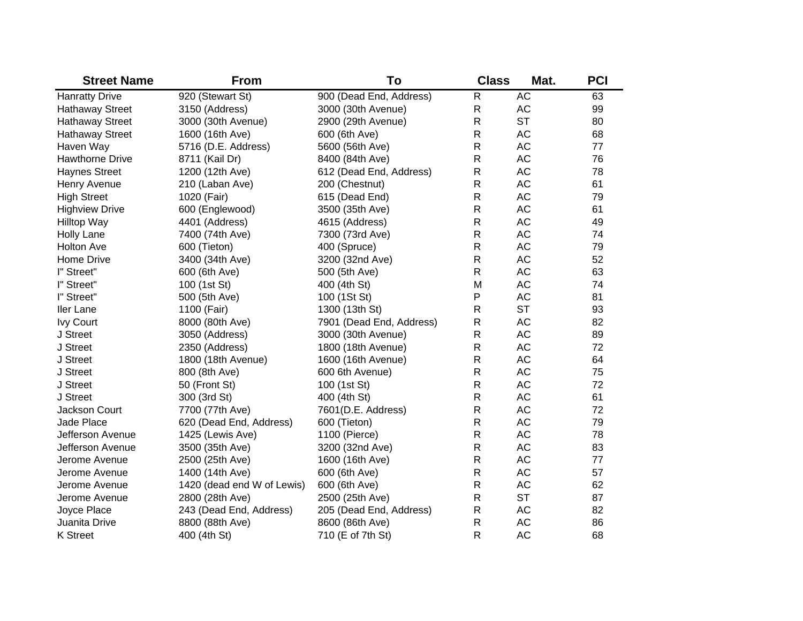| <b>Street Name</b>     | <b>From</b>                | To                       | <b>Class</b> | Mat.      | <b>PCI</b> |
|------------------------|----------------------------|--------------------------|--------------|-----------|------------|
| <b>Hanratty Drive</b>  | 920 (Stewart St)           | 900 (Dead End, Address)  | ${\sf R}$    | <b>AC</b> | 63         |
| <b>Hathaway Street</b> | 3150 (Address)             | 3000 (30th Avenue)       | R            | <b>AC</b> | 99         |
| <b>Hathaway Street</b> | 3000 (30th Avenue)         | 2900 (29th Avenue)       | R            | <b>ST</b> | 80         |
| <b>Hathaway Street</b> | 1600 (16th Ave)            | 600 (6th Ave)            | R            | <b>AC</b> | 68         |
| Haven Way              | 5716 (D.E. Address)        | 5600 (56th Ave)          | R            | <b>AC</b> | 77         |
| <b>Hawthorne Drive</b> | 8711 (Kail Dr)             | 8400 (84th Ave)          | R            | AC        | 76         |
| <b>Haynes Street</b>   | 1200 (12th Ave)            | 612 (Dead End, Address)  | R            | AC        | 78         |
| Henry Avenue           | 210 (Laban Ave)            | 200 (Chestnut)           | $\mathsf{R}$ | AC        | 61         |
| <b>High Street</b>     | 1020 (Fair)                | 615 (Dead End)           | $\mathsf{R}$ | <b>AC</b> | 79         |
| <b>Highview Drive</b>  | 600 (Englewood)            | 3500 (35th Ave)          | $\mathsf{R}$ | <b>AC</b> | 61         |
| <b>Hilltop Way</b>     | 4401 (Address)             | 4615 (Address)           | $\mathsf R$  | <b>AC</b> | 49         |
| <b>Holly Lane</b>      | 7400 (74th Ave)            | 7300 (73rd Ave)          | $\mathsf R$  | AC        | 74         |
| <b>Holton Ave</b>      | 600 (Tieton)               | 400 (Spruce)             | $\mathsf R$  | <b>AC</b> | 79         |
| Home Drive             | 3400 (34th Ave)            | 3200 (32nd Ave)          | $\mathsf R$  | AC        | 52         |
| I" Street"             | 600 (6th Ave)              | 500 (5th Ave)            | $\mathsf R$  | AC        | 63         |
| I" Street"             | 100 (1st St)               | 400 (4th St)             | M            | AC        | 74         |
| I" Street"             | 500 (5th Ave)              | 100 (1St St)             | P            | <b>AC</b> | 81         |
| Iler Lane              | 1100 (Fair)                | 1300 (13th St)           | $\mathsf R$  | <b>ST</b> | 93         |
| Ivy Court              | 8000 (80th Ave)            | 7901 (Dead End, Address) | R            | <b>AC</b> | 82         |
| J Street               | 3050 (Address)             | 3000 (30th Avenue)       | $\mathsf{R}$ | <b>AC</b> | 89         |
| J Street               | 2350 (Address)             | 1800 (18th Avenue)       | R            | AC        | 72         |
| J Street               | 1800 (18th Avenue)         | 1600 (16th Avenue)       | R            | AC        | 64         |
| J Street               | 800 (8th Ave)              | 600 6th Avenue)          | R            | AC        | 75         |
| J Street               | 50 (Front St)              | 100 (1st St)             | R            | <b>AC</b> | 72         |
| J Street               | 300 (3rd St)               | 400 (4th St)             | R            | <b>AC</b> | 61         |
| Jackson Court          | 7700 (77th Ave)            | 7601(D.E. Address)       | $\mathsf R$  | <b>AC</b> | 72         |
| Jade Place             | 620 (Dead End, Address)    | 600 (Tieton)             | $\mathsf R$  | <b>AC</b> | 79         |
| Jefferson Avenue       | 1425 (Lewis Ave)           | 1100 (Pierce)            | $\mathsf R$  | AC        | 78         |
| Jefferson Avenue       | 3500 (35th Ave)            | 3200 (32nd Ave)          | $\mathsf R$  | AC        | 83         |
| Jerome Avenue          | 2500 (25th Ave)            | 1600 (16th Ave)          | $\mathsf R$  | AC        | 77         |
| Jerome Avenue          | 1400 (14th Ave)            | 600 (6th Ave)            | $\mathsf R$  | AC        | 57         |
| Jerome Avenue          | 1420 (dead end W of Lewis) | 600 (6th Ave)            | $\mathsf R$  | AC        | 62         |
| Jerome Avenue          | 2800 (28th Ave)            | 2500 (25th Ave)          | $\mathsf R$  | <b>ST</b> | 87         |
| Joyce Place            | 243 (Dead End, Address)    | 205 (Dead End, Address)  | ${\sf R}$    | AC        | 82         |
| Juanita Drive          | 8800 (88th Ave)            | 8600 (86th Ave)          | $\mathsf R$  | <b>AC</b> | 86         |
| <b>K</b> Street        | 400 (4th St)               | 710 (E of 7th St)        | $\mathsf{R}$ | <b>AC</b> | 68         |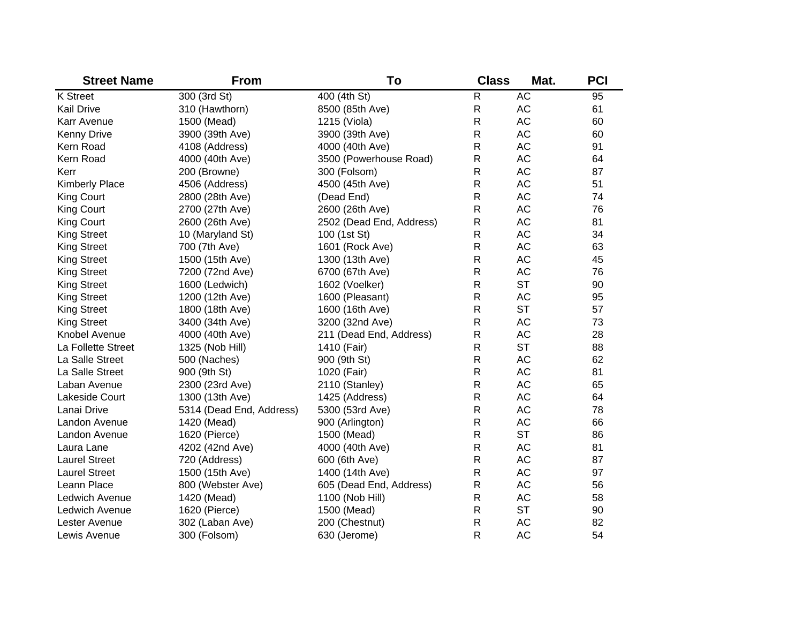| <b>Street Name</b>    | <b>From</b>              | To                       | <b>Class</b> | Mat.      | <b>PCI</b> |
|-----------------------|--------------------------|--------------------------|--------------|-----------|------------|
| <b>K</b> Street       | 300 (3rd St)             | 400 (4th St)             | $\mathsf{R}$ | <b>AC</b> | 95         |
| <b>Kail Drive</b>     | 310 (Hawthorn)           | 8500 (85th Ave)          | $\mathsf{R}$ | AC        | 61         |
| Karr Avenue           | 1500 (Mead)              | 1215 (Viola)             | ${\sf R}$    | AC        | 60         |
| <b>Kenny Drive</b>    | 3900 (39th Ave)          | 3900 (39th Ave)          | ${\sf R}$    | AC        | 60         |
| Kern Road             | 4108 (Address)           | 4000 (40th Ave)          | ${\sf R}$    | AC        | 91         |
| Kern Road             | 4000 (40th Ave)          | 3500 (Powerhouse Road)   | ${\sf R}$    | AC        | 64         |
| Kerr                  | 200 (Browne)             | 300 (Folsom)             | ${\sf R}$    | AC        | 87         |
| <b>Kimberly Place</b> | 4506 (Address)           | 4500 (45th Ave)          | ${\sf R}$    | AC        | 51         |
| <b>King Court</b>     | 2800 (28th Ave)          | (Dead End)               | $\mathsf{R}$ | <b>AC</b> | 74         |
| <b>King Court</b>     | 2700 (27th Ave)          | 2600 (26th Ave)          | $\mathsf{R}$ | <b>AC</b> | 76         |
| <b>King Court</b>     | 2600 (26th Ave)          | 2502 (Dead End, Address) | ${\sf R}$    | <b>AC</b> | 81         |
| <b>King Street</b>    | 10 (Maryland St)         | 100 (1st St)             | $\mathsf{R}$ | <b>AC</b> | 34         |
| <b>King Street</b>    | 700 (7th Ave)            | 1601 (Rock Ave)          | $\mathsf{R}$ | <b>AC</b> | 63         |
| <b>King Street</b>    | 1500 (15th Ave)          | 1300 (13th Ave)          | $\mathsf{R}$ | <b>AC</b> | 45         |
| <b>King Street</b>    | 7200 (72nd Ave)          | 6700 (67th Ave)          | $\mathsf{R}$ | <b>AC</b> | 76         |
| <b>King Street</b>    | 1600 (Ledwich)           | 1602 (Voelker)           | ${\sf R}$    | <b>ST</b> | 90         |
| <b>King Street</b>    | 1200 (12th Ave)          | 1600 (Pleasant)          | ${\sf R}$    | <b>AC</b> | 95         |
| <b>King Street</b>    | 1800 (18th Ave)          | 1600 (16th Ave)          | ${\sf R}$    | <b>ST</b> | 57         |
| <b>King Street</b>    | 3400 (34th Ave)          | 3200 (32nd Ave)          | $\mathsf{R}$ | <b>AC</b> | 73         |
| Knobel Avenue         | 4000 (40th Ave)          | 211 (Dead End, Address)  | ${\sf R}$    | <b>AC</b> | 28         |
| La Follette Street    | 1325 (Nob Hill)          | 1410 (Fair)              | $\mathsf{R}$ | <b>ST</b> | 88         |
| La Salle Street       | 500 (Naches)             | 900 (9th St)             | $\mathsf{R}$ | <b>AC</b> | 62         |
| La Salle Street       | 900 (9th St)             | 1020 (Fair)              | $\mathsf{R}$ | <b>AC</b> | 81         |
| Laban Avenue          | 2300 (23rd Ave)          | 2110 (Stanley)           | $\mathsf{R}$ | AC        | 65         |
| Lakeside Court        | 1300 (13th Ave)          | 1425 (Address)           | $\mathsf{R}$ | <b>AC</b> | 64         |
| Lanai Drive           | 5314 (Dead End, Address) | 5300 (53rd Ave)          | $\mathsf{R}$ | AC        | 78         |
| Landon Avenue         | 1420 (Mead)              | 900 (Arlington)          | $\mathsf{R}$ | <b>AC</b> | 66         |
| Landon Avenue         | 1620 (Pierce)            | 1500 (Mead)              | ${\sf R}$    | <b>ST</b> | 86         |
| Laura Lane            | 4202 (42nd Ave)          | 4000 (40th Ave)          | ${\sf R}$    | AC        | 81         |
| <b>Laurel Street</b>  | 720 (Address)            | 600 (6th Ave)            | ${\sf R}$    | AC        | 87         |
| <b>Laurel Street</b>  | 1500 (15th Ave)          | 1400 (14th Ave)          | ${\sf R}$    | AC        | 97         |
| Leann Place           | 800 (Webster Ave)        | 605 (Dead End, Address)  | ${\sf R}$    | AC        | 56         |
| Ledwich Avenue        | 1420 (Mead)              | 1100 (Nob Hill)          | ${\sf R}$    | AC        | 58         |
| Ledwich Avenue        | 1620 (Pierce)            | 1500 (Mead)              | $\mathsf{R}$ | <b>ST</b> | 90         |
| Lester Avenue         | 302 (Laban Ave)          | 200 (Chestnut)           | $\mathsf{R}$ | <b>AC</b> | 82         |
| Lewis Avenue          | 300 (Folsom)             | 630 (Jerome)             | $\mathsf{R}$ | <b>AC</b> | 54         |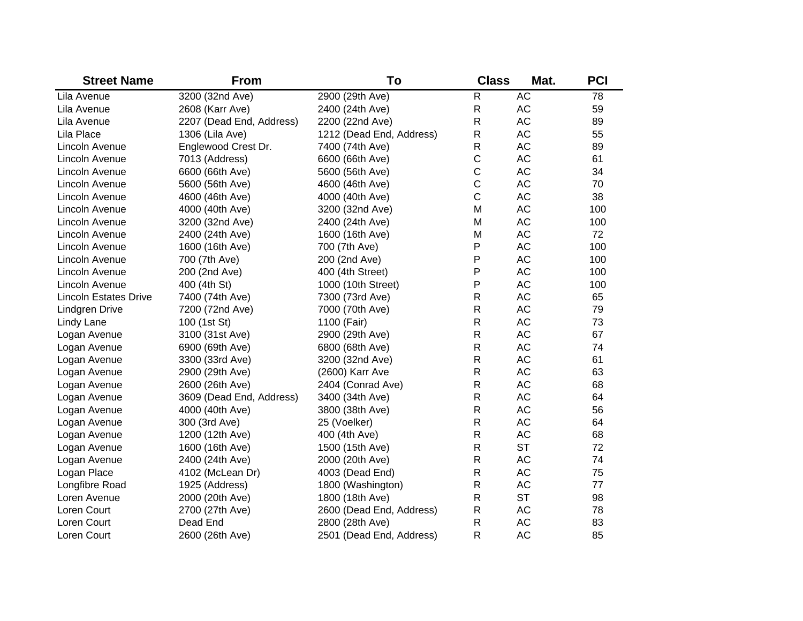| <b>Street Name</b>           | <b>From</b>              | To                       | <b>Class</b> | Mat.      | <b>PCI</b> |
|------------------------------|--------------------------|--------------------------|--------------|-----------|------------|
| Lila Avenue                  | 3200 (32nd Ave)          | 2900 (29th Ave)          | R            | <b>AC</b> | 78         |
| Lila Avenue                  | 2608 (Karr Ave)          | 2400 (24th Ave)          | $\mathsf{R}$ | AC        | 59         |
| Lila Avenue                  | 2207 (Dead End, Address) | 2200 (22nd Ave)          | R            | AC        | 89         |
| Lila Place                   | 1306 (Lila Ave)          | 1212 (Dead End, Address) | R            | <b>AC</b> | 55         |
| Lincoln Avenue               | Englewood Crest Dr.      | 7400 (74th Ave)          | R            | <b>AC</b> | 89         |
| Lincoln Avenue               | 7013 (Address)           | 6600 (66th Ave)          | $\mathsf C$  | AC        | 61         |
| Lincoln Avenue               | 6600 (66th Ave)          | 5600 (56th Ave)          | $\mathsf C$  | <b>AC</b> | 34         |
| Lincoln Avenue               | 5600 (56th Ave)          | 4600 (46th Ave)          | $\mathsf C$  | AC        | 70         |
| Lincoln Avenue               | 4600 (46th Ave)          | 4000 (40th Ave)          | $\mathsf C$  | AC        | 38         |
| Lincoln Avenue               | 4000 (40th Ave)          | 3200 (32nd Ave)          | M            | AC        | 100        |
| Lincoln Avenue               | 3200 (32nd Ave)          | 2400 (24th Ave)          | M            | AC        | 100        |
| Lincoln Avenue               | 2400 (24th Ave)          | 1600 (16th Ave)          | M            | AC        | 72         |
| Lincoln Avenue               | 1600 (16th Ave)          | 700 (7th Ave)            | P            | AC        | 100        |
| Lincoln Avenue               | 700 (7th Ave)            | 200 (2nd Ave)            | P            | AC        | 100        |
| Lincoln Avenue               | 200 (2nd Ave)            | 400 (4th Street)         | P            | AC        | 100        |
| Lincoln Avenue               | 400 (4th St)             | 1000 (10th Street)       | P            | AC        | 100        |
| <b>Lincoln Estates Drive</b> | 7400 (74th Ave)          | 7300 (73rd Ave)          | R            | AC        | 65         |
| <b>Lindgren Drive</b>        | 7200 (72nd Ave)          | 7000 (70th Ave)          | R            | AC        | 79         |
| Lindy Lane                   | 100 (1st St)             | 1100 (Fair)              | R            | AC        | 73         |
| Logan Avenue                 | 3100 (31st Ave)          | 2900 (29th Ave)          | R            | AC        | 67         |
| Logan Avenue                 | 6900 (69th Ave)          | 6800 (68th Ave)          | R            | AC        | 74         |
| Logan Avenue                 | 3300 (33rd Ave)          | 3200 (32nd Ave)          | R            | AC        | 61         |
| Logan Avenue                 | 2900 (29th Ave)          | (2600) Karr Ave          | R            | AC        | 63         |
| Logan Avenue                 | 2600 (26th Ave)          | 2404 (Conrad Ave)        | R            | AC        | 68         |
| Logan Avenue                 | 3609 (Dead End, Address) | 3400 (34th Ave)          | R            | AC        | 64         |
| Logan Avenue                 | 4000 (40th Ave)          | 3800 (38th Ave)          | R            | AC        | 56         |
| Logan Avenue                 | 300 (3rd Ave)            | 25 (Voelker)             | R            | AC        | 64         |
| Logan Avenue                 | 1200 (12th Ave)          | 400 (4th Ave)            | R            | AC        | 68         |
| Logan Avenue                 | 1600 (16th Ave)          | 1500 (15th Ave)          | R            | <b>ST</b> | 72         |
| Logan Avenue                 | 2400 (24th Ave)          | 2000 (20th Ave)          | R            | AC        | 74         |
| Logan Place                  | 4102 (McLean Dr)         | 4003 (Dead End)          | R            | AC        | 75         |
| Longfibre Road               | 1925 (Address)           | 1800 (Washington)        | R            | AC        | 77         |
| Loren Avenue                 | 2000 (20th Ave)          | 1800 (18th Ave)          | R            | <b>ST</b> | 98         |
| Loren Court                  | 2700 (27th Ave)          | 2600 (Dead End, Address) | R            | AC        | 78         |
| Loren Court                  | Dead End                 | 2800 (28th Ave)          | R            | <b>AC</b> | 83         |
| Loren Court                  | 2600 (26th Ave)          | 2501 (Dead End, Address) | R            | <b>AC</b> | 85         |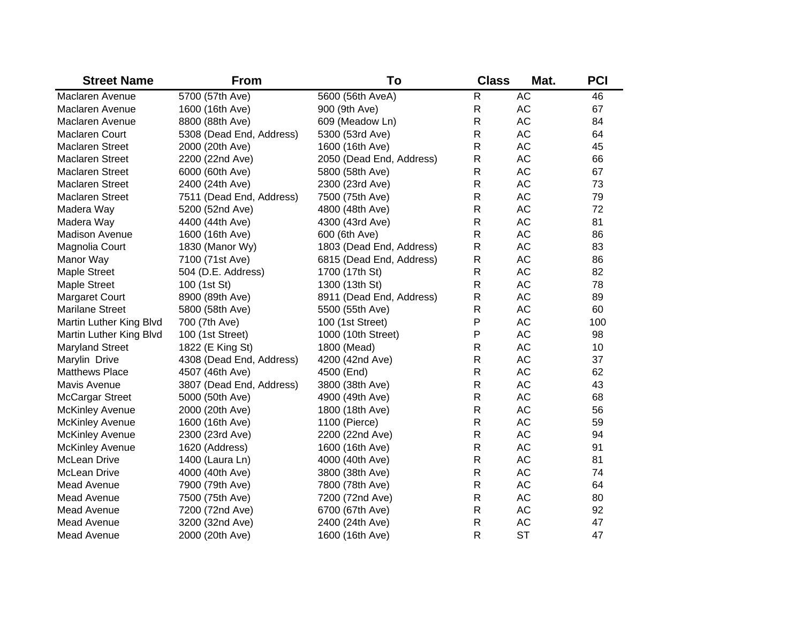| <b>Street Name</b>      | <b>From</b>              | To                       | <b>Class</b> | Mat.      | <b>PCI</b> |
|-------------------------|--------------------------|--------------------------|--------------|-----------|------------|
| Maclaren Avenue         | 5700 (57th Ave)          | 5600 (56th AveA)         | $\mathsf{R}$ | <b>AC</b> | 46         |
| Maclaren Avenue         | 1600 (16th Ave)          | 900 (9th Ave)            | $\mathsf{R}$ | AC        | 67         |
| Maclaren Avenue         | 8800 (88th Ave)          | 609 (Meadow Ln)          | $\mathsf{R}$ | AC        | 84         |
| Maclaren Court          | 5308 (Dead End, Address) | 5300 (53rd Ave)          | $\mathsf{R}$ | AC        | 64         |
| Maclaren Street         | 2000 (20th Ave)          | 1600 (16th Ave)          | $\mathsf{R}$ | AC        | 45         |
| Maclaren Street         | 2200 (22nd Ave)          | 2050 (Dead End, Address) | $\mathsf{R}$ | AC        | 66         |
| <b>Maclaren Street</b>  | 6000 (60th Ave)          | 5800 (58th Ave)          | $\mathsf{R}$ | AC        | 67         |
| <b>Maclaren Street</b>  | 2400 (24th Ave)          | 2300 (23rd Ave)          | $\mathsf{R}$ | AC        | 73         |
| <b>Maclaren Street</b>  | 7511 (Dead End, Address) | 7500 (75th Ave)          | $\mathsf{R}$ | AC        | 79         |
| Madera Way              | 5200 (52nd Ave)          | 4800 (48th Ave)          | $\mathsf{R}$ | AC        | 72         |
| Madera Way              | 4400 (44th Ave)          | 4300 (43rd Ave)          | $\mathsf{R}$ | AC        | 81         |
| <b>Madison Avenue</b>   | 1600 (16th Ave)          | 600 (6th Ave)            | $\mathsf{R}$ | AC        | 86         |
| Magnolia Court          | 1830 (Manor Wy)          | 1803 (Dead End, Address) | $\mathsf{R}$ | AC        | 83         |
| Manor Way               | 7100 (71st Ave)          | 6815 (Dead End, Address) | $\mathsf{R}$ | AC        | 86         |
| <b>Maple Street</b>     | 504 (D.E. Address)       | 1700 (17th St)           | $\mathsf{R}$ | AC        | 82         |
| <b>Maple Street</b>     | 100 (1st St)             | 1300 (13th St)           | $\mathsf{R}$ | AC        | 78         |
| <b>Margaret Court</b>   | 8900 (89th Ave)          | 8911 (Dead End, Address) | $\mathsf{R}$ | AC        | 89         |
| Marilane Street         | 5800 (58th Ave)          | 5500 (55th Ave)          | $\mathsf{R}$ | AC        | 60         |
| Martin Luther King Blvd | 700 (7th Ave)            | 100 (1st Street)         | P            | AC        | 100        |
| Martin Luther King Blvd | 100 (1st Street)         | 1000 (10th Street)       | P            | AC        | 98         |
| <b>Maryland Street</b>  | 1822 (E King St)         | 1800 (Mead)              | R            | AC        | 10         |
| Marylin Drive           | 4308 (Dead End, Address) | 4200 (42nd Ave)          | R            | AC        | 37         |
| <b>Matthews Place</b>   | 4507 (46th Ave)          | 4500 (End)               | R            | AC        | 62         |
| Mavis Avenue            | 3807 (Dead End, Address) | 3800 (38th Ave)          | $\mathsf{R}$ | AC        | 43         |
| <b>McCargar Street</b>  | 5000 (50th Ave)          | 4900 (49th Ave)          | $\mathsf{R}$ | AC        | 68         |
| <b>McKinley Avenue</b>  | 2000 (20th Ave)          | 1800 (18th Ave)          | R            | AC        | 56         |
| <b>McKinley Avenue</b>  | 1600 (16th Ave)          | 1100 (Pierce)            | R            | AC        | 59         |
| <b>McKinley Avenue</b>  | 2300 (23rd Ave)          | 2200 (22nd Ave)          | $\mathsf{R}$ | AC        | 94         |
| <b>McKinley Avenue</b>  | 1620 (Address)           | 1600 (16th Ave)          | $\mathsf{R}$ | AC        | 91         |
| McLean Drive            | 1400 (Laura Ln)          | 4000 (40th Ave)          | R            | AC        | 81         |
| McLean Drive            | 4000 (40th Ave)          | 3800 (38th Ave)          | R            | AC        | 74         |
| Mead Avenue             | 7900 (79th Ave)          | 7800 (78th Ave)          | $\mathsf{R}$ | AC        | 64         |
| Mead Avenue             | 7500 (75th Ave)          | 7200 (72nd Ave)          | $\mathsf{R}$ | AC        | 80         |
| Mead Avenue             | 7200 (72nd Ave)          | 6700 (67th Ave)          | $\mathsf{R}$ | AC        | 92         |
| Mead Avenue             | 3200 (32nd Ave)          | 2400 (24th Ave)          | R            | AC        | 47         |
| Mead Avenue             | 2000 (20th Ave)          | 1600 (16th Ave)          | $\mathsf{R}$ | <b>ST</b> | 47         |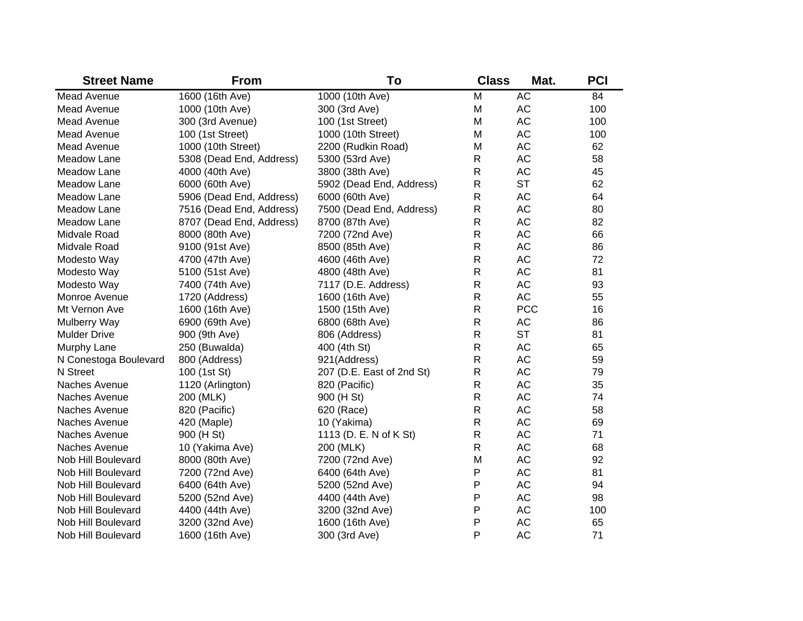| <b>Street Name</b>    | <b>From</b>              | To                        | <b>Class</b> | Mat.       | <b>PCI</b> |
|-----------------------|--------------------------|---------------------------|--------------|------------|------------|
| <b>Mead Avenue</b>    | 1600 (16th Ave)          | 1000 (10th Ave)           | M            | <b>AC</b>  | 84         |
| Mead Avenue           | 1000 (10th Ave)          | 300 (3rd Ave)             | M            | AC         | 100        |
| Mead Avenue           | 300 (3rd Avenue)         | 100 (1st Street)          | M            | <b>AC</b>  | 100        |
| Mead Avenue           | 100 (1st Street)         | 1000 (10th Street)        | M            | <b>AC</b>  | 100        |
| Mead Avenue           | 1000 (10th Street)       | 2200 (Rudkin Road)        | M            | <b>AC</b>  | 62         |
| Meadow Lane           | 5308 (Dead End, Address) | 5300 (53rd Ave)           | $\mathsf{R}$ | <b>AC</b>  | 58         |
| Meadow Lane           | 4000 (40th Ave)          | 3800 (38th Ave)           | $\mathsf{R}$ | <b>AC</b>  | 45         |
| Meadow Lane           | 6000 (60th Ave)          | 5902 (Dead End, Address)  | $\mathsf{R}$ | <b>ST</b>  | 62         |
| Meadow Lane           | 5906 (Dead End, Address) | 6000 (60th Ave)           | $\mathsf{R}$ | <b>AC</b>  | 64         |
| Meadow Lane           | 7516 (Dead End, Address) | 7500 (Dead End, Address)  | $\mathsf{R}$ | AC         | 80         |
| Meadow Lane           | 8707 (Dead End, Address) | 8700 (87th Ave)           | $\mathsf{R}$ | AC         | 82         |
| Midvale Road          | 8000 (80th Ave)          | 7200 (72nd Ave)           | $\mathsf{R}$ | AC         | 66         |
| Midvale Road          | 9100 (91st Ave)          | 8500 (85th Ave)           | $\mathsf{R}$ | AC         | 86         |
| Modesto Way           | 4700 (47th Ave)          | 4600 (46th Ave)           | $\mathsf{R}$ | AC         | 72         |
| Modesto Way           | 5100 (51st Ave)          | 4800 (48th Ave)           | $\mathsf{R}$ | AC         | 81         |
| Modesto Way           | 7400 (74th Ave)          | 7117 (D.E. Address)       | $\mathsf{R}$ | AC         | 93         |
| Monroe Avenue         | 1720 (Address)           | 1600 (16th Ave)           | $\mathsf{R}$ | AC         | 55         |
| Mt Vernon Ave         | 1600 (16th Ave)          | 1500 (15th Ave)           | $\mathsf R$  | <b>PCC</b> | 16         |
| Mulberry Way          | 6900 (69th Ave)          | 6800 (68th Ave)           | R            | AC         | 86         |
| <b>Mulder Drive</b>   | 900 (9th Ave)            | 806 (Address)             | R            | <b>ST</b>  | 81         |
| Murphy Lane           | 250 (Buwalda)            | 400 (4th St)              | R            | AC         | 65         |
| N Conestoga Boulevard | 800 (Address)            | 921(Address)              | R            | AC         | 59         |
| N Street              | 100 (1st St)             | 207 (D.E. East of 2nd St) | R            | AC         | 79         |
| Naches Avenue         | 1120 (Arlington)         | 820 (Pacific)             | R            | AC         | 35         |
| Naches Avenue         | 200 (MLK)                | 900 (H St)                | $\mathsf{R}$ | AC         | 74         |
| Naches Avenue         | 820 (Pacific)            | 620 (Race)                | R            | AC         | 58         |
| Naches Avenue         | 420 (Maple)              | 10 (Yakima)               | R            | AC         | 69         |
| Naches Avenue         | 900 (H St)               | 1113 (D. E. N of K St)    | R            | AC         | 71         |
| Naches Avenue         | 10 (Yakima Ave)          | 200 (MLK)                 | $\mathsf{R}$ | AC         | 68         |
| Nob Hill Boulevard    | 8000 (80th Ave)          | 7200 (72nd Ave)           | M            | AC         | 92         |
| Nob Hill Boulevard    | 7200 (72nd Ave)          | 6400 (64th Ave)           | P            | <b>AC</b>  | 81         |
| Nob Hill Boulevard    | 6400 (64th Ave)          | 5200 (52nd Ave)           | P            | <b>AC</b>  | 94         |
| Nob Hill Boulevard    | 5200 (52nd Ave)          | 4400 (44th Ave)           | P            | <b>AC</b>  | 98         |
| Nob Hill Boulevard    | 4400 (44th Ave)          | 3200 (32nd Ave)           | P            | <b>AC</b>  | 100        |
| Nob Hill Boulevard    | 3200 (32nd Ave)          | 1600 (16th Ave)           | P            | <b>AC</b>  | 65         |
| Nob Hill Boulevard    | 1600 (16th Ave)          | 300 (3rd Ave)             | P            | <b>AC</b>  | 71         |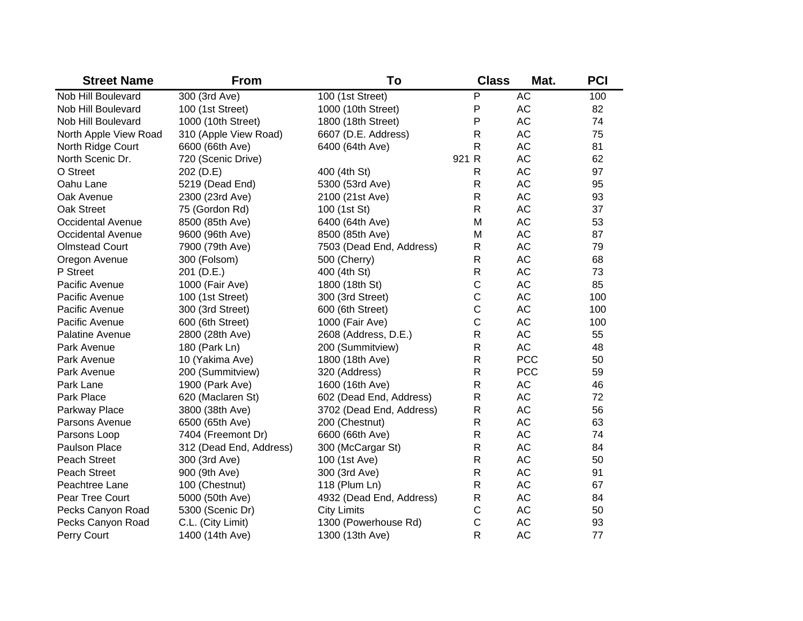| <b>Street Name</b>       | <b>From</b>             | To                       | <b>Class</b> | Mat.       | <b>PCI</b> |
|--------------------------|-------------------------|--------------------------|--------------|------------|------------|
| Nob Hill Boulevard       | 300 (3rd Ave)           | 100 (1st Street)         | P            | AC         | 100        |
| Nob Hill Boulevard       | 100 (1st Street)        | 1000 (10th Street)       | P            | AC         | 82         |
| Nob Hill Boulevard       | 1000 (10th Street)      | 1800 (18th Street)       | P            | AC         | 74         |
| North Apple View Road    | 310 (Apple View Road)   | 6607 (D.E. Address)      | $\mathsf R$  | AC         | 75         |
| North Ridge Court        | 6600 (66th Ave)         | 6400 (64th Ave)          | R            | AC         | 81         |
| North Scenic Dr.         | 720 (Scenic Drive)      |                          | 921 R        | AC         | 62         |
| O Street                 | 202 (D.E)               | 400 (4th St)             | R            | AC         | 97         |
| Oahu Lane                | 5219 (Dead End)         | 5300 (53rd Ave)          | $\mathsf R$  | AC         | 95         |
| Oak Avenue               | 2300 (23rd Ave)         | 2100 (21st Ave)          | $\mathsf R$  | AC         | 93         |
| Oak Street               | 75 (Gordon Rd)          | 100 (1st St)             | $\mathsf{R}$ | AC         | 37         |
| <b>Occidental Avenue</b> | 8500 (85th Ave)         | 6400 (64th Ave)          | M            | AC         | 53         |
| Occidental Avenue        | 9600 (96th Ave)         | 8500 (85th Ave)          | M            | AC         | 87         |
| <b>Olmstead Court</b>    | 7900 (79th Ave)         | 7503 (Dead End, Address) | R            | AC         | 79         |
| Oregon Avenue            | 300 (Folsom)            | 500 (Cherry)             | $\mathsf R$  | AC         | 68         |
| P Street                 | 201 (D.E.)              | 400 (4th St)             | $\mathsf R$  | AC         | 73         |
| Pacific Avenue           | 1000 (Fair Ave)         | 1800 (18th St)           | $\mathsf C$  | AC         | 85         |
| Pacific Avenue           | 100 (1st Street)        | 300 (3rd Street)         | $\mathsf C$  | AC         | 100        |
| Pacific Avenue           | 300 (3rd Street)        | 600 (6th Street)         | $\mathsf C$  | AC         | 100        |
| Pacific Avenue           | 600 (6th Street)        | 1000 (Fair Ave)          | C            | AC         | 100        |
| Palatine Avenue          | 2800 (28th Ave)         | 2608 (Address, D.E.)     | $\mathsf R$  | AC         | 55         |
| Park Avenue              | 180 (Park Ln)           | 200 (Summitview)         | $\mathsf{R}$ | AC         | 48         |
| Park Avenue              | 10 (Yakima Ave)         | 1800 (18th Ave)          | R            | <b>PCC</b> | 50         |
| Park Avenue              | 200 (Summitview)        | 320 (Address)            | ${\sf R}$    | <b>PCC</b> | 59         |
| Park Lane                | 1900 (Park Ave)         | 1600 (16th Ave)          | ${\sf R}$    | AC         | 46         |
| Park Place               | 620 (Maclaren St)       | 602 (Dead End, Address)  | ${\sf R}$    | AC         | 72         |
| Parkway Place            | 3800 (38th Ave)         | 3702 (Dead End, Address) | $\mathsf R$  | AC         | 56         |
| Parsons Avenue           | 6500 (65th Ave)         | 200 (Chestnut)           | $\mathsf{R}$ | <b>AC</b>  | 63         |
| Parsons Loop             | 7404 (Freemont Dr)      | 6600 (66th Ave)          | $\mathsf R$  | <b>AC</b>  | 74         |
| <b>Paulson Place</b>     | 312 (Dead End, Address) | 300 (McCargar St)        | $\mathsf{R}$ | <b>AC</b>  | 84         |
| Peach Street             | 300 (3rd Ave)           | 100 (1st Ave)            | $\mathsf{R}$ | <b>AC</b>  | 50         |
| <b>Peach Street</b>      | 900 (9th Ave)           | 300 (3rd Ave)            | $\mathsf{R}$ | <b>AC</b>  | 91         |
| Peachtree Lane           | 100 (Chestnut)          | 118 (Plum Ln)            | $\mathsf{R}$ | <b>AC</b>  | 67         |
| Pear Tree Court          | 5000 (50th Ave)         | 4932 (Dead End, Address) | $\mathsf{R}$ | <b>AC</b>  | 84         |
| Pecks Canyon Road        | 5300 (Scenic Dr)        | <b>City Limits</b>       | $\mathsf C$  | AC         | 50         |
| Pecks Canyon Road        | C.L. (City Limit)       | 1300 (Powerhouse Rd)     | C            | <b>AC</b>  | 93         |
| Perry Court              | 1400 (14th Ave)         | 1300 (13th Ave)          | R            | <b>AC</b>  | 77         |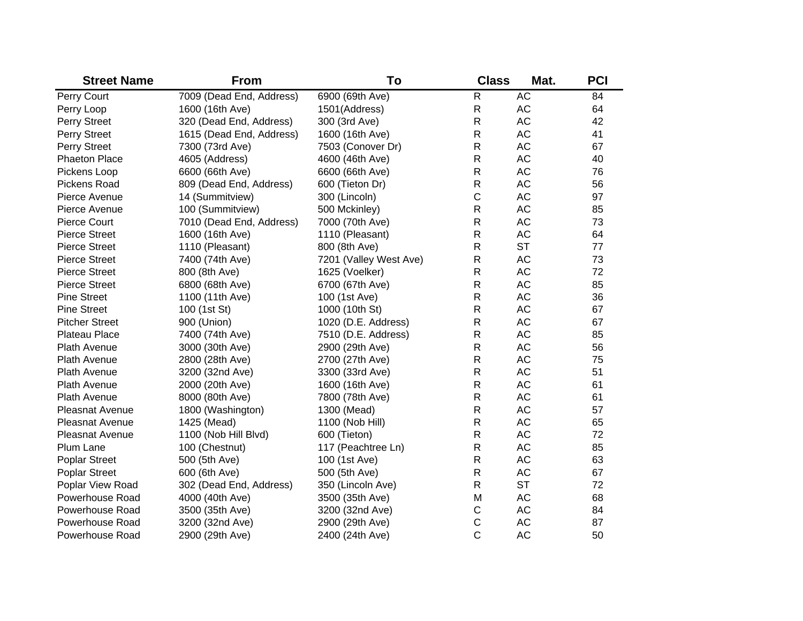| <b>Street Name</b>     | <b>From</b>              | To                     | <b>Class</b> | Mat.      | <b>PCI</b> |
|------------------------|--------------------------|------------------------|--------------|-----------|------------|
| Perry Court            | 7009 (Dead End, Address) | 6900 (69th Ave)        | $\mathsf R$  | <b>AC</b> | 84         |
| Perry Loop             | 1600 (16th Ave)          | 1501(Address)          | R            | AC        | 64         |
| Perry Street           | 320 (Dead End, Address)  | 300 (3rd Ave)          | R            | <b>AC</b> | 42         |
| Perry Street           | 1615 (Dead End, Address) | 1600 (16th Ave)        | R            | <b>AC</b> | 41         |
| Perry Street           | 7300 (73rd Ave)          | 7503 (Conover Dr)      | R            | <b>AC</b> | 67         |
| <b>Phaeton Place</b>   | 4605 (Address)           | 4600 (46th Ave)        | R            | <b>AC</b> | 40         |
| Pickens Loop           | 6600 (66th Ave)          | 6600 (66th Ave)        | R            | <b>AC</b> | 76         |
| Pickens Road           | 809 (Dead End, Address)  | 600 (Tieton Dr)        | R            | <b>AC</b> | 56         |
| Pierce Avenue          | 14 (Summitview)          | 300 (Lincoln)          | $\mathsf C$  | <b>AC</b> | 97         |
| Pierce Avenue          | 100 (Summitview)         | 500 Mckinley)          | $\mathsf R$  | <b>AC</b> | 85         |
| Pierce Court           | 7010 (Dead End, Address) | 7000 (70th Ave)        | R            | <b>AC</b> | 73         |
| <b>Pierce Street</b>   | 1600 (16th Ave)          | 1110 (Pleasant)        | R            | <b>AC</b> | 64         |
| <b>Pierce Street</b>   | 1110 (Pleasant)          | 800 (8th Ave)          | R            | <b>ST</b> | 77         |
| <b>Pierce Street</b>   | 7400 (74th Ave)          | 7201 (Valley West Ave) | R            | <b>AC</b> | 73         |
| <b>Pierce Street</b>   | 800 (8th Ave)            | 1625 (Voelker)         | R            | <b>AC</b> | 72         |
| <b>Pierce Street</b>   | 6800 (68th Ave)          | 6700 (67th Ave)        | R            | <b>AC</b> | 85         |
| <b>Pine Street</b>     | 1100 (11th Ave)          | 100 (1st Ave)          | R            | <b>AC</b> | 36         |
| <b>Pine Street</b>     | 100 (1st St)             | 1000 (10th St)         | R            | <b>AC</b> | 67         |
| <b>Pitcher Street</b>  | 900 (Union)              | 1020 (D.E. Address)    | $\mathsf{R}$ | <b>AC</b> | 67         |
| Plateau Place          | 7400 (74th Ave)          | 7510 (D.E. Address)    | R            | <b>AC</b> | 85         |
| <b>Plath Avenue</b>    | 3000 (30th Ave)          | 2900 (29th Ave)        | R            | <b>AC</b> | 56         |
| <b>Plath Avenue</b>    | 2800 (28th Ave)          | 2700 (27th Ave)        | R            | <b>AC</b> | 75         |
| <b>Plath Avenue</b>    | 3200 (32nd Ave)          | 3300 (33rd Ave)        | $\mathsf{R}$ | <b>AC</b> | 51         |
| <b>Plath Avenue</b>    | 2000 (20th Ave)          | 1600 (16th Ave)        | $\mathsf{R}$ | <b>AC</b> | 61         |
| <b>Plath Avenue</b>    | 8000 (80th Ave)          | 7800 (78th Ave)        | R            | <b>AC</b> | 61         |
| <b>Pleasnat Avenue</b> | 1800 (Washington)        | 1300 (Mead)            | $\mathsf{R}$ | <b>AC</b> | 57         |
| <b>Pleasnat Avenue</b> | 1425 (Mead)              | 1100 (Nob Hill)        | $\mathsf{R}$ | <b>AC</b> | 65         |
| <b>Pleasnat Avenue</b> | 1100 (Nob Hill Blvd)     | 600 (Tieton)           | R            | <b>AC</b> | 72         |
| Plum Lane              | 100 (Chestnut)           | 117 (Peachtree Ln)     | R            | <b>AC</b> | 85         |
| <b>Poplar Street</b>   | 500 (5th Ave)            | 100 (1st Ave)          | R            | <b>AC</b> | 63         |
| <b>Poplar Street</b>   | 600 (6th Ave)            | 500 (5th Ave)          | $\mathsf{R}$ | <b>AC</b> | 67         |
| Poplar View Road       | 302 (Dead End, Address)  | 350 (Lincoln Ave)      | $\mathsf{R}$ | <b>ST</b> | 72         |
| Powerhouse Road        | 4000 (40th Ave)          | 3500 (35th Ave)        | M            | <b>AC</b> | 68         |
| Powerhouse Road        | 3500 (35th Ave)          | 3200 (32nd Ave)        | $\mathsf C$  | <b>AC</b> | 84         |
| <b>Powerhouse Road</b> | 3200 (32nd Ave)          | 2900 (29th Ave)        | $\mathsf C$  | <b>AC</b> | 87         |
| <b>Powerhouse Road</b> | 2900 (29th Ave)          | 2400 (24th Ave)        | $\mathsf{C}$ | <b>AC</b> | 50         |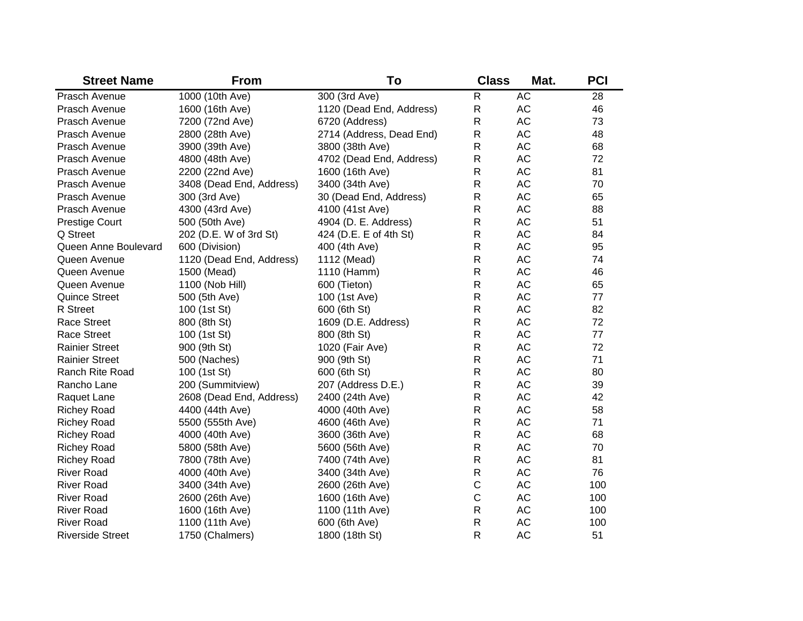| <b>Street Name</b>      | <b>From</b>              | To                       | <b>Class</b> | Mat.      | <b>PCI</b> |
|-------------------------|--------------------------|--------------------------|--------------|-----------|------------|
| Prasch Avenue           | 1000 (10th Ave)          | 300 (3rd Ave)            | R            | <b>AC</b> | 28         |
| Prasch Avenue           | 1600 (16th Ave)          | 1120 (Dead End, Address) | $\mathsf R$  | AC        | 46         |
| Prasch Avenue           | 7200 (72nd Ave)          | 6720 (Address)           | $\mathsf{R}$ | <b>AC</b> | 73         |
| Prasch Avenue           | 2800 (28th Ave)          | 2714 (Address, Dead End) | $\mathsf R$  | <b>AC</b> | 48         |
| Prasch Avenue           | 3900 (39th Ave)          | 3800 (38th Ave)          | $\mathsf R$  | <b>AC</b> | 68         |
| Prasch Avenue           | 4800 (48th Ave)          | 4702 (Dead End, Address) | $\mathsf{R}$ | <b>AC</b> | 72         |
| Prasch Avenue           | 2200 (22nd Ave)          | 1600 (16th Ave)          | $\mathsf{R}$ | <b>AC</b> | 81         |
| Prasch Avenue           | 3408 (Dead End, Address) | 3400 (34th Ave)          | $\mathsf R$  | AC        | 70         |
| Prasch Avenue           | 300 (3rd Ave)            | 30 (Dead End, Address)   | $\mathsf R$  | AC        | 65         |
| Prasch Avenue           | 4300 (43rd Ave)          | 4100 (41st Ave)          | $\mathsf{R}$ | AC        | 88         |
| <b>Prestige Court</b>   | 500 (50th Ave)           | 4904 (D. E. Address)     | $\mathsf{R}$ | AC        | 51         |
| Q Street                | 202 (D.E. W of 3rd St)   | 424 (D.E. E of 4th St)   | $\mathsf{R}$ | AC        | 84         |
| Queen Anne Boulevard    | 600 (Division)           | 400 (4th Ave)            | $\mathsf{R}$ | AC        | 95         |
| Queen Avenue            | 1120 (Dead End, Address) | 1112 (Mead)              | $\mathsf{R}$ | AC        | 74         |
| Queen Avenue            | 1500 (Mead)              | 1110 (Hamm)              | $\mathsf{R}$ | AC        | 46         |
| Queen Avenue            | 1100 (Nob Hill)          | 600 (Tieton)             | $\mathsf{R}$ | AC        | 65         |
| <b>Quince Street</b>    | 500 (5th Ave)            | 100 (1st Ave)            | $\mathsf{R}$ | AC        | 77         |
| <b>R</b> Street         | 100 (1st St)             | 600 (6th St)             | $\mathsf{R}$ | AC        | 82         |
| <b>Race Street</b>      | 800 (8th St)             | 1609 (D.E. Address)      | R            | AC        | 72         |
| Race Street             | 100 (1st St)             | 800 (8th St)             | R            | AC        | 77         |
| <b>Rainier Street</b>   | 900 (9th St)             | 1020 (Fair Ave)          | R            | AC        | 72         |
| <b>Rainier Street</b>   | 500 (Naches)             | 900 (9th St)             | R            | AC        | 71         |
| <b>Ranch Rite Road</b>  | 100 (1st St)             | 600 (6th St)             | R            | <b>AC</b> | 80         |
| Rancho Lane             | 200 (Summitview)         | 207 (Address D.E.)       | R            | <b>AC</b> | 39         |
| Raquet Lane             | 2608 (Dead End, Address) | 2400 (24th Ave)          | $\mathsf{R}$ | <b>AC</b> | 42         |
| <b>Richey Road</b>      | 4400 (44th Ave)          | 4000 (40th Ave)          | $\mathsf{R}$ | <b>AC</b> | 58         |
| <b>Richey Road</b>      | 5500 (555th Ave)         | 4600 (46th Ave)          | $\mathsf{R}$ | <b>AC</b> | 71         |
| <b>Richey Road</b>      | 4000 (40th Ave)          | 3600 (36th Ave)          | $\mathsf{R}$ | <b>AC</b> | 68         |
| <b>Richey Road</b>      | 5800 (58th Ave)          | 5600 (56th Ave)          | $\mathsf{R}$ | <b>AC</b> | 70         |
| <b>Richey Road</b>      | 7800 (78th Ave)          | 7400 (74th Ave)          | $\mathsf{R}$ | <b>AC</b> | 81         |
| <b>River Road</b>       | 4000 (40th Ave)          | 3400 (34th Ave)          | $\mathsf{R}$ | <b>AC</b> | 76         |
| <b>River Road</b>       | 3400 (34th Ave)          | 2600 (26th Ave)          | $\mathsf C$  | <b>AC</b> | 100        |
| <b>River Road</b>       | 2600 (26th Ave)          | 1600 (16th Ave)          | $\mathsf{C}$ | <b>AC</b> | 100        |
| <b>River Road</b>       | 1600 (16th Ave)          | 1100 (11th Ave)          | $\mathsf{R}$ | AC        | 100        |
| <b>River Road</b>       | 1100 (11th Ave)          | 600 (6th Ave)            | $\mathsf{R}$ | AC        | 100        |
| <b>Riverside Street</b> | 1750 (Chalmers)          | 1800 (18th St)           | R            | <b>AC</b> | 51         |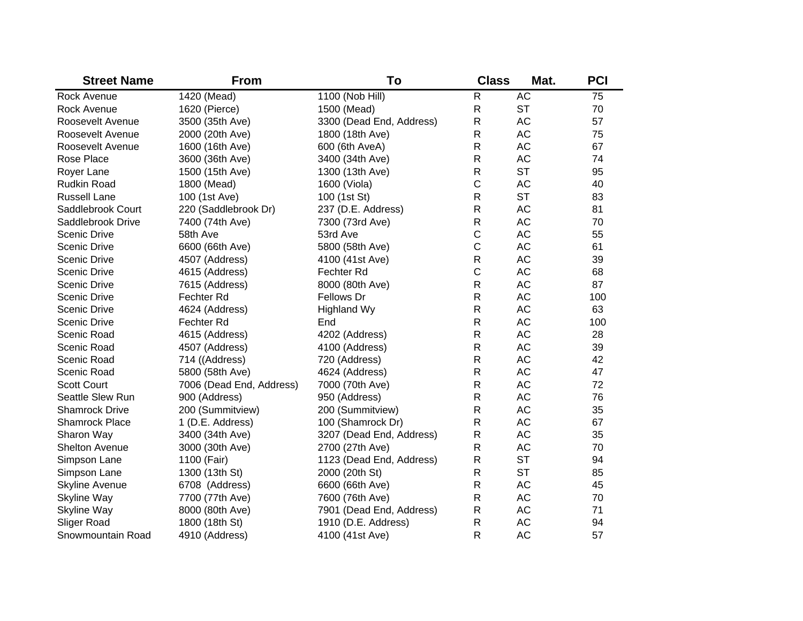| <b>Street Name</b>    | <b>From</b>              | To                       | <b>Class</b> | Mat.      | <b>PCI</b> |
|-----------------------|--------------------------|--------------------------|--------------|-----------|------------|
| Rock Avenue           | 1420 (Mead)              | 1100 (Nob Hill)          | R            | <b>AC</b> | 75         |
| <b>Rock Avenue</b>    | 1620 (Pierce)            | 1500 (Mead)              | R            | <b>ST</b> | 70         |
| Roosevelt Avenue      | 3500 (35th Ave)          | 3300 (Dead End, Address) | R            | AC        | 57         |
| Roosevelt Avenue      | 2000 (20th Ave)          | 1800 (18th Ave)          | $\mathsf{R}$ | AC        | 75         |
| Roosevelt Avenue      | 1600 (16th Ave)          | 600 (6th AveA)           | $\mathsf{R}$ | AC        | 67         |
| Rose Place            | 3600 (36th Ave)          | 3400 (34th Ave)          | R            | AC        | 74         |
| Royer Lane            | 1500 (15th Ave)          | 1300 (13th Ave)          | R            | <b>ST</b> | 95         |
| <b>Rudkin Road</b>    | 1800 (Mead)              | 1600 (Viola)             | C            | AC        | 40         |
| <b>Russell Lane</b>   | 100 (1st Ave)            | 100 (1st St)             | R            | <b>ST</b> | 83         |
| Saddlebrook Court     | 220 (Saddlebrook Dr)     | 237 (D.E. Address)       | R            | AC        | 81         |
| Saddlebrook Drive     | 7400 (74th Ave)          | 7300 (73rd Ave)          | R            | AC        | 70         |
| Scenic Drive          | 58th Ave                 | 53rd Ave                 | $\mathsf C$  | AC        | 55         |
| Scenic Drive          | 6600 (66th Ave)          | 5800 (58th Ave)          | C            | AC        | 61         |
| Scenic Drive          | 4507 (Address)           | 4100 (41st Ave)          | $\mathsf{R}$ | AC        | 39         |
| Scenic Drive          | 4615 (Address)           | Fechter Rd               | C            | AC        | 68         |
| Scenic Drive          | 7615 (Address)           | 8000 (80th Ave)          | ${\sf R}$    | AC        | 87         |
| Scenic Drive          | Fechter Rd               | Fellows Dr               | $\mathsf R$  | AC        | 100        |
| Scenic Drive          | 4624 (Address)           | <b>Highland Wy</b>       | $\mathsf{R}$ | AC        | 63         |
| <b>Scenic Drive</b>   | Fechter Rd               | End                      | R            | AC        | 100        |
| Scenic Road           | 4615 (Address)           | 4202 (Address)           | R            | AC        | 28         |
| Scenic Road           | 4507 (Address)           | 4100 (Address)           | $\mathsf{R}$ | AC        | 39         |
| Scenic Road           | 714 ((Address)           | 720 (Address)            | R            | AC        | 42         |
| Scenic Road           | 5800 (58th Ave)          | 4624 (Address)           | R            | AC        | 47         |
| <b>Scott Court</b>    | 7006 (Dead End, Address) | 7000 (70th Ave)          | R            | AC        | 72         |
| Seattle Slew Run      | 900 (Address)            | 950 (Address)            | R            | AC        | 76         |
| <b>Shamrock Drive</b> | 200 (Summitview)         | 200 (Summitview)         | $\mathsf R$  | AC        | 35         |
| <b>Shamrock Place</b> | 1 (D.E. Address)         | 100 (Shamrock Dr)        | R            | AC        | 67         |
| Sharon Way            | 3400 (34th Ave)          | 3207 (Dead End, Address) | R            | AC        | 35         |
| Shelton Avenue        | 3000 (30th Ave)          | 2700 (27th Ave)          | $\mathsf R$  | AC        | 70         |
| Simpson Lane          | 1100 (Fair)              | 1123 (Dead End, Address) | $\mathsf R$  | <b>ST</b> | 94         |
| Simpson Lane          | 1300 (13th St)           | 2000 (20th St)           | $\mathsf R$  | <b>ST</b> | 85         |
| <b>Skyline Avenue</b> | 6708 (Address)           | 6600 (66th Ave)          | ${\sf R}$    | AC        | 45         |
| Skyline Way           | 7700 (77th Ave)          | 7600 (76th Ave)          | ${\sf R}$    | AC        | 70         |
| Skyline Way           | 8000 (80th Ave)          | 7901 (Dead End, Address) | ${\sf R}$    | AC        | 71         |
| <b>Sliger Road</b>    | 1800 (18th St)           | 1910 (D.E. Address)      | $\mathsf R$  | <b>AC</b> | 94         |
| Snowmountain Road     | 4910 (Address)           | 4100 (41st Ave)          | R            | <b>AC</b> | 57         |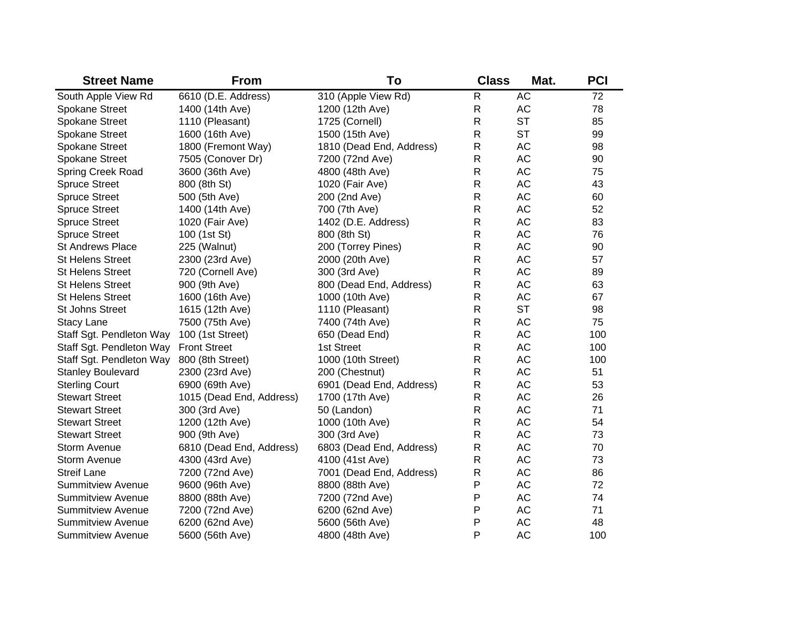| <b>Street Name</b>       | <b>From</b>              | To                       | <b>Class</b> | Mat.      | <b>PCI</b> |
|--------------------------|--------------------------|--------------------------|--------------|-----------|------------|
| South Apple View Rd      | 6610 (D.E. Address)      | 310 (Apple View Rd)      | R            | <b>AC</b> | 72         |
| Spokane Street           | 1400 (14th Ave)          | 1200 (12th Ave)          | R            | AC        | 78         |
| Spokane Street           | 1110 (Pleasant)          | 1725 (Cornell)           | R            | <b>ST</b> | 85         |
| Spokane Street           | 1600 (16th Ave)          | 1500 (15th Ave)          | R            | <b>ST</b> | 99         |
| Spokane Street           | 1800 (Fremont Way)       | 1810 (Dead End, Address) | R            | AC        | 98         |
| Spokane Street           | 7505 (Conover Dr)        | 7200 (72nd Ave)          | R            | AC        | 90         |
| Spring Creek Road        | 3600 (36th Ave)          | 4800 (48th Ave)          | R            | AC        | 75         |
| <b>Spruce Street</b>     | 800 (8th St)             | 1020 (Fair Ave)          | R            | AC        | 43         |
| <b>Spruce Street</b>     | 500 (5th Ave)            | 200 (2nd Ave)            | R            | AC        | 60         |
| <b>Spruce Street</b>     | 1400 (14th Ave)          | 700 (7th Ave)            | R            | AC        | 52         |
| <b>Spruce Street</b>     | 1020 (Fair Ave)          | 1402 (D.E. Address)      | R            | AC        | 83         |
| <b>Spruce Street</b>     | 100 (1st St)             | 800 (8th St)             | R            | AC        | 76         |
| <b>St Andrews Place</b>  | 225 (Walnut)             | 200 (Torrey Pines)       | R            | AC        | 90         |
| St Helens Street         | 2300 (23rd Ave)          | 2000 (20th Ave)          | R            | AC        | 57         |
| <b>St Helens Street</b>  | 720 (Cornell Ave)        | 300 (3rd Ave)            | R            | AC        | 89         |
| <b>St Helens Street</b>  | 900 (9th Ave)            | 800 (Dead End, Address)  | R            | AC        | 63         |
| <b>St Helens Street</b>  | 1600 (16th Ave)          | 1000 (10th Ave)          | R            | AC        | 67         |
| St Johns Street          | 1615 (12th Ave)          | 1110 (Pleasant)          | R            | <b>ST</b> | 98         |
| <b>Stacy Lane</b>        | 7500 (75th Ave)          | 7400 (74th Ave)          | R            | AC        | 75         |
| Staff Sgt. Pendleton Way | 100 (1st Street)         | 650 (Dead End)           | R            | AC        | 100        |
| Staff Sgt. Pendleton Way | <b>Front Street</b>      | 1st Street               | R            | AC        | 100        |
| Staff Sgt. Pendleton Way | 800 (8th Street)         | 1000 (10th Street)       | R            | AC        | 100        |
| <b>Stanley Boulevard</b> | 2300 (23rd Ave)          | 200 (Chestnut)           | R            | AC        | 51         |
| <b>Sterling Court</b>    | 6900 (69th Ave)          | 6901 (Dead End, Address) | R            | AC        | 53         |
| <b>Stewart Street</b>    | 1015 (Dead End, Address) | 1700 (17th Ave)          | R            | AC        | 26         |
| <b>Stewart Street</b>    | 300 (3rd Ave)            | 50 (Landon)              | R            | AC        | 71         |
| <b>Stewart Street</b>    | 1200 (12th Ave)          | 1000 (10th Ave)          | R            | AC        | 54         |
| <b>Stewart Street</b>    | 900 (9th Ave)            | 300 (3rd Ave)            | R            | AC        | 73         |
| <b>Storm Avenue</b>      | 6810 (Dead End, Address) | 6803 (Dead End, Address) | R            | AC        | 70         |
| <b>Storm Avenue</b>      | 4300 (43rd Ave)          | 4100 (41st Ave)          | R            | AC        | 73         |
| <b>Streif Lane</b>       | 7200 (72nd Ave)          | 7001 (Dead End, Address) | R            | AC        | 86         |
| <b>Summitview Avenue</b> | 9600 (96th Ave)          | 8800 (88th Ave)          | P            | AC        | 72         |
| <b>Summitview Avenue</b> | 8800 (88th Ave)          | 7200 (72nd Ave)          | P            | AC        | 74         |
| <b>Summitview Avenue</b> | 7200 (72nd Ave)          | 6200 (62nd Ave)          | P            | AC        | 71         |
| <b>Summitview Avenue</b> | 6200 (62nd Ave)          | 5600 (56th Ave)          | P            | AC        | 48         |
| Summitview Avenue        | 5600 (56th Ave)          | 4800 (48th Ave)          | P            | <b>AC</b> | 100        |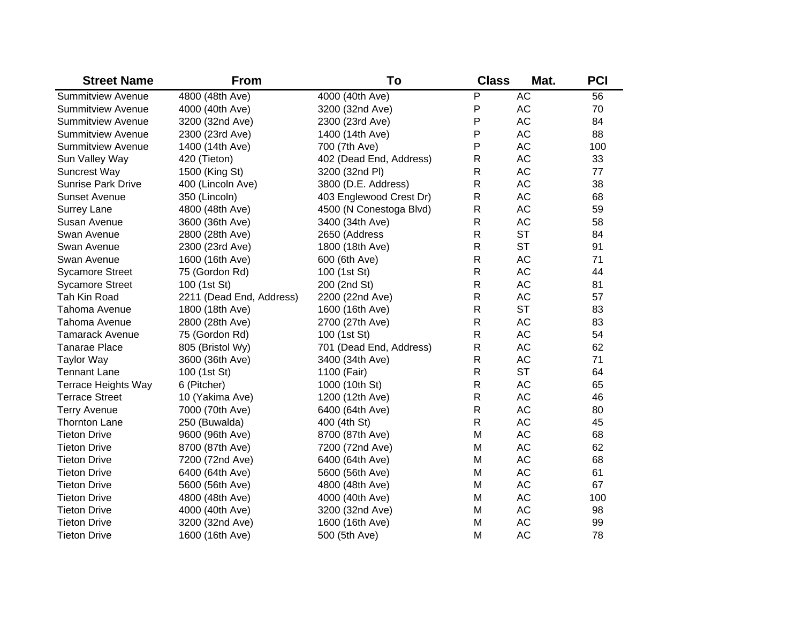| <b>Street Name</b>        | <b>From</b>              | To                      | <b>Class</b> | Mat.      | <b>PCI</b> |
|---------------------------|--------------------------|-------------------------|--------------|-----------|------------|
| <b>Summitview Avenue</b>  | 4800 (48th Ave)          | 4000 (40th Ave)         | P            | <b>AC</b> | 56         |
| <b>Summitview Avenue</b>  | 4000 (40th Ave)          | 3200 (32nd Ave)         | P            | AC        | 70         |
| <b>Summitview Avenue</b>  | 3200 (32nd Ave)          | 2300 (23rd Ave)         | P            | AC        | 84         |
| <b>Summitview Avenue</b>  | 2300 (23rd Ave)          | 1400 (14th Ave)         | P            | <b>AC</b> | 88         |
| <b>Summitview Avenue</b>  | 1400 (14th Ave)          | 700 (7th Ave)           | P            | <b>AC</b> | 100        |
| Sun Valley Way            | 420 (Tieton)             | 402 (Dead End, Address) | $\mathsf R$  | <b>AC</b> | 33         |
| <b>Suncrest Way</b>       | 1500 (King St)           | 3200 (32nd PI)          | $\mathsf R$  | <b>AC</b> | 77         |
| <b>Sunrise Park Drive</b> | 400 (Lincoln Ave)        | 3800 (D.E. Address)     | $\mathsf R$  | <b>AC</b> | 38         |
| <b>Sunset Avenue</b>      | 350 (Lincoln)            | 403 Englewood Crest Dr) | $\mathsf{R}$ | AC        | 68         |
| <b>Surrey Lane</b>        | 4800 (48th Ave)          | 4500 (N Conestoga Blvd) | $\mathsf{R}$ | AC        | 59         |
| Susan Avenue              | 3600 (36th Ave)          | 3400 (34th Ave)         | $\mathsf{R}$ | AC        | 58         |
| Swan Avenue               | 2800 (28th Ave)          | 2650 (Address           | $\mathsf{R}$ | <b>ST</b> | 84         |
| Swan Avenue               | 2300 (23rd Ave)          | 1800 (18th Ave)         | $\mathsf{R}$ | <b>ST</b> | 91         |
| Swan Avenue               | 1600 (16th Ave)          | 600 (6th Ave)           | $\mathsf{R}$ | AC        | 71         |
| <b>Sycamore Street</b>    | 75 (Gordon Rd)           | 100 (1st St)            | $\mathsf R$  | AC        | 44         |
| <b>Sycamore Street</b>    | 100 (1st St)             | 200 (2nd St)            | $\mathsf R$  | AC        | 81         |
| Tah Kin Road              | 2211 (Dead End, Address) | 2200 (22nd Ave)         | $\mathsf R$  | AC        | 57         |
| Tahoma Avenue             | 1800 (18th Ave)          | 1600 (16th Ave)         | $\mathsf R$  | <b>ST</b> | 83         |
| Tahoma Avenue             | 2800 (28th Ave)          | 2700 (27th Ave)         | $\mathsf R$  | AC        | 83         |
| <b>Tamarack Avenue</b>    | 75 (Gordon Rd)           | 100 (1st St)            | $\mathsf{R}$ | AC        | 54         |
| <b>Tanarae Place</b>      | 805 (Bristol Wy)         | 701 (Dead End, Address) | R            | AC        | 62         |
| <b>Taylor Way</b>         | 3600 (36th Ave)          | 3400 (34th Ave)         | R            | AC        | 71         |
| <b>Tennant Lane</b>       | 100 (1st St)             | 1100 (Fair)             | $\mathsf{R}$ | <b>ST</b> | 64         |
| Terrace Heights Way       | 6 (Pitcher)              | 1000 (10th St)          | $\mathsf{R}$ | AC        | 65         |
| <b>Terrace Street</b>     | 10 (Yakima Ave)          | 1200 (12th Ave)         | $\mathsf R$  | AC        | 46         |
| <b>Terry Avenue</b>       | 7000 (70th Ave)          | 6400 (64th Ave)         | $\mathsf{R}$ | AC        | 80         |
| <b>Thornton Lane</b>      | 250 (Buwalda)            | 400 (4th St)            | $\mathsf{R}$ | AC        | 45         |
| <b>Tieton Drive</b>       | 9600 (96th Ave)          | 8700 (87th Ave)         | M            | AC        | 68         |
| <b>Tieton Drive</b>       | 8700 (87th Ave)          | 7200 (72nd Ave)         | M            | AC        | 62         |
| <b>Tieton Drive</b>       | 7200 (72nd Ave)          | 6400 (64th Ave)         | M            | AC        | 68         |
| <b>Tieton Drive</b>       | 6400 (64th Ave)          | 5600 (56th Ave)         | M            | AC        | 61         |
| <b>Tieton Drive</b>       | 5600 (56th Ave)          | 4800 (48th Ave)         | M            | AC        | 67         |
| <b>Tieton Drive</b>       | 4800 (48th Ave)          | 4000 (40th Ave)         | M            | AC        | 100        |
| <b>Tieton Drive</b>       | 4000 (40th Ave)          | 3200 (32nd Ave)         | M            | AC        | 98         |
| <b>Tieton Drive</b>       | 3200 (32nd Ave)          | 1600 (16th Ave)         | M            | <b>AC</b> | 99         |
| <b>Tieton Drive</b>       | 1600 (16th Ave)          | 500 (5th Ave)           | M            | <b>AC</b> | 78         |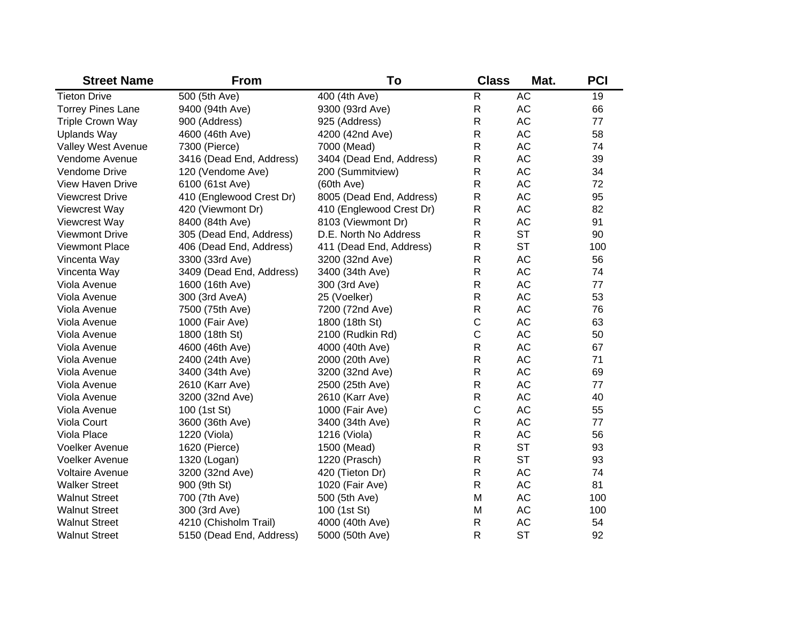| <b>Street Name</b>       | <b>From</b>              | To                       | <b>Class</b> | Mat.      | <b>PCI</b> |
|--------------------------|--------------------------|--------------------------|--------------|-----------|------------|
| <b>Tieton Drive</b>      | 500 (5th Ave)            | 400 (4th Ave)            | R            | <b>AC</b> | 19         |
| <b>Torrey Pines Lane</b> | 9400 (94th Ave)          | 9300 (93rd Ave)          | R            | AC        | 66         |
| <b>Triple Crown Way</b>  | 900 (Address)            | 925 (Address)            | R            | AC        | 77         |
| <b>Uplands Way</b>       | 4600 (46th Ave)          | 4200 (42nd Ave)          | $\mathsf{R}$ | AC        | 58         |
| Valley West Avenue       | 7300 (Pierce)            | 7000 (Mead)              | $\mathsf{R}$ | AC        | 74         |
| Vendome Avenue           | 3416 (Dead End, Address) | 3404 (Dead End, Address) | R            | AC        | 39         |
| Vendome Drive            | 120 (Vendome Ave)        | 200 (Summitview)         | R            | AC        | 34         |
| <b>View Haven Drive</b>  | 6100 (61st Ave)          | $(60th$ Ave)             | R            | AC        | 72         |
| <b>Viewcrest Drive</b>   | 410 (Englewood Crest Dr) | 8005 (Dead End, Address) | R            | AC        | 95         |
| Viewcrest Way            | 420 (Viewmont Dr)        | 410 (Englewood Crest Dr) | R            | AC        | 82         |
| Viewcrest Way            | 8400 (84th Ave)          | 8103 (Viewmont Dr)       | R            | AC        | 91         |
| <b>Viewmont Drive</b>    | 305 (Dead End, Address)  | D.E. North No Address    | R            | <b>ST</b> | 90         |
| Viewmont Place           | 406 (Dead End, Address)  | 411 (Dead End, Address)  | R            | <b>ST</b> | 100        |
| Vincenta Way             | 3300 (33rd Ave)          | 3200 (32nd Ave)          | $\mathsf{R}$ | AC        | 56         |
| Vincenta Way             | 3409 (Dead End, Address) | 3400 (34th Ave)          | $\mathsf R$  | AC        | 74         |
| Viola Avenue             | 1600 (16th Ave)          | 300 (3rd Ave)            | $\mathsf R$  | AC        | 77         |
| Viola Avenue             | 300 (3rd AveA)           | 25 (Voelker)             | $\mathsf{R}$ | AC        | 53         |
| Viola Avenue             | 7500 (75th Ave)          | 7200 (72nd Ave)          | $\mathsf{R}$ | AC        | 76         |
| Viola Avenue             | 1000 (Fair Ave)          | 1800 (18th St)           | $\mathsf C$  | AC        | 63         |
| Viola Avenue             | 1800 (18th St)           | 2100 (Rudkin Rd)         | $\mathsf C$  | AC        | 50         |
| Viola Avenue             | 4600 (46th Ave)          | 4000 (40th Ave)          | R            | AC        | 67         |
| Viola Avenue             | 2400 (24th Ave)          | 2000 (20th Ave)          | R            | AC        | 71         |
| Viola Avenue             | 3400 (34th Ave)          | 3200 (32nd Ave)          | R            | AC        | 69         |
| Viola Avenue             | 2610 (Karr Ave)          | 2500 (25th Ave)          | R            | AC        | 77         |
| Viola Avenue             | 3200 (32nd Ave)          | 2610 (Karr Ave)          | R            | AC        | 40         |
| Viola Avenue             | 100 (1st St)             | 1000 (Fair Ave)          | C            | AC        | 55         |
| Viola Court              | 3600 (36th Ave)          | 3400 (34th Ave)          | $\mathsf{R}$ | AC        | 77         |
| Viola Place              | 1220 (Viola)             | 1216 (Viola)             | $\mathsf{R}$ | AC        | 56         |
| <b>Voelker Avenue</b>    | 1620 (Pierce)            | 1500 (Mead)              | $\mathsf{R}$ | <b>ST</b> | 93         |
| <b>Voelker Avenue</b>    | 1320 (Logan)             | 1220 (Prasch)            | $\mathsf{R}$ | <b>ST</b> | 93         |
| <b>Voltaire Avenue</b>   | 3200 (32nd Ave)          | 420 (Tieton Dr)          | $\mathsf{R}$ | AC        | 74         |
| <b>Walker Street</b>     | 900 (9th St)             | 1020 (Fair Ave)          | $\mathsf{R}$ | AC        | 81         |
| <b>Walnut Street</b>     | 700 (7th Ave)            | 500 (5th Ave)            | M            | AC        | 100        |
| <b>Walnut Street</b>     | 300 (3rd Ave)            | 100 (1st St)             | M            | AC        | 100        |
| <b>Walnut Street</b>     | 4210 (Chisholm Trail)    | 4000 (40th Ave)          | $\mathsf{R}$ | <b>AC</b> | 54         |
| <b>Walnut Street</b>     | 5150 (Dead End, Address) | 5000 (50th Ave)          | $\mathsf{R}$ | <b>ST</b> | 92         |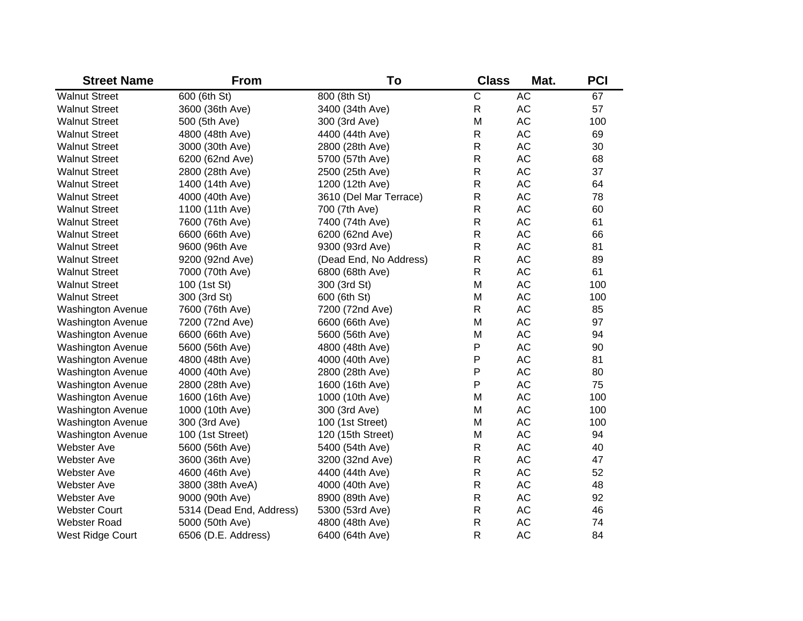| <b>Street Name</b>       | <b>From</b>              | To                     | <b>Class</b>   | Mat.          | <b>PCI</b> |
|--------------------------|--------------------------|------------------------|----------------|---------------|------------|
| <b>Walnut Street</b>     | 600 (6th St)             | 800 (8th St)           | $\overline{C}$ | <b>AC</b>     | 67         |
| <b>Walnut Street</b>     | 3600 (36th Ave)          | 3400 (34th Ave)        | $\mathsf{R}$   | AC            | 57         |
| <b>Walnut Street</b>     | 500 (5th Ave)            | 300 (3rd Ave)          | M              | AC            | 100        |
| <b>Walnut Street</b>     | 4800 (48th Ave)          | 4400 (44th Ave)        | $\mathsf{R}$   | AC            | 69         |
| <b>Walnut Street</b>     | 3000 (30th Ave)          | 2800 (28th Ave)        | R              | AC            | 30         |
| <b>Walnut Street</b>     | 6200 (62nd Ave)          | 5700 (57th Ave)        | R              | AC            | 68         |
| <b>Walnut Street</b>     | 2800 (28th Ave)          | 2500 (25th Ave)        | R              | AC            | 37         |
| <b>Walnut Street</b>     | 1400 (14th Ave)          | 1200 (12th Ave)        | R              | AC            | 64         |
| <b>Walnut Street</b>     | 4000 (40th Ave)          | 3610 (Del Mar Terrace) | R              | AC            | 78         |
| <b>Walnut Street</b>     | 1100 (11th Ave)          | 700 (7th Ave)          | R              | $\mathsf{AC}$ | 60         |
| <b>Walnut Street</b>     | 7600 (76th Ave)          | 7400 (74th Ave)        | R              | AC            | 61         |
| <b>Walnut Street</b>     | 6600 (66th Ave)          | 6200 (62nd Ave)        | R              | AC            | 66         |
| <b>Walnut Street</b>     | 9600 (96th Ave           | 9300 (93rd Ave)        | R              | AC            | 81         |
| <b>Walnut Street</b>     | 9200 (92nd Ave)          | (Dead End, No Address) | R              | AC            | 89         |
| <b>Walnut Street</b>     | 7000 (70th Ave)          | 6800 (68th Ave)        | $\mathsf{R}$   | $\mathsf{AC}$ | 61         |
| <b>Walnut Street</b>     | 100 (1st St)             | 300 (3rd St)           | M              | $\mathsf{AC}$ | 100        |
| <b>Walnut Street</b>     | 300 (3rd St)             | 600 (6th St)           | M              | AC            | 100        |
| <b>Washington Avenue</b> | 7600 (76th Ave)          | 7200 (72nd Ave)        | $\mathsf{R}$   | AC            | 85         |
| <b>Washington Avenue</b> | 7200 (72nd Ave)          | 6600 (66th Ave)        | M              | AC            | 97         |
| <b>Washington Avenue</b> | 6600 (66th Ave)          | 5600 (56th Ave)        | M              | AC            | 94         |
| <b>Washington Avenue</b> | 5600 (56th Ave)          | 4800 (48th Ave)        | P              | AC            | 90         |
| <b>Washington Avenue</b> | 4800 (48th Ave)          | 4000 (40th Ave)        | P              | AC            | 81         |
| <b>Washington Avenue</b> | 4000 (40th Ave)          | 2800 (28th Ave)        | P              | AC            | 80         |
| <b>Washington Avenue</b> | 2800 (28th Ave)          | 1600 (16th Ave)        | P              | AC            | 75         |
| <b>Washington Avenue</b> | 1600 (16th Ave)          | 1000 (10th Ave)        | M              | AC            | 100        |
| <b>Washington Avenue</b> | 1000 (10th Ave)          | 300 (3rd Ave)          | M              | AC            | 100        |
| <b>Washington Avenue</b> | 300 (3rd Ave)            | 100 (1st Street)       | M              | AC            | 100        |
| <b>Washington Avenue</b> | 100 (1st Street)         | 120 (15th Street)      | M              | AC            | 94         |
| <b>Webster Ave</b>       | 5600 (56th Ave)          | 5400 (54th Ave)        | R              | AC            | 40         |
| <b>Webster Ave</b>       | 3600 (36th Ave)          | 3200 (32nd Ave)        | R              | AC            | 47         |
| <b>Webster Ave</b>       | 4600 (46th Ave)          | 4400 (44th Ave)        | R              | AC            | 52         |
| <b>Webster Ave</b>       | 3800 (38th AveA)         | 4000 (40th Ave)        | R              | AC            | 48         |
| <b>Webster Ave</b>       | 9000 (90th Ave)          | 8900 (89th Ave)        | R              | AC            | 92         |
| <b>Webster Court</b>     | 5314 (Dead End, Address) | 5300 (53rd Ave)        | R              | AC            | 46         |
| <b>Webster Road</b>      | 5000 (50th Ave)          | 4800 (48th Ave)        | R              | <b>AC</b>     | 74         |
| West Ridge Court         | 6506 (D.E. Address)      | 6400 (64th Ave)        | R              | <b>AC</b>     | 84         |